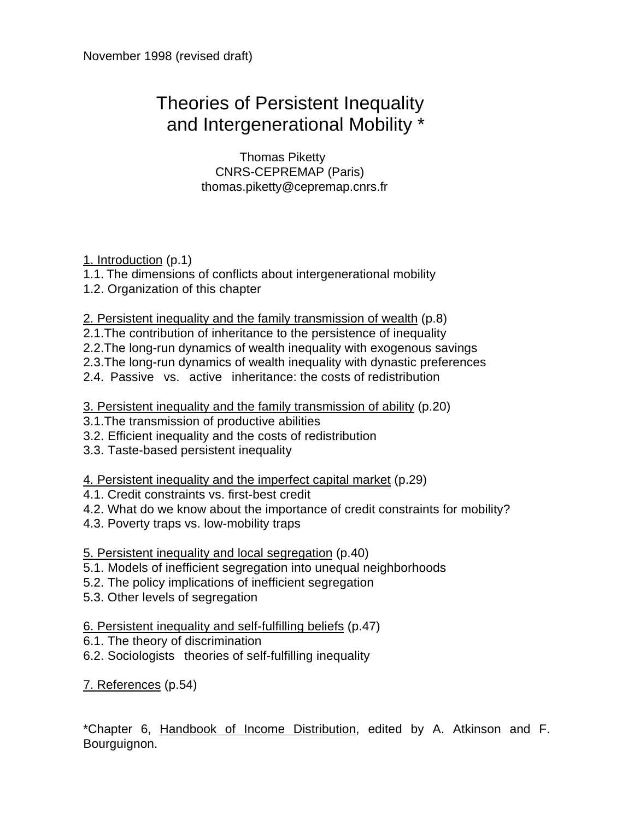# Theories of Persistent Inequality and Intergenerational Mobility \*

 Thomas Piketty CNRS-CEPREMAP (Paris) thomas.piketty@cepremap.cnrs.fr

### 1. Introduction (p.1)

1.1. The dimensions of conflicts about intergenerational mobility

1.2. Organization of this chapter

### 2. Persistent inequality and the family transmission of wealth (p.8)

- 2.1.The contribution of inheritance to the persistence of inequality
- 2.2.The long-run dynamics of wealth inequality with exogenous savings
- 2.3.The long-run dynamics of wealth inequality with dynastic preferences

2.4. Passive vs. active inheritance: the costs of redistribution

- 3. Persistent inequality and the family transmission of ability (p.20)
- 3.1.The transmission of productive abilities
- 3.2. Efficient inequality and the costs of redistribution
- 3.3. Taste-based persistent inequality

4. Persistent inequality and the imperfect capital market (p.29)

- 4.1. Credit constraints vs. first-best credit
- 4.2. What do we know about the importance of credit constraints for mobility?
- 4.3. Poverty traps vs. low-mobility traps

### 5. Persistent inequality and local segregation (p.40)

- 5.1. Models of inefficient segregation into unequal neighborhoods
- 5.2. The policy implications of inefficient segregation
- 5.3. Other levels of segregation

### 6. Persistent inequality and self-fulfilling beliefs (p.47)

- 6.1. The theory of discrimination
- 6.2. Sociologists theories of self-fulfilling inequality

7. References (p.54)

\*Chapter 6, Handbook of Income Distribution, edited by A. Atkinson and F. Bourguignon.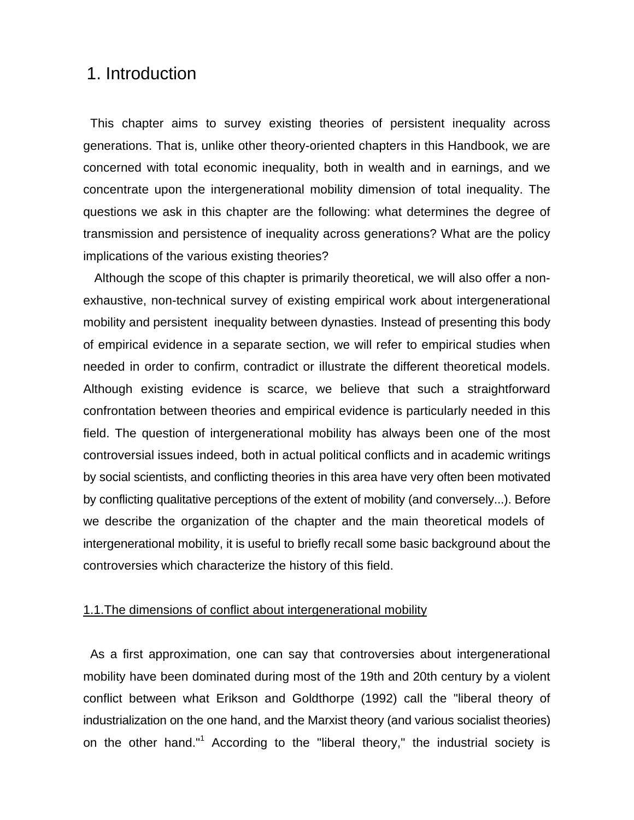# 1. Introduction

 This chapter aims to survey existing theories of persistent inequality across generations. That is, unlike other theory-oriented chapters in this Handbook, we are concerned with total economic inequality, both in wealth and in earnings, and we concentrate upon the intergenerational mobility dimension of total inequality. The questions we ask in this chapter are the following: what determines the degree of transmission and persistence of inequality across generations? What are the policy implications of the various existing theories?

 Although the scope of this chapter is primarily theoretical, we will also offer a nonexhaustive, non-technical survey of existing empirical work about intergenerational mobility and persistent inequality between dynasties. Instead of presenting this body of empirical evidence in a separate section, we will refer to empirical studies when needed in order to confirm, contradict or illustrate the different theoretical models. Although existing evidence is scarce, we believe that such a straightforward confrontation between theories and empirical evidence is particularly needed in this field. The question of intergenerational mobility has always been one of the most controversial issues indeed, both in actual political conflicts and in academic writings by social scientists, and conflicting theories in this area have very often been motivated by conflicting qualitative perceptions of the extent of mobility (and conversely...). Before we describe the organization of the chapter and the main theoretical models of intergenerational mobility, it is useful to briefly recall some basic background about the controversies which characterize the history of this field.

#### 1.1.The dimensions of conflict about intergenerational mobility

 As a first approximation, one can say that controversies about intergenerational mobility have been dominated during most of the 19th and 20th century by a violent conflict between what Erikson and Goldthorpe (1992) call the "liberal theory of industrialization on the one hand, and the Marxist theory (and various socialist theories) on the other hand."<sup>1</sup> According to the "liberal theory," the industrial society is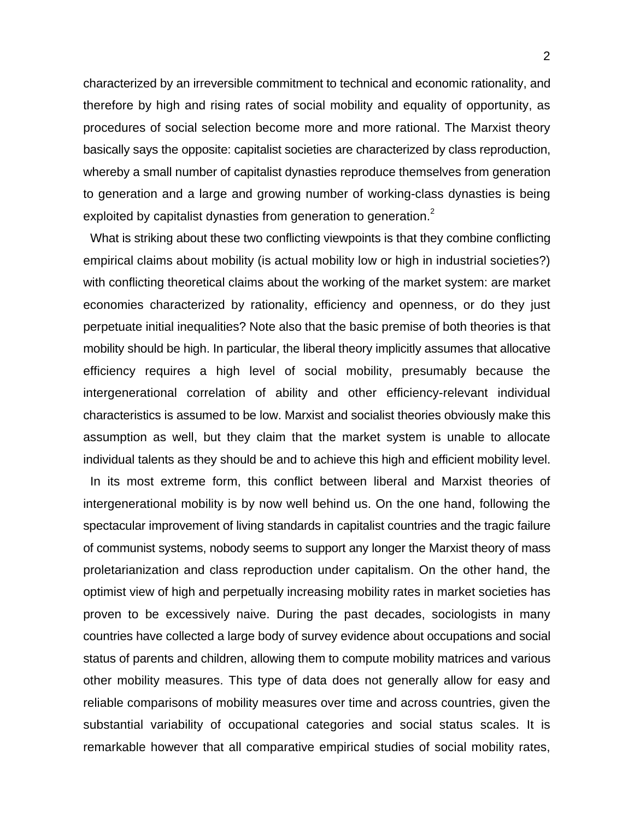characterized by an irreversible commitment to technical and economic rationality, and therefore by high and rising rates of social mobility and equality of opportunity, as procedures of social selection become more and more rational. The Marxist theory basically says the opposite: capitalist societies are characterized by class reproduction, whereby a small number of capitalist dynasties reproduce themselves from generation to generation and a large and growing number of working-class dynasties is being exploited by capitalist dynasties from generation to generation.<sup>2</sup>

 What is striking about these two conflicting viewpoints is that they combine conflicting empirical claims about mobility (is actual mobility low or high in industrial societies?) with conflicting theoretical claims about the working of the market system: are market economies characterized by rationality, efficiency and openness, or do they just perpetuate initial inequalities? Note also that the basic premise of both theories is that mobility should be high. In particular, the liberal theory implicitly assumes that allocative efficiency requires a high level of social mobility, presumably because the intergenerational correlation of ability and other efficiency-relevant individual characteristics is assumed to be low. Marxist and socialist theories obviously make this assumption as well, but they claim that the market system is unable to allocate individual talents as they should be and to achieve this high and efficient mobility level.

 In its most extreme form, this conflict between liberal and Marxist theories of intergenerational mobility is by now well behind us. On the one hand, following the spectacular improvement of living standards in capitalist countries and the tragic failure of communist systems, nobody seems to support any longer the Marxist theory of mass proletarianization and class reproduction under capitalism. On the other hand, the optimist view of high and perpetually increasing mobility rates in market societies has proven to be excessively naive. During the past decades, sociologists in many countries have collected a large body of survey evidence about occupations and social status of parents and children, allowing them to compute mobility matrices and various other mobility measures. This type of data does not generally allow for easy and reliable comparisons of mobility measures over time and across countries, given the substantial variability of occupational categories and social status scales. It is remarkable however that all comparative empirical studies of social mobility rates,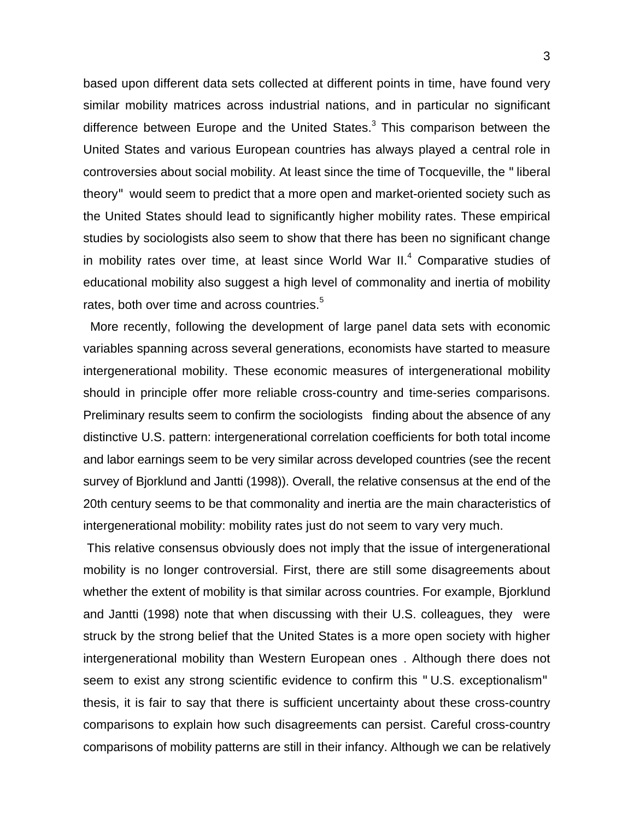based upon different data sets collected at different points in time, have found very similar mobility matrices across industrial nations, and in particular no significant difference between Europe and the United States.<sup>3</sup> This comparison between the United States and various European countries has always played a central role in controversies about social mobility. At least since the time of Tocqueville, the "liberal theory" would seem to predict that a more open and market-oriented society such as the United States should lead to significantly higher mobility rates. These empirical studies by sociologists also seem to show that there has been no significant change in mobility rates over time, at least since World War II. $<sup>4</sup>$  Comparative studies of</sup> educational mobility also suggest a high level of commonality and inertia of mobility rates, both over time and across countries.<sup>5</sup>

 More recently, following the development of large panel data sets with economic variables spanning across several generations, economists have started to measure intergenerational mobility. These economic measures of intergenerational mobility should in principle offer more reliable cross-country and time-series comparisons. Preliminary results seem to confirm the sociologists finding about the absence of any distinctive U.S. pattern: intergenerational correlation coefficients for both total income and labor earnings seem to be very similar across developed countries (see the recent survey of Bjorklund and Jantti (1998)). Overall, the relative consensus at the end of the 20th century seems to be that commonality and inertia are the main characteristics of intergenerational mobility: mobility rates just do not seem to vary very much.

 This relative consensus obviously does not imply that the issue of intergenerational mobility is no longer controversial. First, there are still some disagreements about whether the extent of mobility is that similar across countries. For example, Bjorklund and Jantti (1998) note that when discussing with their U.S. colleagues, they were struck by the strong belief that the United States is a more open society with higher intergenerational mobility than Western European ones . Although there does not seem to exist any strong scientific evidence to confirm this "U.S. exceptionalism" thesis, it is fair to say that there is sufficient uncertainty about these cross-country comparisons to explain how such disagreements can persist. Careful cross-country comparisons of mobility patterns are still in their infancy. Although we can be relatively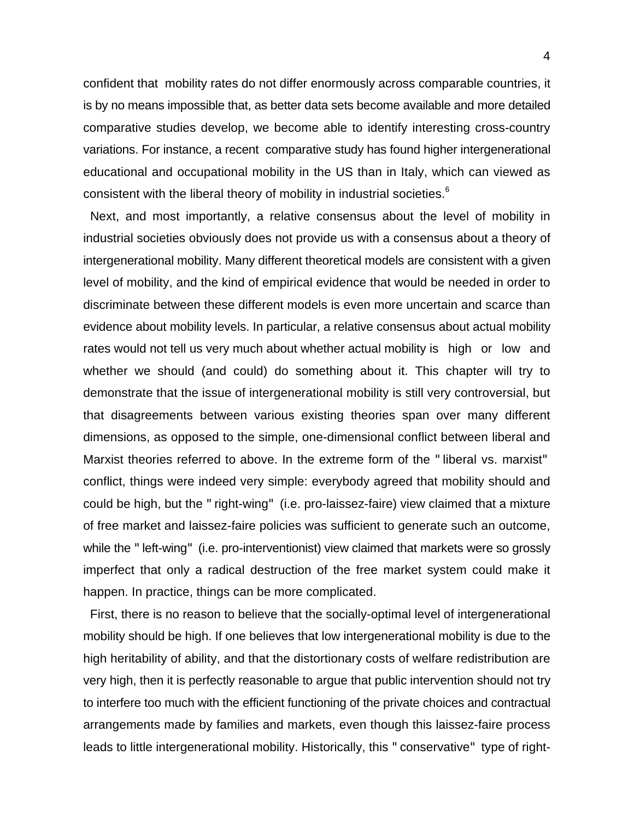confident that mobility rates do not differ enormously across comparable countries, it is by no means impossible that, as better data sets become available and more detailed comparative studies develop, we become able to identify interesting cross-country variations. For instance, a recent comparative study has found higher intergenerational educational and occupational mobility in the US than in Italy, which can viewed as consistent with the liberal theory of mobility in industrial societies.<sup>6</sup>

 Next, and most importantly, a relative consensus about the level of mobility in industrial societies obviously does not provide us with a consensus about a theory of intergenerational mobility. Many different theoretical models are consistent with a given level of mobility, and the kind of empirical evidence that would be needed in order to discriminate between these different models is even more uncertain and scarce than evidence about mobility levels. In particular, a relative consensus about actual mobility rates would not tell us very much about whether actual mobility is high or low and whether we should (and could) do something about it. This chapter will try to demonstrate that the issue of intergenerational mobility is still very controversial, but that disagreements between various existing theories span over many different dimensions, as opposed to the simple, one-dimensional conflict between liberal and Marxist theories referred to above. In the extreme form of the "liberal vs. marxist" conflict, things were indeed very simple: everybody agreed that mobility should and could be high, but the "right-wing" (i.e. pro-laissez-faire) view claimed that a mixture of free market and laissez-faire policies was sufficient to generate such an outcome, while the "left-wing" (i.e. pro-interventionist) view claimed that markets were so grossly imperfect that only a radical destruction of the free market system could make it happen. In practice, things can be more complicated.

 First, there is no reason to believe that the socially-optimal level of intergenerational mobility should be high. If one believes that low intergenerational mobility is due to the high heritability of ability, and that the distortionary costs of welfare redistribution are very high, then it is perfectly reasonable to argue that public intervention should not try to interfere too much with the efficient functioning of the private choices and contractual arrangements made by families and markets, even though this laissez-faire process leads to little intergenerational mobility. Historically, this "conservative" type of right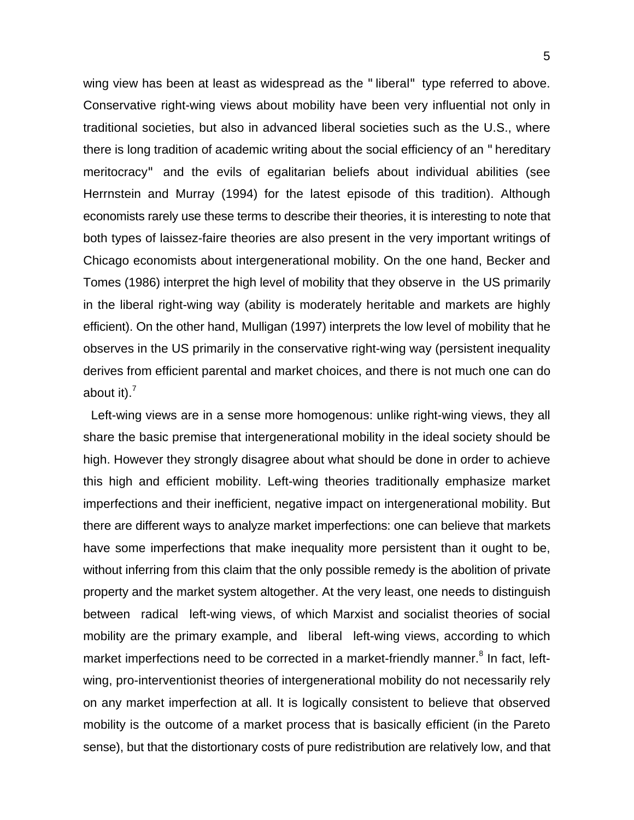wing view has been at least as widespread as the "liberal" type referred to above. Conservative right-wing views about mobility have been very influential not only in traditional societies, but also in advanced liberal societies such as the U.S., where there is long tradition of academic writing about the social efficiency of an "hereditary meritocracy" and the evils of egalitarian beliefs about individual abilities (see Herrnstein and Murray (1994) for the latest episode of this tradition). Although economists rarely use these terms to describe their theories, it is interesting to note that both types of laissez-faire theories are also present in the very important writings of Chicago economists about intergenerational mobility. On the one hand, Becker and Tomes (1986) interpret the high level of mobility that they observe in the US primarily in the liberal right-wing way (ability is moderately heritable and markets are highly efficient). On the other hand, Mulligan (1997) interprets the low level of mobility that he observes in the US primarily in the conservative right-wing way (persistent inequality derives from efficient parental and market choices, and there is not much one can do about it). $<sup>7</sup>$ </sup>

 Left-wing views are in a sense more homogenous: unlike right-wing views, they all share the basic premise that intergenerational mobility in the ideal society should be high. However they strongly disagree about what should be done in order to achieve this high and efficient mobility. Left-wing theories traditionally emphasize market imperfections and their inefficient, negative impact on intergenerational mobility. But there are different ways to analyze market imperfections: one can believe that markets have some imperfections that make inequality more persistent than it ought to be, without inferring from this claim that the only possible remedy is the abolition of private property and the market system altogether. At the very least, one needs to distinguish between radical left-wing views, of which Marxist and socialist theories of social mobility are the primary example, and liberal left-wing views, according to which market imperfections need to be corrected in a market-friendly manner.<sup>8</sup> In fact, leftwing, pro-interventionist theories of intergenerational mobility do not necessarily rely on any market imperfection at all. It is logically consistent to believe that observed mobility is the outcome of a market process that is basically efficient (in the Pareto sense), but that the distortionary costs of pure redistribution are relatively low, and that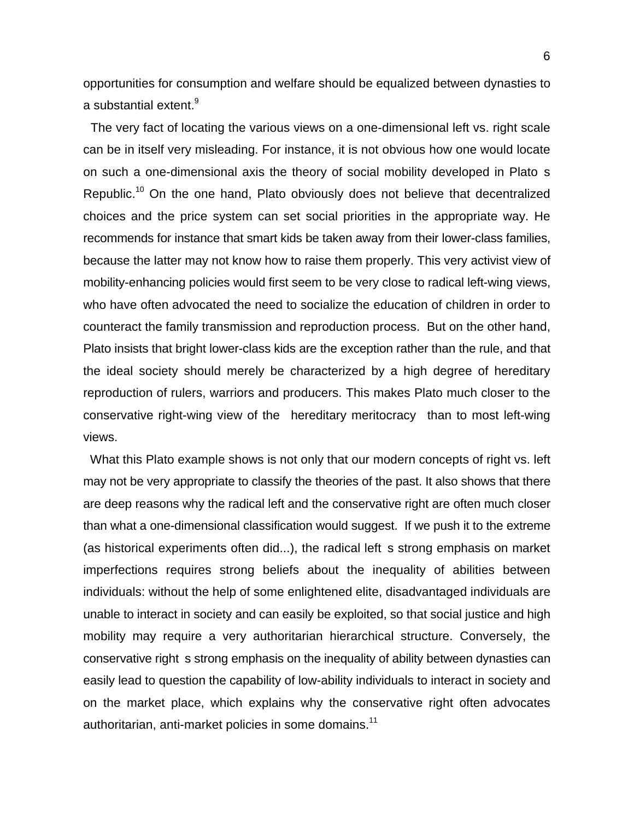opportunities for consumption and welfare should be equalized between dynasties to a substantial extent.<sup>9</sup>

 The very fact of locating the various views on a one-dimensional left vs. right scale can be in itself very misleading. For instance, it is not obvious how one would locate on such a one-dimensional axis the theory of social mobility developed in Plato s Republic.<sup>10</sup> On the one hand, Plato obviously does not believe that decentralized choices and the price system can set social priorities in the appropriate way. He recommends for instance that smart kids be taken away from their lower-class families, because the latter may not know how to raise them properly. This very activist view of mobility-enhancing policies would first seem to be very close to radical left-wing views, who have often advocated the need to socialize the education of children in order to counteract the family transmission and reproduction process. But on the other hand, Plato insists that bright lower-class kids are the exception rather than the rule, and that the ideal society should merely be characterized by a high degree of hereditary reproduction of rulers, warriors and producers. This makes Plato much closer to the conservative right-wing view of the hereditary meritocracy than to most left-wing views.

 What this Plato example shows is not only that our modern concepts of right vs. left may not be very appropriate to classify the theories of the past. It also shows that there are deep reasons why the radical left and the conservative right are often much closer than what a one-dimensional classification would suggest. If we push it to the extreme (as historical experiments often did...), the radical left s strong emphasis on market imperfections requires strong beliefs about the inequality of abilities between individuals: without the help of some enlightened elite, disadvantaged individuals are unable to interact in society and can easily be exploited, so that social justice and high mobility may require a very authoritarian hierarchical structure. Conversely, the conservative right s strong emphasis on the inequality of ability between dynasties can easily lead to question the capability of low-ability individuals to interact in society and on the market place, which explains why the conservative right often advocates authoritarian, anti-market policies in some domains. $^{11}$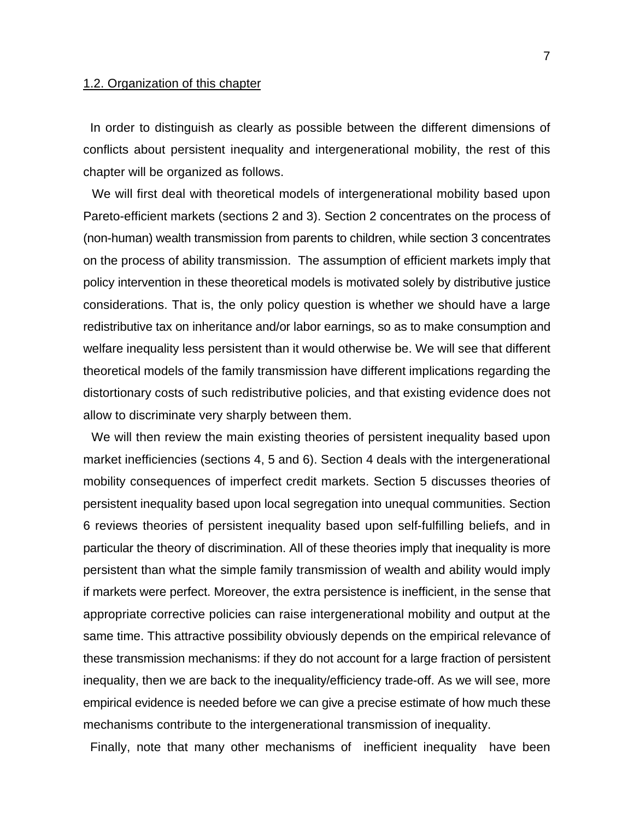#### 1.2. Organization of this chapter

 In order to distinguish as clearly as possible between the different dimensions of conflicts about persistent inequality and intergenerational mobility, the rest of this chapter will be organized as follows.

 We will first deal with theoretical models of intergenerational mobility based upon Pareto-efficient markets (sections 2 and 3). Section 2 concentrates on the process of (non-human) wealth transmission from parents to children, while section 3 concentrates on the process of ability transmission. The assumption of efficient markets imply that policy intervention in these theoretical models is motivated solely by distributive justice considerations. That is, the only policy question is whether we should have a large redistributive tax on inheritance and/or labor earnings, so as to make consumption and welfare inequality less persistent than it would otherwise be. We will see that different theoretical models of the family transmission have different implications regarding the distortionary costs of such redistributive policies, and that existing evidence does not allow to discriminate very sharply between them.

 We will then review the main existing theories of persistent inequality based upon market inefficiencies (sections 4, 5 and 6). Section 4 deals with the intergenerational mobility consequences of imperfect credit markets. Section 5 discusses theories of persistent inequality based upon local segregation into unequal communities. Section 6 reviews theories of persistent inequality based upon self-fulfilling beliefs, and in particular the theory of discrimination. All of these theories imply that inequality is more persistent than what the simple family transmission of wealth and ability would imply if markets were perfect. Moreover, the extra persistence is inefficient, in the sense that appropriate corrective policies can raise intergenerational mobility and output at the same time. This attractive possibility obviously depends on the empirical relevance of these transmission mechanisms: if they do not account for a large fraction of persistent inequality, then we are back to the inequality/efficiency trade-off. As we will see, more empirical evidence is needed before we can give a precise estimate of how much these mechanisms contribute to the intergenerational transmission of inequality.

Finally, note that many other mechanisms of inefficient inequality have been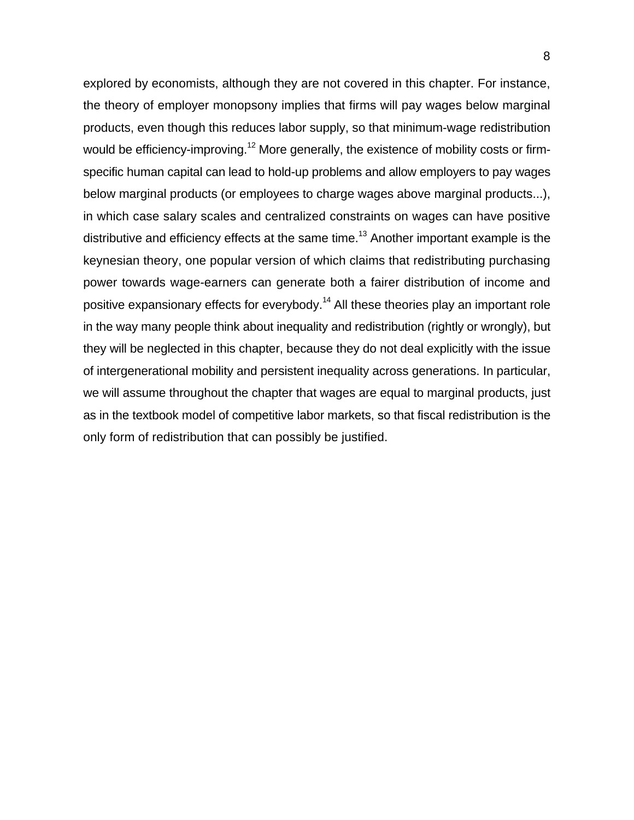explored by economists, although they are not covered in this chapter. For instance, the theory of employer monopsony implies that firms will pay wages below marginal products, even though this reduces labor supply, so that minimum-wage redistribution would be efficiency-improving.<sup>12</sup> More generally, the existence of mobility costs or firmspecific human capital can lead to hold-up problems and allow employers to pay wages below marginal products (or employees to charge wages above marginal products...), in which case salary scales and centralized constraints on wages can have positive distributive and efficiency effects at the same time.<sup>13</sup> Another important example is the keynesian theory, one popular version of which claims that redistributing purchasing power towards wage-earners can generate both a fairer distribution of income and positive expansionary effects for everybody.<sup>14</sup> All these theories play an important role in the way many people think about inequality and redistribution (rightly or wrongly), but they will be neglected in this chapter, because they do not deal explicitly with the issue of intergenerational mobility and persistent inequality across generations. In particular, we will assume throughout the chapter that wages are equal to marginal products, just as in the textbook model of competitive labor markets, so that fiscal redistribution is the only form of redistribution that can possibly be justified.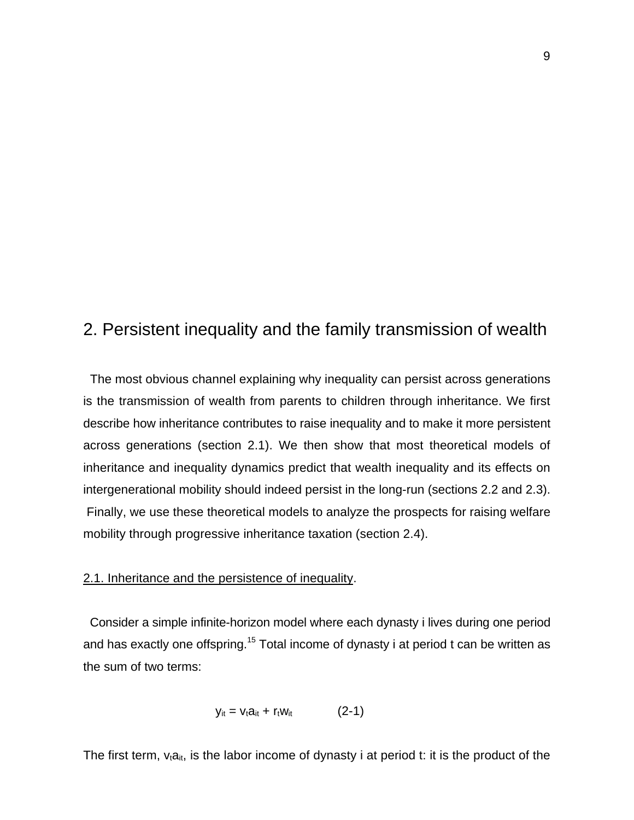# 2. Persistent inequality and the family transmission of wealth

 The most obvious channel explaining why inequality can persist across generations is the transmission of wealth from parents to children through inheritance. We first describe how inheritance contributes to raise inequality and to make it more persistent across generations (section 2.1). We then show that most theoretical models of inheritance and inequality dynamics predict that wealth inequality and its effects on intergenerational mobility should indeed persist in the long-run (sections 2.2 and 2.3). Finally, we use these theoretical models to analyze the prospects for raising welfare mobility through progressive inheritance taxation (section 2.4).

#### 2.1. Inheritance and the persistence of inequality.

 Consider a simple infinite-horizon model where each dynasty i lives during one period and has exactly one offspring.<sup>15</sup> Total income of dynasty i at period t can be written as the sum of two terms:

$$
y_{it} = v_t a_{it} + r_t w_{it} \qquad (2-1)
$$

The first term,  $v_t a_{it}$ , is the labor income of dynasty i at period t: it is the product of the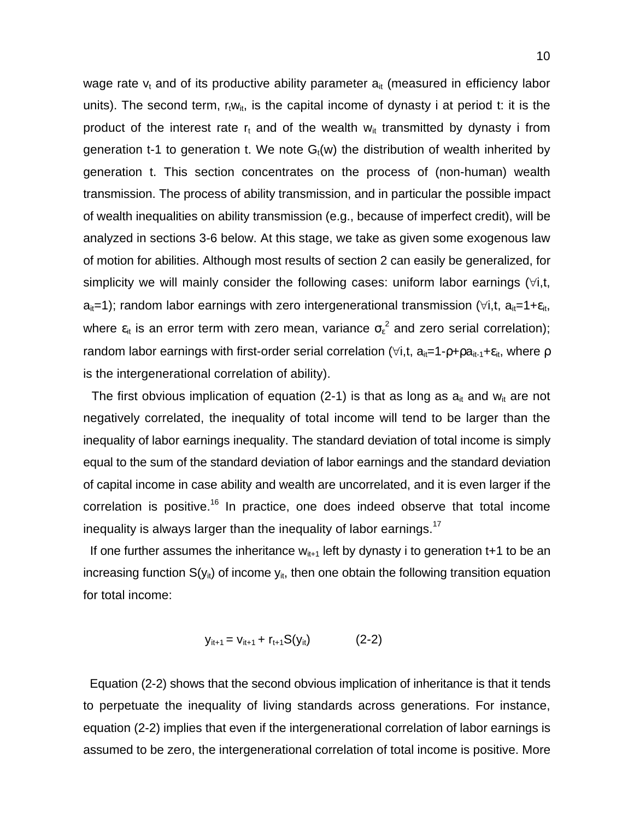wage rate  $v_t$  and of its productive ability parameter  $a_{it}$  (measured in efficiency labor units). The second term,  $r_t w_{it}$ , is the capital income of dynasty i at period t: it is the product of the interest rate  $r_t$  and of the wealth  $w_{it}$  transmitted by dynasty i from generation t-1 to generation t. We note  $G<sub>t</sub>(w)$  the distribution of wealth inherited by generation t. This section concentrates on the process of (non-human) wealth transmission. The process of ability transmission, and in particular the possible impact of wealth inequalities on ability transmission (e.g., because of imperfect credit), will be analyzed in sections 3-6 below. At this stage, we take as given some exogenous law of motion for abilities. Although most results of section 2 can easily be generalized, for simplicity we will mainly consider the following cases: uniform labor earnings  $(\forall i, t, \forall j)$  $a_{it}=1$ ); random labor earnings with zero intergenerational transmission ( $\forall i, t, a_{it}=1+\varepsilon_{it}$ , where  $\varepsilon_{it}$  is an error term with zero mean, variance  $\sigma_{\varepsilon}^2$  and zero serial correlation); random labor earnings with first-order serial correlation ( $\forall i, t, a_{it} = 1-p+pa_{it-1}+\varepsilon_{it}$ , where  $\rho$ is the intergenerational correlation of ability).

The first obvious implication of equation (2-1) is that as long as  $a_{it}$  and  $w_{it}$  are not negatively correlated, the inequality of total income will tend to be larger than the inequality of labor earnings inequality. The standard deviation of total income is simply equal to the sum of the standard deviation of labor earnings and the standard deviation of capital income in case ability and wealth are uncorrelated, and it is even larger if the correlation is positive.<sup>16</sup> In practice, one does indeed observe that total income inequality is always larger than the inequality of labor earnings.<sup>17</sup>

If one further assumes the inheritance  $w_{it+1}$  left by dynasty i to generation t+1 to be an increasing function  $S(y_{it})$  of income  $y_{it}$ , then one obtain the following transition equation for total income:

$$
y_{it+1} = v_{it+1} + r_{t+1}S(y_{it})
$$
 (2-2)

 Equation (2-2) shows that the second obvious implication of inheritance is that it tends to perpetuate the inequality of living standards across generations. For instance, equation (2-2) implies that even if the intergenerational correlation of labor earnings is assumed to be zero, the intergenerational correlation of total income is positive. More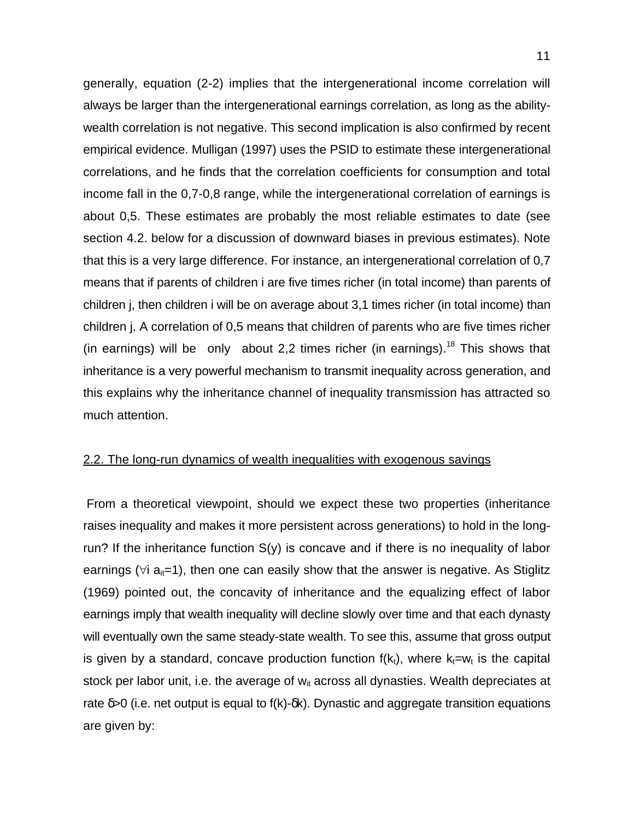generally, equation (2-2) implies that the intergenerational income correlation will always be larger than the intergenerational earnings correlation, as long as the abilitywealth correlation is not negative. This second implication is also confirmed by recent empirical evidence. Mulligan (1997) uses the PSID to estimate these intergenerational correlations, and he finds that the correlation coefficients for consumption and total income fall in the 0,7-0,8 range, while the intergenerational correlation of earnings is about 0,5. These estimates are probably the most reliable estimates to date (see section 4.2. below for a discussion of downward biases in previous estimates). Note that this is a very large difference. For instance, an intergenerational correlation of 0,7 means that if parents of children i are five times richer (in total income) than parents of children j, then children i will be on average about 3,1 times richer (in total income) than children j. A correlation of 0,5 means that children of parents who are five times richer (in earnings) will be only about 2,2 times richer (in earnings).<sup>18</sup> This shows that inheritance is a very powerful mechanism to transmit inequality across generation, and this explains why the inheritance channel of inequality transmission has attracted so much attention.

#### 2.2. The long-run dynamics of wealth inequalities with exogenous savings

 From a theoretical viewpoint, should we expect these two properties (inheritance raises inequality and makes it more persistent across generations) to hold in the longrun? If the inheritance function S(y) is concave and if there is no inequality of labor earnings ( $\forall i$  a<sub>it</sub>=1), then one can easily show that the answer is negative. As Stiglitz (1969) pointed out, the concavity of inheritance and the equalizing effect of labor earnings imply that wealth inequality will decline slowly over time and that each dynasty will eventually own the same steady-state wealth. To see this, assume that gross output is given by a standard, concave production function  $f(k_t)$ , where  $k_t=w_t$  is the capital stock per labor unit, i.e. the average of  $w_{it}$  across all dynasties. Wealth depreciates at rate  $\delta$  >0 (i.e. net output is equal to  $f(k)$ - $\delta$ k). Dynastic and aggregate transition equations are given by: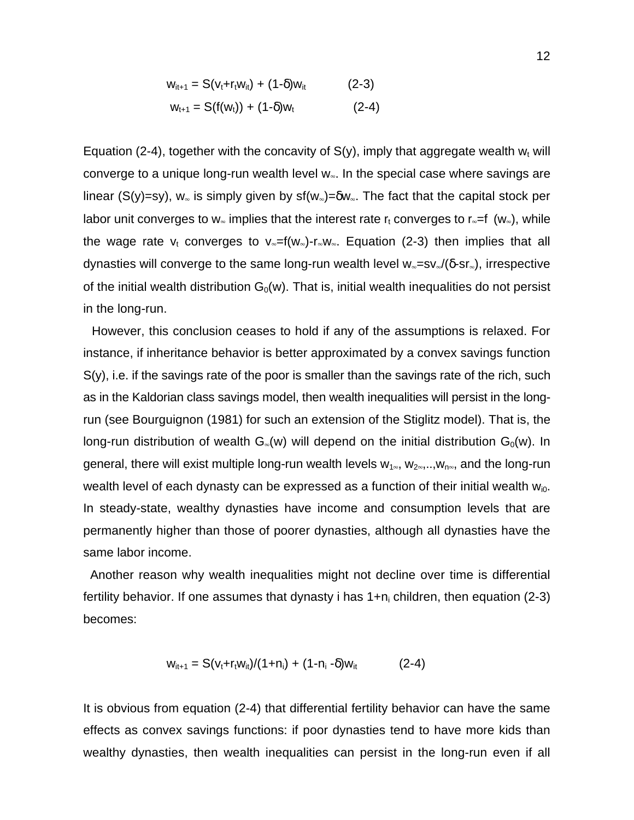$$
w_{it+1} = S(v_t + r_t w_{it}) + (1-\delta)w_{it}
$$
 (2-3)  

$$
w_{t+1} = S(f(w_t)) + (1-\delta)w_t
$$
 (2-4)

Equation (2-4), together with the concavity of  $S(y)$ , imply that aggregate wealth  $w_t$  will converge to a unique long-run wealth level w4. In the special case where savings are linear (S(y)=sy), w<sub>«</sub> is simply given by sf(w<sub>«</sub>)=δw<sub>«</sub>. The fact that the capital stock per labor unit converges to w<sub>«</sub> implies that the interest rate  $r_t$  converges to  $r_{\infty}=f(w_{\infty})$ , while the wage rate  $v_t$  converges to  $v_x=f(w_x)-r_xw_x$ . Equation (2-3) then implies that all dynasties will converge to the same long-run wealth level w<sub>α</sub>=sv $\sqrt{(δ-sr_{\alpha})}$ , irrespective of the initial wealth distribution  $G_0(w)$ . That is, initial wealth inequalities do not persist in the long-run.

 However, this conclusion ceases to hold if any of the assumptions is relaxed. For instance, if inheritance behavior is better approximated by a convex savings function S(y), i.e. if the savings rate of the poor is smaller than the savings rate of the rich, such as in the Kaldorian class savings model, then wealth inequalities will persist in the longrun (see Bourguignon (1981) for such an extension of the Stiglitz model). That is, the long-run distribution of wealth  $G_{\infty}(w)$  will depend on the initial distribution  $G_0(w)$ . In general, there will exist multiple long-run wealth levels  $w_{1\infty}$ ,  $w_{2\infty}$ ,..,w<sub>n $\infty$ </sub>, and the long-run wealth level of each dynasty can be expressed as a function of their initial wealth  $w_{i0}$ . In steady-state, wealthy dynasties have income and consumption levels that are permanently higher than those of poorer dynasties, although all dynasties have the same labor income.

 Another reason why wealth inequalities might not decline over time is differential fertility behavior. If one assumes that dynasty i has  $1+n_i$  children, then equation (2-3) becomes:

$$
W_{it+1} = S(v_t + r_t w_{it})/(1 + n_i) + (1 - n_i - \delta) w_{it}
$$
 (2-4)

It is obvious from equation (2-4) that differential fertility behavior can have the same effects as convex savings functions: if poor dynasties tend to have more kids than wealthy dynasties, then wealth inequalities can persist in the long-run even if all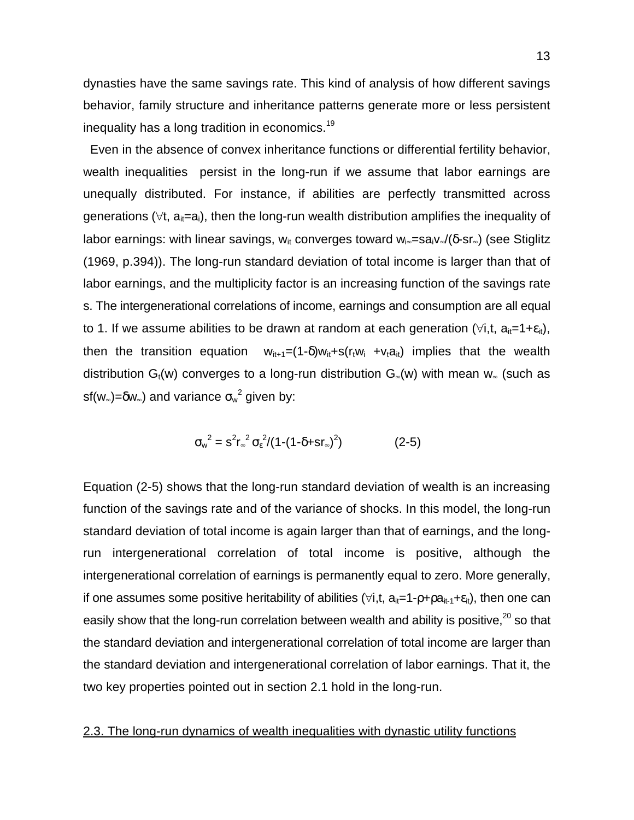dynasties have the same savings rate. This kind of analysis of how different savings behavior, family structure and inheritance patterns generate more or less persistent inequality has a long tradition in economics.<sup>19</sup>

 Even in the absence of convex inheritance functions or differential fertility behavior, wealth inequalities persist in the long-run if we assume that labor earnings are unequally distributed. For instance, if abilities are perfectly transmitted across generations ( $\forall$ t, a<sub>it</sub>=a<sub>i</sub>), then the long-run wealth distribution amplifies the inequality of labor earnings: with linear savings,  $w_{it}$  converges toward  $w_{i\infty}=sa_{i}v_{\infty}/(\delta$ -sr<sub> $\infty$ </sub>) (see Stiglitz (1969, p.394)). The long-run standard deviation of total income is larger than that of labor earnings, and the multiplicity factor is an increasing function of the savings rate s. The intergenerational correlations of income, earnings and consumption are all equal to 1. If we assume abilities to be drawn at random at each generation ( $\forall i, t, a_{it}=1+\varepsilon_{it}$ ), then the transition equation  $w_{it+1} = (1-\delta)w_{it} + s(r_tw_i + v_t a_{it})$  implies that the wealth distribution  $G_t(w)$  converges to a long-run distribution  $G_w(w)$  with mean w<sub>«</sub> (such as sf(w<sub>∞</sub>)=δw<sub>∞</sub>) and variance  $\sigma_{\sf w}{}^2$  given by:

$$
\sigma_w^2 = s^2 r_\infty^2 \sigma_\varepsilon^2 / (1 - (1 - \delta + sr_\infty)^2)
$$
 (2-5)

Equation (2-5) shows that the long-run standard deviation of wealth is an increasing function of the savings rate and of the variance of shocks. In this model, the long-run standard deviation of total income is again larger than that of earnings, and the longrun intergenerational correlation of total income is positive, although the intergenerational correlation of earnings is permanently equal to zero. More generally, if one assumes some positive heritability of abilities ( $\forall i, t$ ,  $a_{it}=1-p+p a_{it-1}+ \varepsilon_{it}$ ), then one can easily show that the long-run correlation between wealth and ability is positive,<sup>20</sup> so that the standard deviation and intergenerational correlation of total income are larger than the standard deviation and intergenerational correlation of labor earnings. That it, the two key properties pointed out in section 2.1 hold in the long-run.

#### 2.3. The long-run dynamics of wealth inequalities with dynastic utility functions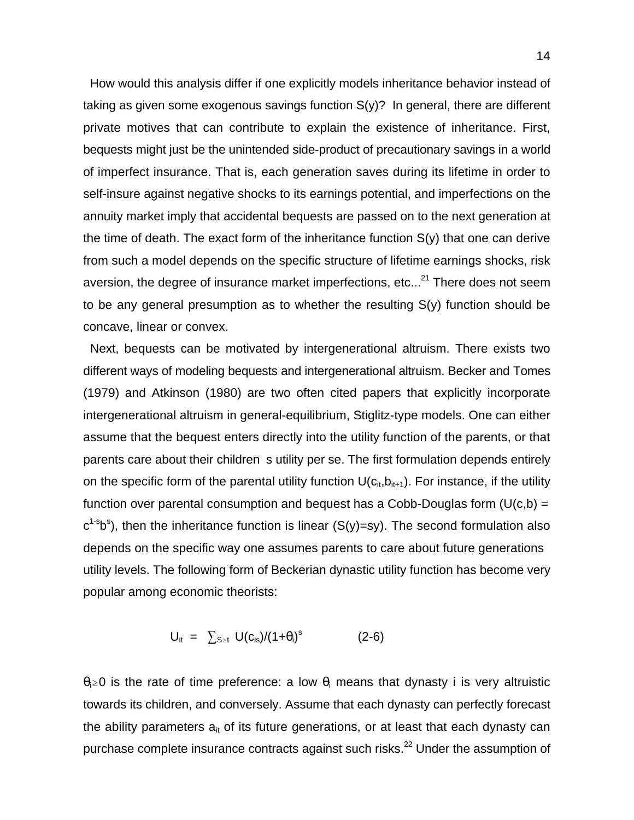How would this analysis differ if one explicitly models inheritance behavior instead of taking as given some exogenous savings function S(y)? In general, there are different private motives that can contribute to explain the existence of inheritance. First, bequests might just be the unintended side-product of precautionary savings in a world of imperfect insurance. That is, each generation saves during its lifetime in order to self-insure against negative shocks to its earnings potential, and imperfections on the annuity market imply that accidental bequests are passed on to the next generation at the time of death. The exact form of the inheritance function S(y) that one can derive from such a model depends on the specific structure of lifetime earnings shocks, risk aversion, the degree of insurance market imperfections, etc...<sup>21</sup> There does not seem to be any general presumption as to whether the resulting S(y) function should be concave, linear or convex.

 Next, bequests can be motivated by intergenerational altruism. There exists two different ways of modeling bequests and intergenerational altruism. Becker and Tomes (1979) and Atkinson (1980) are two often cited papers that explicitly incorporate intergenerational altruism in general-equilibrium, Stiglitz-type models. One can either assume that the bequest enters directly into the utility function of the parents, or that parents care about their children s utility per se. The first formulation depends entirely on the specific form of the parental utility function  $U(c_{it},b_{it+1})$ . For instance, if the utility function over parental consumption and bequest has a Cobb-Douglas form  $(U(c,b) =$  $c^{1-s}b^{s}$ ), then the inheritance function is linear (S(y)=sy). The second formulation also depends on the specific way one assumes parents to care about future generations utility levels. The following form of Beckerian dynastic utility function has become very popular among economic theorists:

$$
U_{it} = \sum_{S \geq t} U(c_{is})/(1+\theta_i)^s
$$
 (2-6)

 $\theta_i \geq 0$  is the rate of time preference: a low  $\theta_i$  means that dynasty i is very altruistic towards its children, and conversely. Assume that each dynasty can perfectly forecast the ability parameters  $a_{it}$  of its future generations, or at least that each dynasty can purchase complete insurance contracts against such risks.<sup>22</sup> Under the assumption of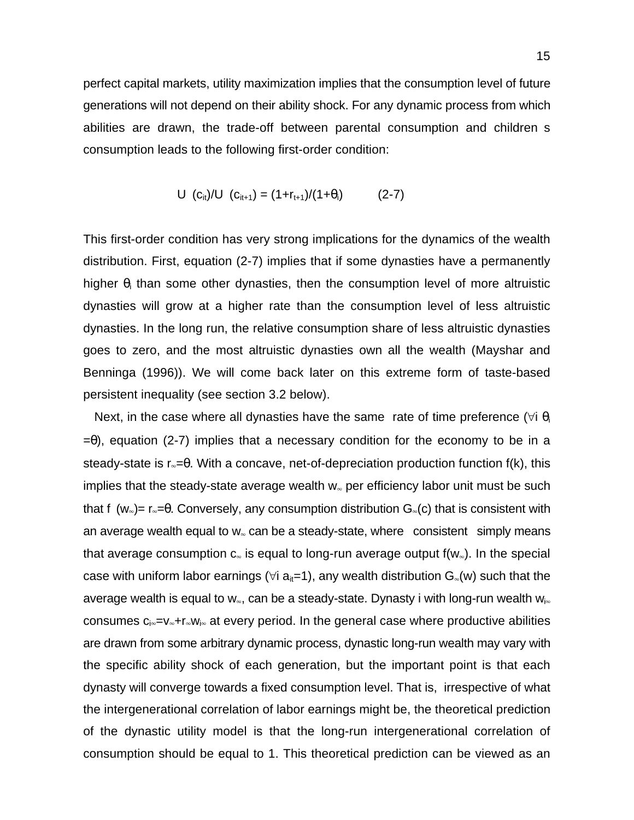perfect capital markets, utility maximization implies that the consumption level of future generations will not depend on their ability shock. For any dynamic process from which abilities are drawn, the trade-off between parental consumption and children s consumption leads to the following first-order condition:

$$
U (c_{it})/U (c_{it+1}) = (1+r_{t+1})/(1+\theta_i) \qquad (2-7)
$$

This first-order condition has very strong implications for the dynamics of the wealth distribution. First, equation (2-7) implies that if some dynasties have a permanently higher  $\theta_i$  than some other dynasties, then the consumption level of more altruistic dynasties will grow at a higher rate than the consumption level of less altruistic dynasties. In the long run, the relative consumption share of less altruistic dynasties goes to zero, and the most altruistic dynasties own all the wealth (Mayshar and Benninga (1996)). We will come back later on this extreme form of taste-based persistent inequality (see section 3.2 below).

Next, in the case where all dynasties have the same rate of time preference ( $\forall i \theta_i$  $=\theta$ ), equation (2-7) implies that a necessary condition for the economy to be in a steady-state is  $r_{\infty}=0$ . With a concave, net-of-depreciation production function  $f(k)$ , this implies that the steady-state average wealth  $w_{\infty}$  per efficiency labor unit must be such that f (w<sub>\*</sub>)= r<sub>\*</sub>= $\theta$ . Conversely, any consumption distribution  $G_{\alpha}(c)$  that is consistent with an average wealth equal to  $w_{\infty}$  can be a steady-state, where consistent simply means that average consumption  $c_{\infty}$  is equal to long-run average output  $f(w_{\infty})$ . In the special case with uniform labor earnings ( $\forall i$  a<sub>it</sub>=1), any wealth distribution G<sub><sup>«</sub>(w)</sup> such that the</sub> average wealth is equal to w<sub>oo</sub>, can be a steady-state. Dynasty i with long-run wealth w<sub>i $\infty$ </sub> consumes  $c_{i*}=v_*+r_*w_{i*}$  at every period. In the general case where productive abilities are drawn from some arbitrary dynamic process, dynastic long-run wealth may vary with the specific ability shock of each generation, but the important point is that each dynasty will converge towards a fixed consumption level. That is, irrespective of what the intergenerational correlation of labor earnings might be, the theoretical prediction of the dynastic utility model is that the long-run intergenerational correlation of consumption should be equal to 1. This theoretical prediction can be viewed as an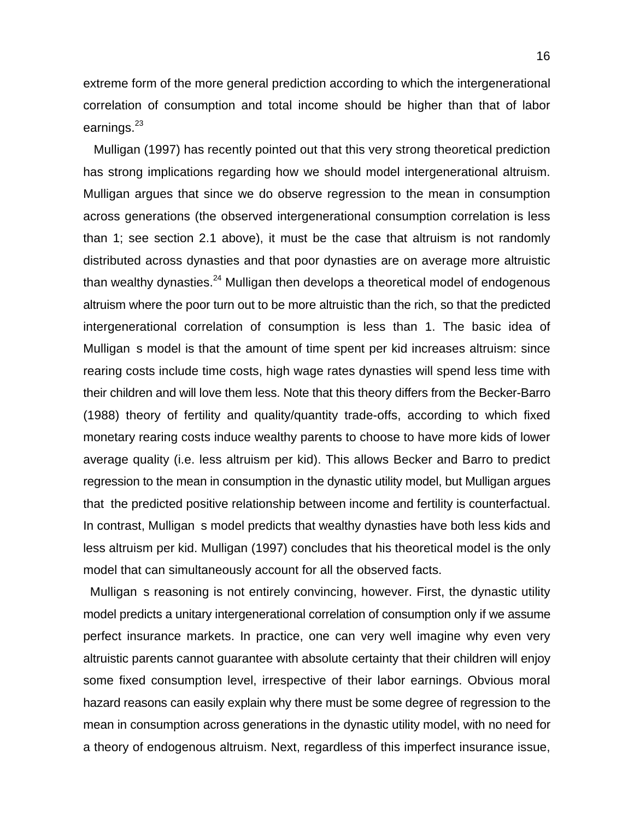extreme form of the more general prediction according to which the intergenerational correlation of consumption and total income should be higher than that of labor earnings. $^{23}$ 

 Mulligan (1997) has recently pointed out that this very strong theoretical prediction has strong implications regarding how we should model intergenerational altruism. Mulligan argues that since we do observe regression to the mean in consumption across generations (the observed intergenerational consumption correlation is less than 1; see section 2.1 above), it must be the case that altruism is not randomly distributed across dynasties and that poor dynasties are on average more altruistic than wealthy dynasties. $^{24}$  Mulligan then develops a theoretical model of endogenous altruism where the poor turn out to be more altruistic than the rich, so that the predicted intergenerational correlation of consumption is less than 1. The basic idea of Mulligan s model is that the amount of time spent per kid increases altruism: since rearing costs include time costs, high wage rates dynasties will spend less time with their children and will love them less. Note that this theory differs from the Becker-Barro (1988) theory of fertility and quality/quantity trade-offs, according to which fixed monetary rearing costs induce wealthy parents to choose to have more kids of lower average quality (i.e. less altruism per kid). This allows Becker and Barro to predict regression to the mean in consumption in the dynastic utility model, but Mulligan argues that the predicted positive relationship between income and fertility is counterfactual. In contrast, Mulligan s model predicts that wealthy dynasties have both less kids and less altruism per kid. Mulligan (1997) concludes that his theoretical model is the only model that can simultaneously account for all the observed facts.

 Mulligan s reasoning is not entirely convincing, however. First, the dynastic utility model predicts a unitary intergenerational correlation of consumption only if we assume perfect insurance markets. In practice, one can very well imagine why even very altruistic parents cannot guarantee with absolute certainty that their children will enjoy some fixed consumption level, irrespective of their labor earnings. Obvious moral hazard reasons can easily explain why there must be some degree of regression to the mean in consumption across generations in the dynastic utility model, with no need for a theory of endogenous altruism. Next, regardless of this imperfect insurance issue,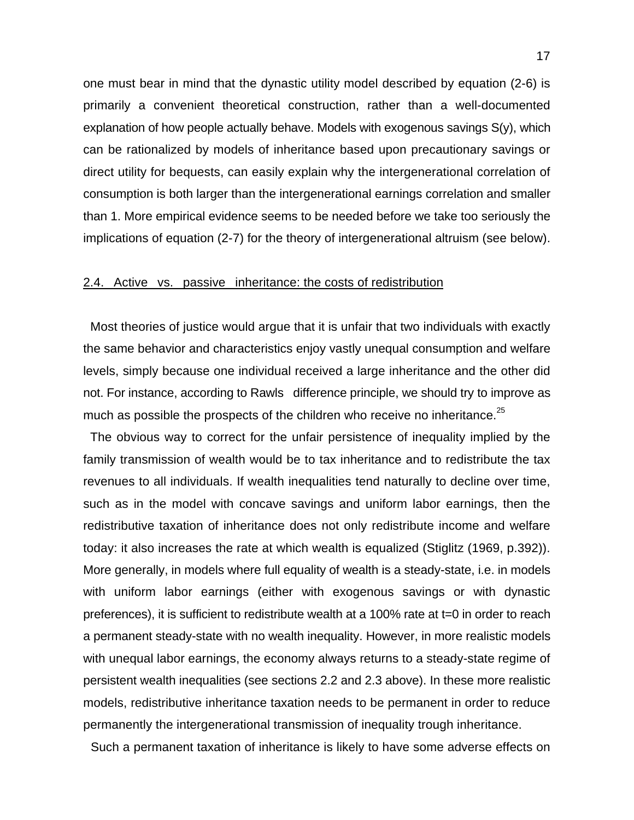one must bear in mind that the dynastic utility model described by equation (2-6) is primarily a convenient theoretical construction, rather than a well-documented explanation of how people actually behave. Models with exogenous savings S(y), which can be rationalized by models of inheritance based upon precautionary savings or direct utility for bequests, can easily explain why the intergenerational correlation of consumption is both larger than the intergenerational earnings correlation and smaller than 1. More empirical evidence seems to be needed before we take too seriously the implications of equation (2-7) for the theory of intergenerational altruism (see below).

#### 2.4. Active vs. passive inheritance: the costs of redistribution

 Most theories of justice would argue that it is unfair that two individuals with exactly the same behavior and characteristics enjoy vastly unequal consumption and welfare levels, simply because one individual received a large inheritance and the other did not. For instance, according to Rawls difference principle, we should try to improve as much as possible the prospects of the children who receive no inheritance. $^{25}$ 

 The obvious way to correct for the unfair persistence of inequality implied by the family transmission of wealth would be to tax inheritance and to redistribute the tax revenues to all individuals. If wealth inequalities tend naturally to decline over time, such as in the model with concave savings and uniform labor earnings, then the redistributive taxation of inheritance does not only redistribute income and welfare today: it also increases the rate at which wealth is equalized (Stiglitz (1969, p.392)). More generally, in models where full equality of wealth is a steady-state, i.e. in models with uniform labor earnings (either with exogenous savings or with dynastic preferences), it is sufficient to redistribute wealth at a 100% rate at t=0 in order to reach a permanent steady-state with no wealth inequality. However, in more realistic models with unequal labor earnings, the economy always returns to a steady-state regime of persistent wealth inequalities (see sections 2.2 and 2.3 above). In these more realistic models, redistributive inheritance taxation needs to be permanent in order to reduce permanently the intergenerational transmission of inequality trough inheritance.

Such a permanent taxation of inheritance is likely to have some adverse effects on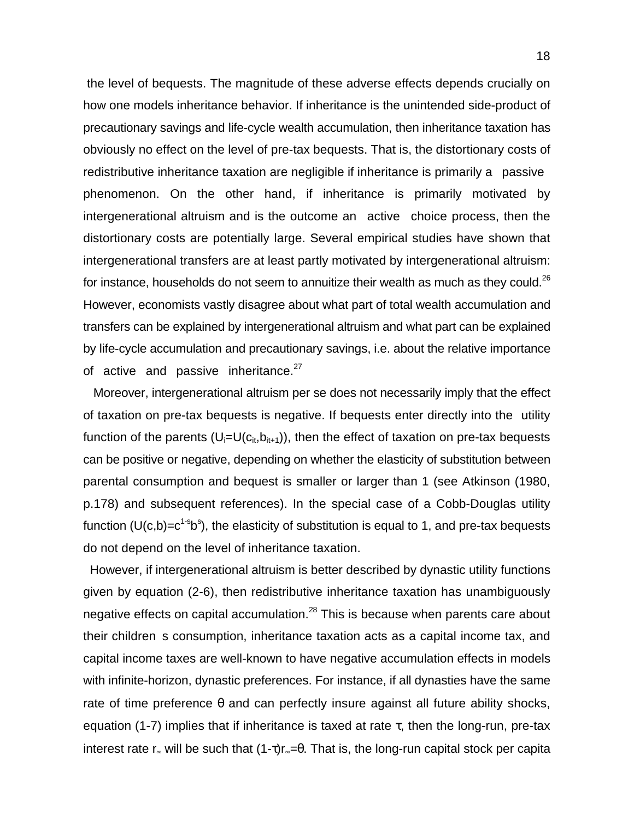the level of bequests. The magnitude of these adverse effects depends crucially on how one models inheritance behavior. If inheritance is the unintended side-product of precautionary savings and life-cycle wealth accumulation, then inheritance taxation has obviously no effect on the level of pre-tax bequests. That is, the distortionary costs of redistributive inheritance taxation are negligible if inheritance is primarily a passive phenomenon. On the other hand, if inheritance is primarily motivated by intergenerational altruism and is the outcome an active choice process, then the distortionary costs are potentially large. Several empirical studies have shown that intergenerational transfers are at least partly motivated by intergenerational altruism: for instance, households do not seem to annuitize their wealth as much as they could.<sup>26</sup> However, economists vastly disagree about what part of total wealth accumulation and transfers can be explained by intergenerational altruism and what part can be explained by life-cycle accumulation and precautionary savings, i.e. about the relative importance of active and passive inheritance. $27$ 

 Moreover, intergenerational altruism per se does not necessarily imply that the effect of taxation on pre-tax bequests is negative. If bequests enter directly into the utility function of the parents  $(U_i=U(c_{it},b_{it+1}))$ , then the effect of taxation on pre-tax bequests can be positive or negative, depending on whether the elasticity of substitution between parental consumption and bequest is smaller or larger than 1 (see Atkinson (1980, p.178) and subsequent references). In the special case of a Cobb-Douglas utility function (U(c,b)=c<sup>1-s</sup>b<sup>s</sup>), the elasticity of substitution is equal to 1, and pre-tax bequests do not depend on the level of inheritance taxation.

 However, if intergenerational altruism is better described by dynastic utility functions given by equation (2-6), then redistributive inheritance taxation has unambiguously negative effects on capital accumulation.<sup>28</sup> This is because when parents care about their children s consumption, inheritance taxation acts as a capital income tax, and capital income taxes are well-known to have negative accumulation effects in models with infinite-horizon, dynastic preferences. For instance, if all dynasties have the same rate of time preference  $\theta$  and can perfectly insure against all future ability shocks, equation (1-7) implies that if inheritance is taxed at rate  $τ$ , then the long-run, pre-tax interest rate r<sub>«</sub> will be such that  $(1-\tau)r_{\infty}=0$ . That is, the long-run capital stock per capita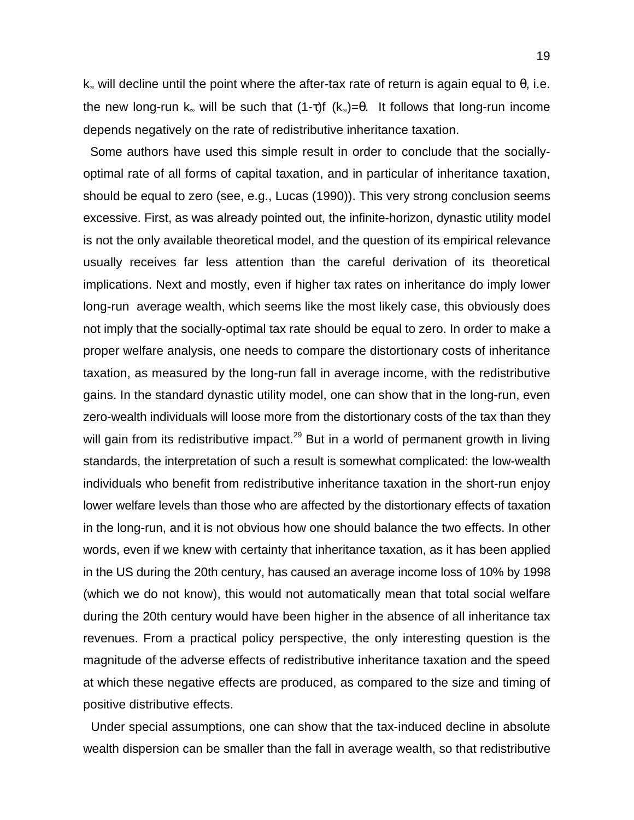$k_{\infty}$  will decline until the point where the after-tax rate of return is again equal to  $\theta$ , i.e. the new long-run k<sub>α</sub> will be such that  $(1-\tau)$ f  $(k_{\infty})=0$ . It follows that long-run income depends negatively on the rate of redistributive inheritance taxation.

 Some authors have used this simple result in order to conclude that the sociallyoptimal rate of all forms of capital taxation, and in particular of inheritance taxation, should be equal to zero (see, e.g., Lucas (1990)). This very strong conclusion seems excessive. First, as was already pointed out, the infinite-horizon, dynastic utility model is not the only available theoretical model, and the question of its empirical relevance usually receives far less attention than the careful derivation of its theoretical implications. Next and mostly, even if higher tax rates on inheritance do imply lower long-run average wealth, which seems like the most likely case, this obviously does not imply that the socially-optimal tax rate should be equal to zero. In order to make a proper welfare analysis, one needs to compare the distortionary costs of inheritance taxation, as measured by the long-run fall in average income, with the redistributive gains. In the standard dynastic utility model, one can show that in the long-run, even zero-wealth individuals will loose more from the distortionary costs of the tax than they will gain from its redistributive impact.<sup>29</sup> But in a world of permanent growth in living standards, the interpretation of such a result is somewhat complicated: the low-wealth individuals who benefit from redistributive inheritance taxation in the short-run enjoy lower welfare levels than those who are affected by the distortionary effects of taxation in the long-run, and it is not obvious how one should balance the two effects. In other words, even if we knew with certainty that inheritance taxation, as it has been applied in the US during the 20th century, has caused an average income loss of 10% by 1998 (which we do not know), this would not automatically mean that total social welfare during the 20th century would have been higher in the absence of all inheritance tax revenues. From a practical policy perspective, the only interesting question is the magnitude of the adverse effects of redistributive inheritance taxation and the speed at which these negative effects are produced, as compared to the size and timing of positive distributive effects.

 Under special assumptions, one can show that the tax-induced decline in absolute wealth dispersion can be smaller than the fall in average wealth, so that redistributive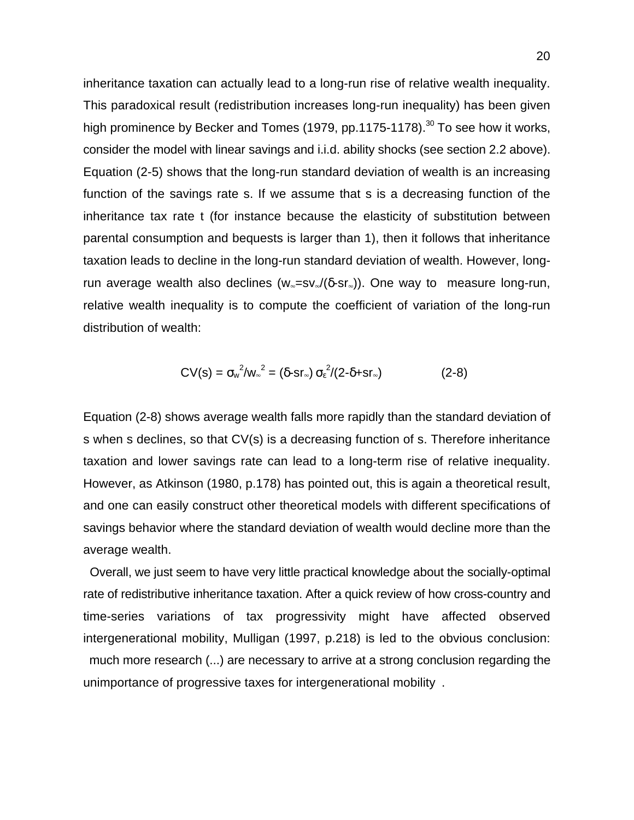inheritance taxation can actually lead to a long-run rise of relative wealth inequality. This paradoxical result (redistribution increases long-run inequality) has been given high prominence by Becker and Tomes (1979, pp.1175-1178).<sup>30</sup> To see how it works, consider the model with linear savings and i.i.d. ability shocks (see section 2.2 above). Equation (2-5) shows that the long-run standard deviation of wealth is an increasing function of the savings rate s. If we assume that s is a decreasing function of the inheritance tax rate t (for instance because the elasticity of substitution between parental consumption and bequests is larger than 1), then it follows that inheritance taxation leads to decline in the long-run standard deviation of wealth. However, longrun average wealth also declines (w<sub> $\approx$ </sub>=sv $\sqrt{(δ$ -sr<sub> $\approx$ </sub>)). One way to measure long-run, relative wealth inequality is to compute the coefficient of variation of the long-run distribution of wealth:

$$
CV(s) = \sigma_w^2/w_\infty^2 = (\delta \text{-sr}_\infty) \sigma_\varepsilon^2 / (2 \cdot \delta \text{+sr}_\infty)
$$
 (2-8)

Equation (2-8) shows average wealth falls more rapidly than the standard deviation of s when s declines, so that CV(s) is a decreasing function of s. Therefore inheritance taxation and lower savings rate can lead to a long-term rise of relative inequality. However, as Atkinson (1980, p.178) has pointed out, this is again a theoretical result, and one can easily construct other theoretical models with different specifications of savings behavior where the standard deviation of wealth would decline more than the average wealth.

 Overall, we just seem to have very little practical knowledge about the socially-optimal rate of redistributive inheritance taxation. After a quick review of how cross-country and time-series variations of tax progressivity might have affected observed intergenerational mobility, Mulligan (1997, p.218) is led to the obvious conclusion: much more research (...) are necessary to arrive at a strong conclusion regarding the unimportance of progressive taxes for intergenerational mobility .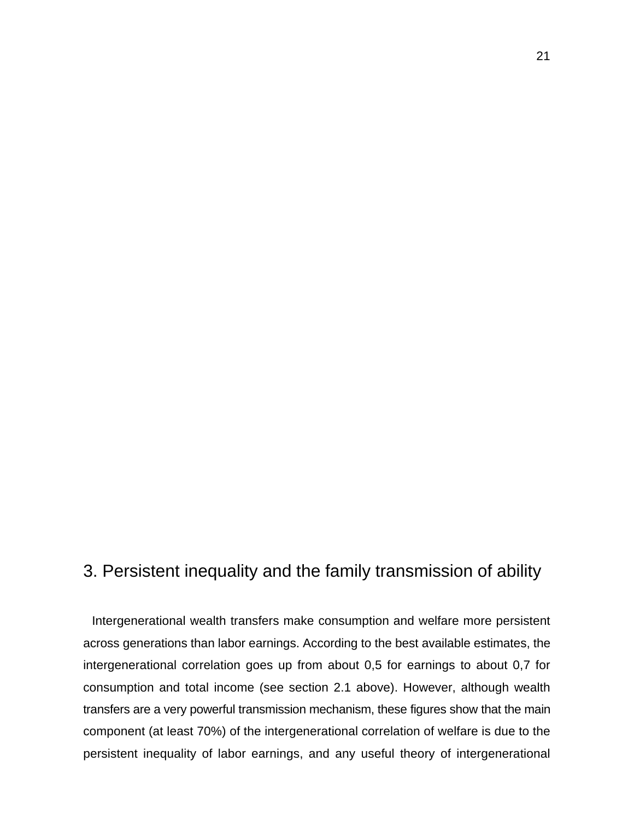# 3. Persistent inequality and the family transmission of ability

 Intergenerational wealth transfers make consumption and welfare more persistent across generations than labor earnings. According to the best available estimates, the intergenerational correlation goes up from about 0,5 for earnings to about 0,7 for consumption and total income (see section 2.1 above). However, although wealth transfers are a very powerful transmission mechanism, these figures show that the main component (at least 70%) of the intergenerational correlation of welfare is due to the persistent inequality of labor earnings, and any useful theory of intergenerational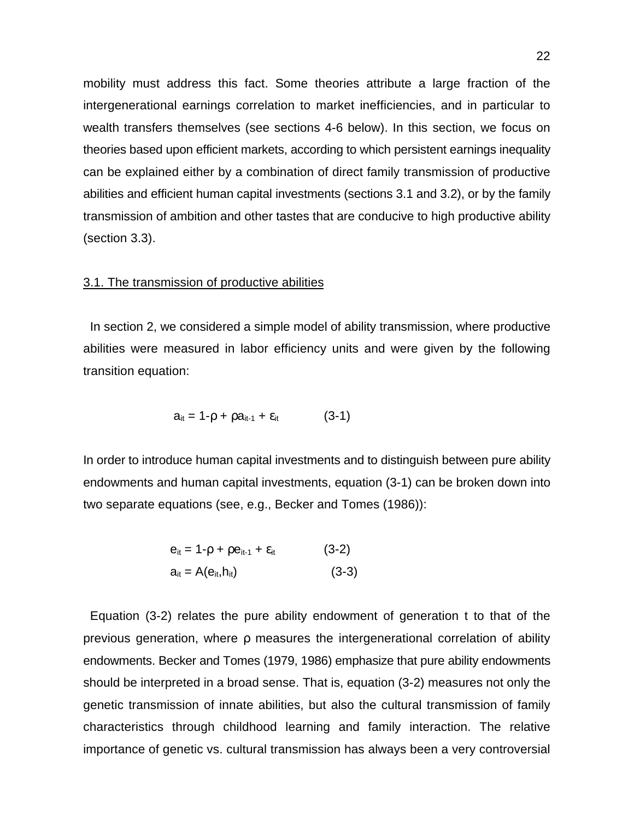mobility must address this fact. Some theories attribute a large fraction of the intergenerational earnings correlation to market inefficiencies, and in particular to wealth transfers themselves (see sections 4-6 below). In this section, we focus on theories based upon efficient markets, according to which persistent earnings inequality can be explained either by a combination of direct family transmission of productive abilities and efficient human capital investments (sections 3.1 and 3.2), or by the family transmission of ambition and other tastes that are conducive to high productive ability (section 3.3).

#### 3.1. The transmission of productive abilities

 In section 2, we considered a simple model of ability transmission, where productive abilities were measured in labor efficiency units and were given by the following transition equation:

$$
a_{it} = 1 - \rho + \rho a_{it-1} + \varepsilon_{it} \qquad (3-1)
$$

In order to introduce human capital investments and to distinguish between pure ability endowments and human capital investments, equation (3-1) can be broken down into two separate equations (see, e.g., Becker and Tomes (1986)):

$$
e_{it} = 1 - \rho + \rho e_{it-1} + \varepsilon_{it}
$$
 (3-2)  

$$
a_{it} = A(e_{it}, h_{it})
$$
 (3-3)

 Equation (3-2) relates the pure ability endowment of generation t to that of the previous generation, where ρ measures the intergenerational correlation of ability endowments. Becker and Tomes (1979, 1986) emphasize that pure ability endowments should be interpreted in a broad sense. That is, equation (3-2) measures not only the genetic transmission of innate abilities, but also the cultural transmission of family characteristics through childhood learning and family interaction. The relative importance of genetic vs. cultural transmission has always been a very controversial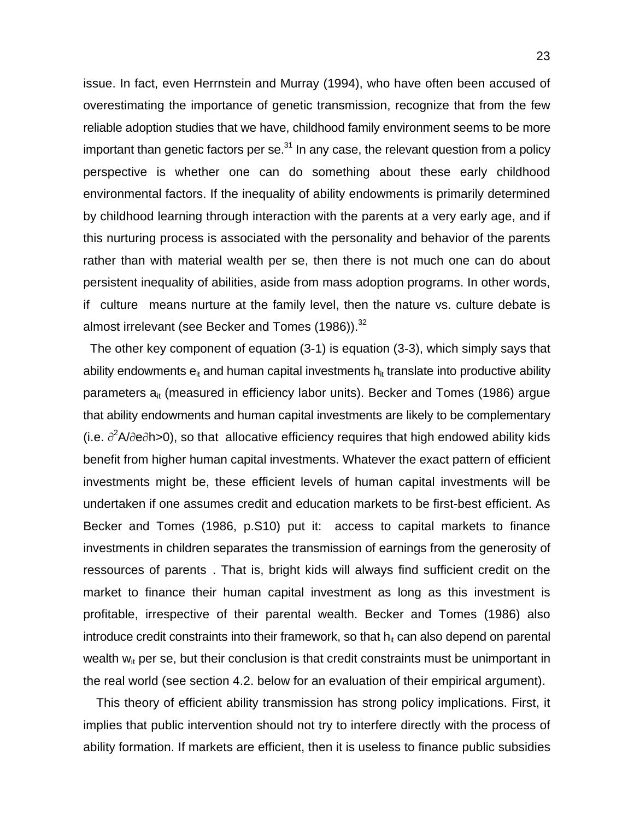issue. In fact, even Herrnstein and Murray (1994), who have often been accused of overestimating the importance of genetic transmission, recognize that from the few reliable adoption studies that we have, childhood family environment seems to be more important than genetic factors per se. $31$  In any case, the relevant question from a policy perspective is whether one can do something about these early childhood environmental factors. If the inequality of ability endowments is primarily determined by childhood learning through interaction with the parents at a very early age, and if this nurturing process is associated with the personality and behavior of the parents rather than with material wealth per se, then there is not much one can do about persistent inequality of abilities, aside from mass adoption programs. In other words, if culture means nurture at the family level, then the nature vs. culture debate is almost irrelevant (see Becker and Tomes (1986)).<sup>32</sup>

 The other key component of equation (3-1) is equation (3-3), which simply says that ability endowments  $e_{it}$  and human capital investments  $h_{it}$  translate into productive ability parameters  $a_{it}$  (measured in efficiency labor units). Becker and Tomes (1986) argue that ability endowments and human capital investments are likely to be complementary (i.e.  $\partial^2 A/\partial e \partial h$ >0), so that allocative efficiency requires that high endowed ability kids benefit from higher human capital investments. Whatever the exact pattern of efficient investments might be, these efficient levels of human capital investments will be undertaken if one assumes credit and education markets to be first-best efficient. As Becker and Tomes (1986, p.S10) put it: access to capital markets to finance investments in children separates the transmission of earnings from the generosity of ressources of parents . That is, bright kids will always find sufficient credit on the market to finance their human capital investment as long as this investment is profitable, irrespective of their parental wealth. Becker and Tomes (1986) also introduce credit constraints into their framework, so that  $h_{it}$  can also depend on parental wealth  $w_{it}$  per se, but their conclusion is that credit constraints must be unimportant in the real world (see section 4.2. below for an evaluation of their empirical argument).

 This theory of efficient ability transmission has strong policy implications. First, it implies that public intervention should not try to interfere directly with the process of ability formation. If markets are efficient, then it is useless to finance public subsidies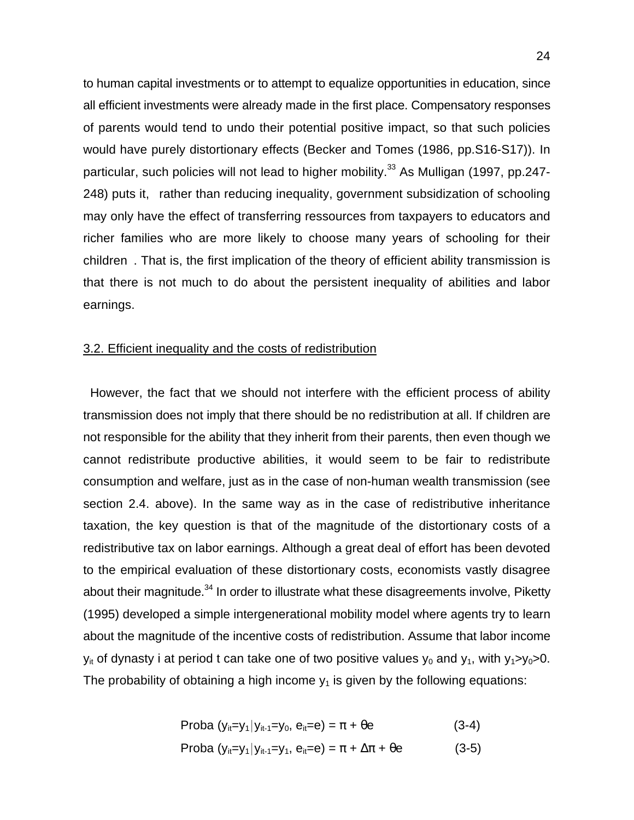to human capital investments or to attempt to equalize opportunities in education, since all efficient investments were already made in the first place. Compensatory responses of parents would tend to undo their potential positive impact, so that such policies would have purely distortionary effects (Becker and Tomes (1986, pp.S16-S17)). In particular, such policies will not lead to higher mobility.<sup>33</sup> As Mulligan (1997, pp.247-248) puts it, rather than reducing inequality, government subsidization of schooling may only have the effect of transferring ressources from taxpayers to educators and richer families who are more likely to choose many years of schooling for their children . That is, the first implication of the theory of efficient ability transmission is that there is not much to do about the persistent inequality of abilities and labor earnings.

#### 3.2. Efficient inequality and the costs of redistribution

 However, the fact that we should not interfere with the efficient process of ability transmission does not imply that there should be no redistribution at all. If children are not responsible for the ability that they inherit from their parents, then even though we cannot redistribute productive abilities, it would seem to be fair to redistribute consumption and welfare, just as in the case of non-human wealth transmission (see section 2.4. above). In the same way as in the case of redistributive inheritance taxation, the key question is that of the magnitude of the distortionary costs of a redistributive tax on labor earnings. Although a great deal of effort has been devoted to the empirical evaluation of these distortionary costs, economists vastly disagree about their magnitude.<sup>34</sup> In order to illustrate what these disagreements involve, Piketty (1995) developed a simple intergenerational mobility model where agents try to learn about the magnitude of the incentive costs of redistribution. Assume that labor income  $y_{it}$  of dynasty i at period t can take one of two positive values  $y_0$  and  $y_1$ , with  $y_1>y_0>0$ . The probability of obtaining a high income  $y_1$  is given by the following equations:

 Proba (yit=y1\*yit-1=y0, eit=e) = π + θe (3-4) Proba (yit=y1\*yit-1=y1, eit=e) = π + Δπ + θe (3-5)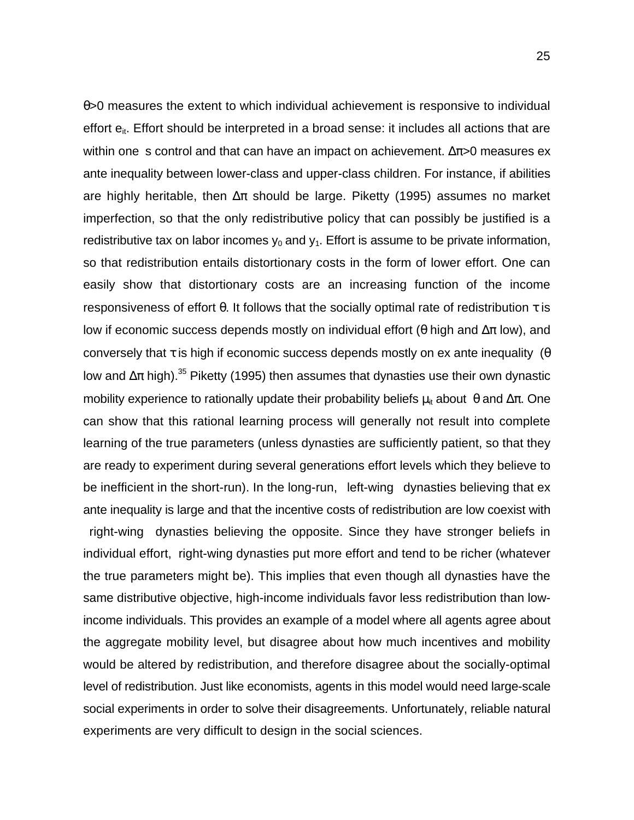θ>0 measures the extent to which individual achievement is responsive to individual effort  $e_{it}$ . Effort should be interpreted in a broad sense: it includes all actions that are within one s control and that can have an impact on achievement.  $\Delta \pi > 0$  measures ex ante inequality between lower-class and upper-class children. For instance, if abilities are highly heritable, then  $\Delta \pi$  should be large. Piketty (1995) assumes no market imperfection, so that the only redistributive policy that can possibly be justified is a redistributive tax on labor incomes  $y_0$  and  $y_1$ . Effort is assume to be private information, so that redistribution entails distortionary costs in the form of lower effort. One can easily show that distortionary costs are an increasing function of the income responsiveness of effort  $θ$ . It follows that the socially optimal rate of redistribution  $τ$  is low if economic success depends mostly on individual effort (θ high and  $Δπ$  low), and conversely that  $\tau$  is high if economic success depends mostly on ex ante inequality ( $\theta$ ) low and  $Δπ$  high).<sup>35</sup> Piketty (1995) then assumes that dynasties use their own dynastic mobility experience to rationally update their probability beliefs  $\mu_{it}$  about  $\theta$  and  $\Delta \pi$ . One can show that this rational learning process will generally not result into complete learning of the true parameters (unless dynasties are sufficiently patient, so that they are ready to experiment during several generations effort levels which they believe to be inefficient in the short-run). In the long-run, left-wing dynasties believing that ex ante inequality is large and that the incentive costs of redistribution are low coexist with right-wing dynasties believing the opposite. Since they have stronger beliefs in individual effort, right-wing dynasties put more effort and tend to be richer (whatever the true parameters might be). This implies that even though all dynasties have the same distributive objective, high-income individuals favor less redistribution than lowincome individuals. This provides an example of a model where all agents agree about the aggregate mobility level, but disagree about how much incentives and mobility would be altered by redistribution, and therefore disagree about the socially-optimal level of redistribution. Just like economists, agents in this model would need large-scale social experiments in order to solve their disagreements. Unfortunately, reliable natural experiments are very difficult to design in the social sciences.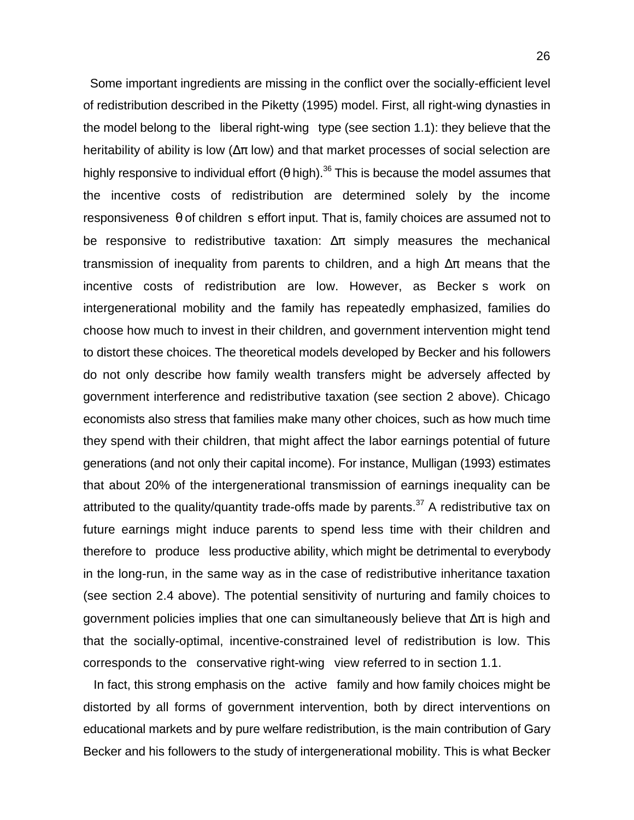Some important ingredients are missing in the conflict over the socially-efficient level of redistribution described in the Piketty (1995) model. First, all right-wing dynasties in the model belong to the liberal right-wing type (see section 1.1): they believe that the heritability of ability is low ( $\Delta \pi$  low) and that market processes of social selection are highly responsive to individual effort ( $\theta$  high).<sup>36</sup> This is because the model assumes that the incentive costs of redistribution are determined solely by the income responsiveness θ of children s effort input. That is, family choices are assumed not to be responsive to redistributive taxation:  $\Delta \pi$  simply measures the mechanical transmission of inequality from parents to children, and a high  $\Delta\pi$  means that the incentive costs of redistribution are low. However, as Becker s work on intergenerational mobility and the family has repeatedly emphasized, families do choose how much to invest in their children, and government intervention might tend to distort these choices. The theoretical models developed by Becker and his followers do not only describe how family wealth transfers might be adversely affected by government interference and redistributive taxation (see section 2 above). Chicago economists also stress that families make many other choices, such as how much time they spend with their children, that might affect the labor earnings potential of future generations (and not only their capital income). For instance, Mulligan (1993) estimates that about 20% of the intergenerational transmission of earnings inequality can be attributed to the quality/quantity trade-offs made by parents.<sup>37</sup> A redistributive tax on future earnings might induce parents to spend less time with their children and therefore to produce less productive ability, which might be detrimental to everybody in the long-run, in the same way as in the case of redistributive inheritance taxation (see section 2.4 above). The potential sensitivity of nurturing and family choices to government policies implies that one can simultaneously believe that  $\Delta \pi$  is high and that the socially-optimal, incentive-constrained level of redistribution is low. This corresponds to the conservative right-wing view referred to in section 1.1.

 In fact, this strong emphasis on the active family and how family choices might be distorted by all forms of government intervention, both by direct interventions on educational markets and by pure welfare redistribution, is the main contribution of Gary Becker and his followers to the study of intergenerational mobility. This is what Becker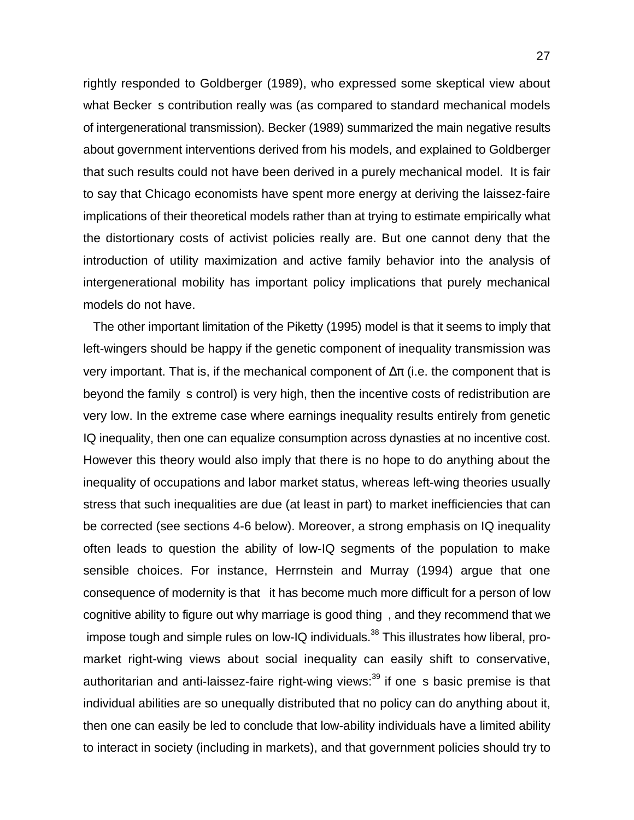rightly responded to Goldberger (1989), who expressed some skeptical view about what Becker s contribution really was (as compared to standard mechanical models of intergenerational transmission). Becker (1989) summarized the main negative results about government interventions derived from his models, and explained to Goldberger that such results could not have been derived in a purely mechanical model. It is fair to say that Chicago economists have spent more energy at deriving the laissez-faire implications of their theoretical models rather than at trying to estimate empirically what the distortionary costs of activist policies really are. But one cannot deny that the introduction of utility maximization and active family behavior into the analysis of intergenerational mobility has important policy implications that purely mechanical models do not have.

 The other important limitation of the Piketty (1995) model is that it seems to imply that left-wingers should be happy if the genetic component of inequality transmission was very important. That is, if the mechanical component of  $\Delta \pi$  (i.e. the component that is beyond the family s control) is very high, then the incentive costs of redistribution are very low. In the extreme case where earnings inequality results entirely from genetic IQ inequality, then one can equalize consumption across dynasties at no incentive cost. However this theory would also imply that there is no hope to do anything about the inequality of occupations and labor market status, whereas left-wing theories usually stress that such inequalities are due (at least in part) to market inefficiencies that can be corrected (see sections 4-6 below). Moreover, a strong emphasis on IQ inequality often leads to question the ability of low-IQ segments of the population to make sensible choices. For instance, Herrnstein and Murray (1994) argue that one consequence of modernity is that it has become much more difficult for a person of low cognitive ability to figure out why marriage is good thing , and they recommend that we impose tough and simple rules on low-IQ individuals.<sup>38</sup> This illustrates how liberal, promarket right-wing views about social inequality can easily shift to conservative, authoritarian and anti-laissez-faire right-wing views: $39$  if one s basic premise is that individual abilities are so unequally distributed that no policy can do anything about it, then one can easily be led to conclude that low-ability individuals have a limited ability to interact in society (including in markets), and that government policies should try to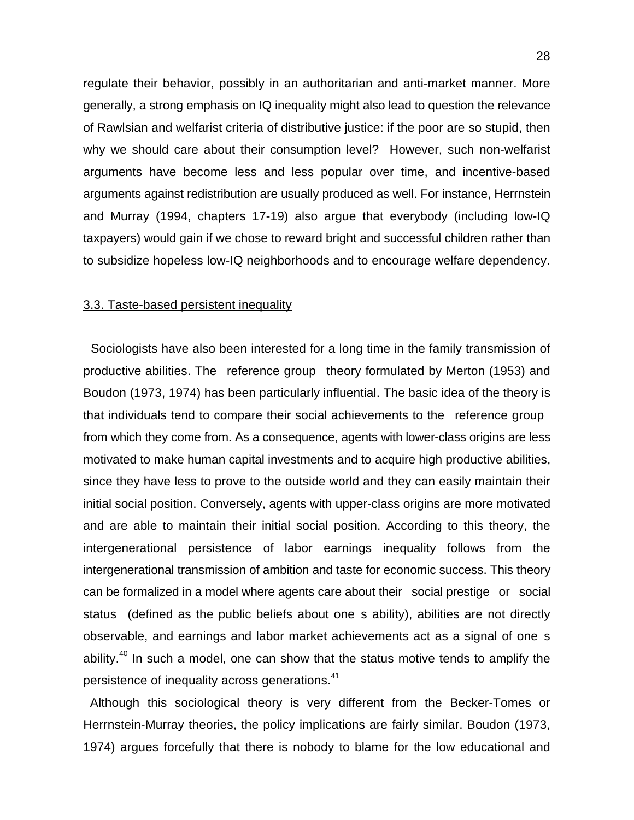regulate their behavior, possibly in an authoritarian and anti-market manner. More generally, a strong emphasis on IQ inequality might also lead to question the relevance of Rawlsian and welfarist criteria of distributive justice: if the poor are so stupid, then why we should care about their consumption level? However, such non-welfarist arguments have become less and less popular over time, and incentive-based arguments against redistribution are usually produced as well. For instance, Herrnstein and Murray (1994, chapters 17-19) also argue that everybody (including low-IQ taxpayers) would gain if we chose to reward bright and successful children rather than to subsidize hopeless low-IQ neighborhoods and to encourage welfare dependency.

#### 3.3. Taste-based persistent inequality

 Sociologists have also been interested for a long time in the family transmission of productive abilities. The reference group theory formulated by Merton (1953) and Boudon (1973, 1974) has been particularly influential. The basic idea of the theory is that individuals tend to compare their social achievements to the reference group from which they come from. As a consequence, agents with lower-class origins are less motivated to make human capital investments and to acquire high productive abilities, since they have less to prove to the outside world and they can easily maintain their initial social position. Conversely, agents with upper-class origins are more motivated and are able to maintain their initial social position. According to this theory, the intergenerational persistence of labor earnings inequality follows from the intergenerational transmission of ambition and taste for economic success. This theory can be formalized in a model where agents care about their social prestige or social status (defined as the public beliefs about one s ability), abilities are not directly observable, and earnings and labor market achievements act as a signal of one s ability.<sup>40</sup> In such a model, one can show that the status motive tends to amplify the persistence of inequality across generations.<sup>41</sup>

 Although this sociological theory is very different from the Becker-Tomes or Herrnstein-Murray theories, the policy implications are fairly similar. Boudon (1973, 1974) argues forcefully that there is nobody to blame for the low educational and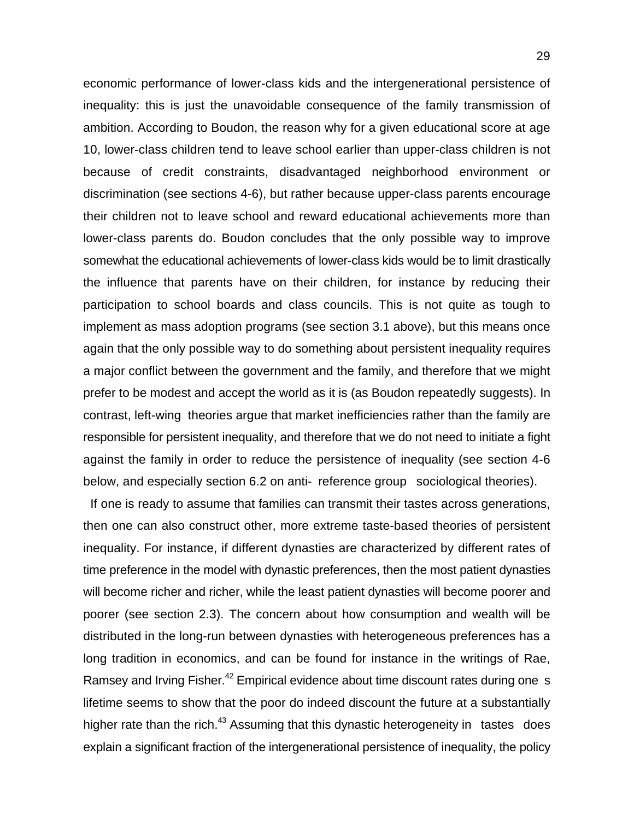economic performance of lower-class kids and the intergenerational persistence of inequality: this is just the unavoidable consequence of the family transmission of ambition. According to Boudon, the reason why for a given educational score at age 10, lower-class children tend to leave school earlier than upper-class children is not because of credit constraints, disadvantaged neighborhood environment or discrimination (see sections 4-6), but rather because upper-class parents encourage their children not to leave school and reward educational achievements more than lower-class parents do. Boudon concludes that the only possible way to improve somewhat the educational achievements of lower-class kids would be to limit drastically the influence that parents have on their children, for instance by reducing their participation to school boards and class councils. This is not quite as tough to implement as mass adoption programs (see section 3.1 above), but this means once again that the only possible way to do something about persistent inequality requires a major conflict between the government and the family, and therefore that we might prefer to be modest and accept the world as it is (as Boudon repeatedly suggests). In contrast, left-wing theories argue that market inefficiencies rather than the family are responsible for persistent inequality, and therefore that we do not need to initiate a fight against the family in order to reduce the persistence of inequality (see section 4-6 below, and especially section 6.2 on anti- reference group sociological theories).

 If one is ready to assume that families can transmit their tastes across generations, then one can also construct other, more extreme taste-based theories of persistent inequality. For instance, if different dynasties are characterized by different rates of time preference in the model with dynastic preferences, then the most patient dynasties will become richer and richer, while the least patient dynasties will become poorer and poorer (see section 2.3). The concern about how consumption and wealth will be distributed in the long-run between dynasties with heterogeneous preferences has a long tradition in economics, and can be found for instance in the writings of Rae, Ramsey and Irving Fisher.<sup>42</sup> Empirical evidence about time discount rates during one s lifetime seems to show that the poor do indeed discount the future at a substantially higher rate than the rich.<sup>43</sup> Assuming that this dynastic heterogeneity in tastes does explain a significant fraction of the intergenerational persistence of inequality, the policy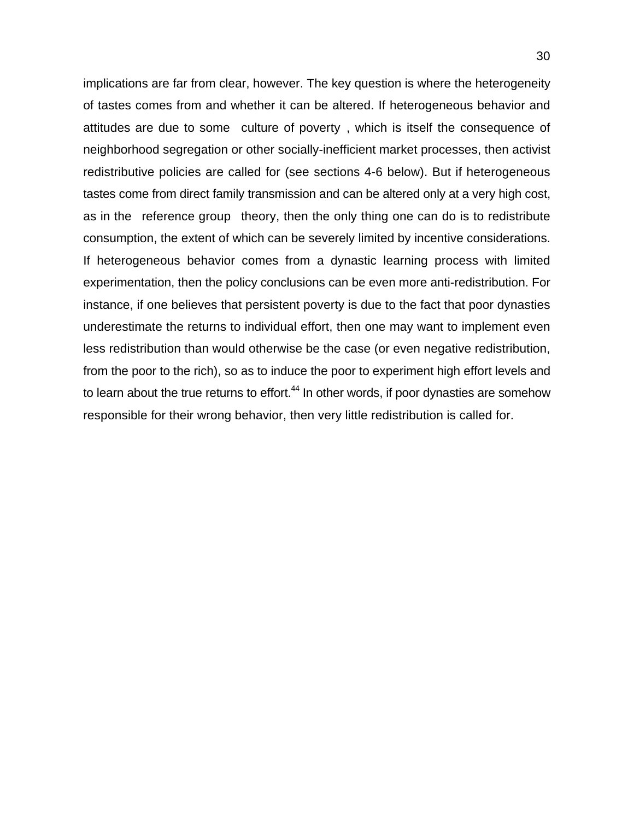implications are far from clear, however. The key question is where the heterogeneity of tastes comes from and whether it can be altered. If heterogeneous behavior and attitudes are due to some culture of poverty , which is itself the consequence of neighborhood segregation or other socially-inefficient market processes, then activist redistributive policies are called for (see sections 4-6 below). But if heterogeneous tastes come from direct family transmission and can be altered only at a very high cost, as in the reference group theory, then the only thing one can do is to redistribute consumption, the extent of which can be severely limited by incentive considerations. If heterogeneous behavior comes from a dynastic learning process with limited experimentation, then the policy conclusions can be even more anti-redistribution. For instance, if one believes that persistent poverty is due to the fact that poor dynasties underestimate the returns to individual effort, then one may want to implement even less redistribution than would otherwise be the case (or even negative redistribution, from the poor to the rich), so as to induce the poor to experiment high effort levels and to learn about the true returns to effort.<sup>44</sup> In other words, if poor dynasties are somehow responsible for their wrong behavior, then very little redistribution is called for.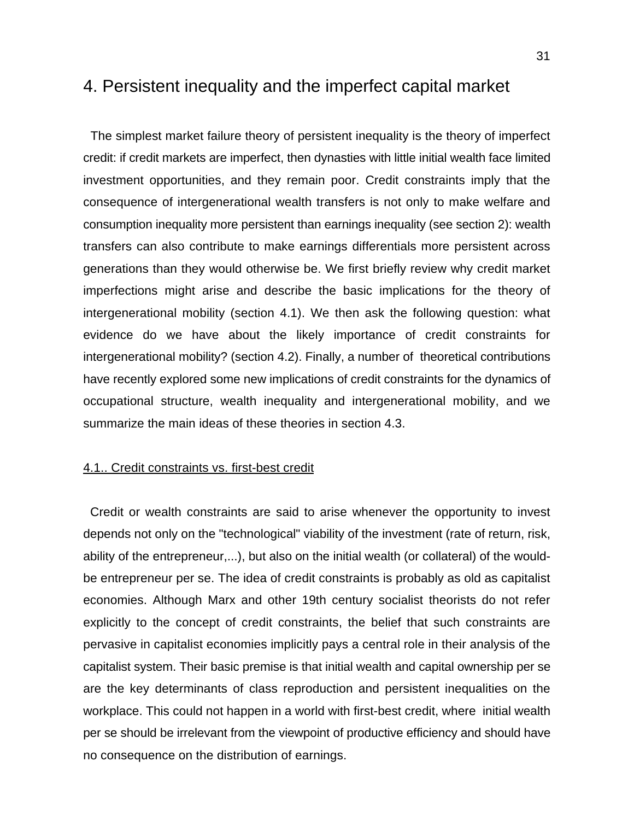### 4. Persistent inequality and the imperfect capital market

 The simplest market failure theory of persistent inequality is the theory of imperfect credit: if credit markets are imperfect, then dynasties with little initial wealth face limited investment opportunities, and they remain poor. Credit constraints imply that the consequence of intergenerational wealth transfers is not only to make welfare and consumption inequality more persistent than earnings inequality (see section 2): wealth transfers can also contribute to make earnings differentials more persistent across generations than they would otherwise be. We first briefly review why credit market imperfections might arise and describe the basic implications for the theory of intergenerational mobility (section 4.1). We then ask the following question: what evidence do we have about the likely importance of credit constraints for intergenerational mobility? (section 4.2). Finally, a number of theoretical contributions have recently explored some new implications of credit constraints for the dynamics of occupational structure, wealth inequality and intergenerational mobility, and we summarize the main ideas of these theories in section 4.3.

#### 4.1.. Credit constraints vs. first-best credit

 Credit or wealth constraints are said to arise whenever the opportunity to invest depends not only on the "technological" viability of the investment (rate of return, risk, ability of the entrepreneur,...), but also on the initial wealth (or collateral) of the wouldbe entrepreneur per se. The idea of credit constraints is probably as old as capitalist economies. Although Marx and other 19th century socialist theorists do not refer explicitly to the concept of credit constraints, the belief that such constraints are pervasive in capitalist economies implicitly pays a central role in their analysis of the capitalist system. Their basic premise is that initial wealth and capital ownership per se are the key determinants of class reproduction and persistent inequalities on the workplace. This could not happen in a world with first-best credit, where initial wealth per se should be irrelevant from the viewpoint of productive efficiency and should have no consequence on the distribution of earnings.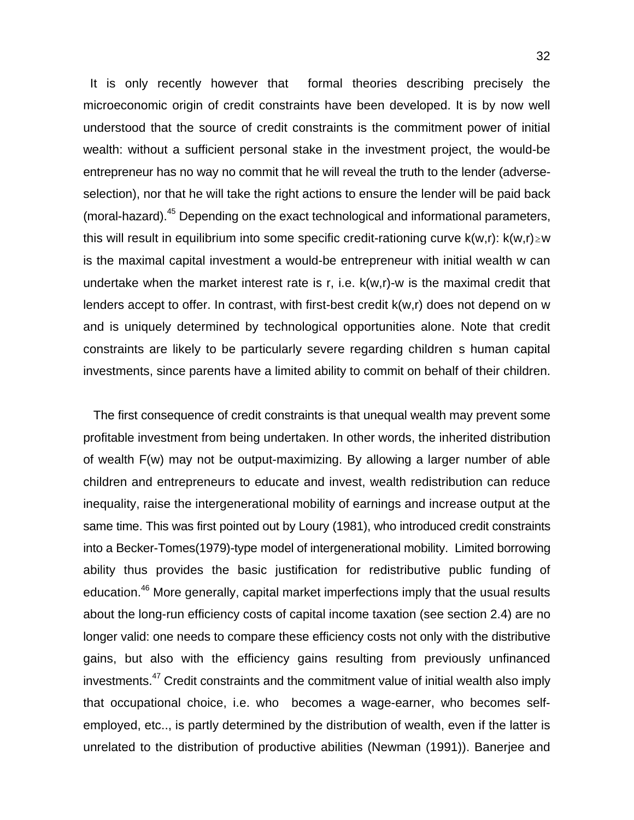It is only recently however that formal theories describing precisely the microeconomic origin of credit constraints have been developed. It is by now well understood that the source of credit constraints is the commitment power of initial wealth: without a sufficient personal stake in the investment project, the would-be entrepreneur has no way no commit that he will reveal the truth to the lender (adverseselection), nor that he will take the right actions to ensure the lender will be paid back (moral-hazard).<sup>45</sup> Depending on the exact technological and informational parameters, this will result in equilibrium into some specific credit-rationing curve  $k(w,r)$ :  $k(w,r) \geq w$ is the maximal capital investment a would-be entrepreneur with initial wealth w can undertake when the market interest rate is r, i.e. k(w,r)-w is the maximal credit that lenders accept to offer. In contrast, with first-best credit k(w,r) does not depend on w and is uniquely determined by technological opportunities alone. Note that credit constraints are likely to be particularly severe regarding children s human capital investments, since parents have a limited ability to commit on behalf of their children.

 The first consequence of credit constraints is that unequal wealth may prevent some profitable investment from being undertaken. In other words, the inherited distribution of wealth F(w) may not be output-maximizing. By allowing a larger number of able children and entrepreneurs to educate and invest, wealth redistribution can reduce inequality, raise the intergenerational mobility of earnings and increase output at the same time. This was first pointed out by Loury (1981), who introduced credit constraints into a Becker-Tomes(1979)-type model of intergenerational mobility. Limited borrowing ability thus provides the basic justification for redistributive public funding of education.<sup>46</sup> More generally, capital market imperfections imply that the usual results about the long-run efficiency costs of capital income taxation (see section 2.4) are no longer valid: one needs to compare these efficiency costs not only with the distributive gains, but also with the efficiency gains resulting from previously unfinanced investments.<sup>47</sup> Credit constraints and the commitment value of initial wealth also imply that occupational choice, i.e. who becomes a wage-earner, who becomes selfemployed, etc.., is partly determined by the distribution of wealth, even if the latter is unrelated to the distribution of productive abilities (Newman (1991)). Banerjee and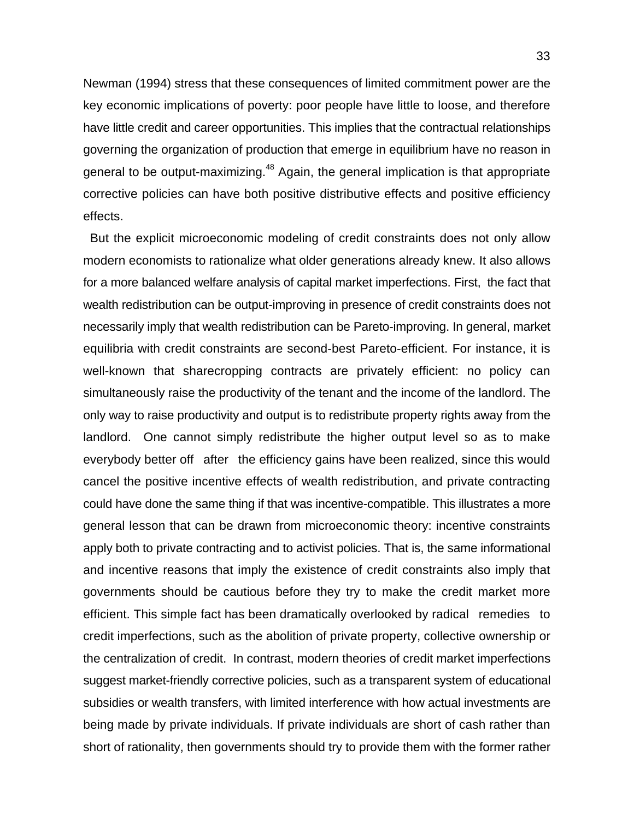Newman (1994) stress that these consequences of limited commitment power are the key economic implications of poverty: poor people have little to loose, and therefore have little credit and career opportunities. This implies that the contractual relationships governing the organization of production that emerge in equilibrium have no reason in general to be output-maximizing.<sup>48</sup> Again, the general implication is that appropriate corrective policies can have both positive distributive effects and positive efficiency effects.

 But the explicit microeconomic modeling of credit constraints does not only allow modern economists to rationalize what older generations already knew. It also allows for a more balanced welfare analysis of capital market imperfections. First, the fact that wealth redistribution can be output-improving in presence of credit constraints does not necessarily imply that wealth redistribution can be Pareto-improving. In general, market equilibria with credit constraints are second-best Pareto-efficient. For instance, it is well-known that sharecropping contracts are privately efficient: no policy can simultaneously raise the productivity of the tenant and the income of the landlord. The only way to raise productivity and output is to redistribute property rights away from the landlord. One cannot simply redistribute the higher output level so as to make everybody better off after the efficiency gains have been realized, since this would cancel the positive incentive effects of wealth redistribution, and private contracting could have done the same thing if that was incentive-compatible. This illustrates a more general lesson that can be drawn from microeconomic theory: incentive constraints apply both to private contracting and to activist policies. That is, the same informational and incentive reasons that imply the existence of credit constraints also imply that governments should be cautious before they try to make the credit market more efficient. This simple fact has been dramatically overlooked by radical remedies to credit imperfections, such as the abolition of private property, collective ownership or the centralization of credit. In contrast, modern theories of credit market imperfections suggest market-friendly corrective policies, such as a transparent system of educational subsidies or wealth transfers, with limited interference with how actual investments are being made by private individuals. If private individuals are short of cash rather than short of rationality, then governments should try to provide them with the former rather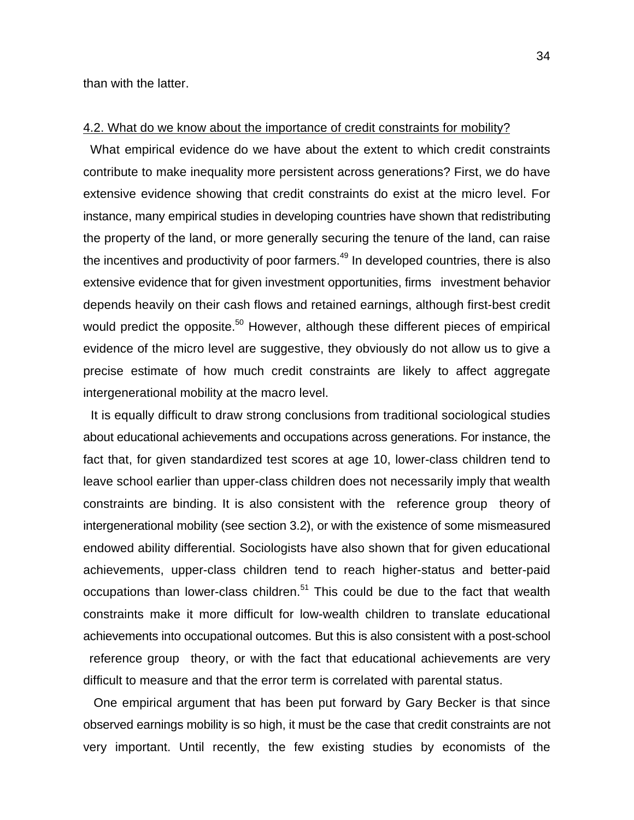than with the latter.

#### 4.2. What do we know about the importance of credit constraints for mobility?

 What empirical evidence do we have about the extent to which credit constraints contribute to make inequality more persistent across generations? First, we do have extensive evidence showing that credit constraints do exist at the micro level. For instance, many empirical studies in developing countries have shown that redistributing the property of the land, or more generally securing the tenure of the land, can raise the incentives and productivity of poor farmers.<sup>49</sup> In developed countries, there is also extensive evidence that for given investment opportunities, firms investment behavior depends heavily on their cash flows and retained earnings, although first-best credit would predict the opposite.<sup>50</sup> However, although these different pieces of empirical evidence of the micro level are suggestive, they obviously do not allow us to give a precise estimate of how much credit constraints are likely to affect aggregate intergenerational mobility at the macro level.

 It is equally difficult to draw strong conclusions from traditional sociological studies about educational achievements and occupations across generations. For instance, the fact that, for given standardized test scores at age 10, lower-class children tend to leave school earlier than upper-class children does not necessarily imply that wealth constraints are binding. It is also consistent with the reference group theory of intergenerational mobility (see section 3.2), or with the existence of some mismeasured endowed ability differential. Sociologists have also shown that for given educational achievements, upper-class children tend to reach higher-status and better-paid occupations than lower-class children.<sup>51</sup> This could be due to the fact that wealth constraints make it more difficult for low-wealth children to translate educational achievements into occupational outcomes. But this is also consistent with a post-school reference group theory, or with the fact that educational achievements are very difficult to measure and that the error term is correlated with parental status.

 One empirical argument that has been put forward by Gary Becker is that since observed earnings mobility is so high, it must be the case that credit constraints are not very important. Until recently, the few existing studies by economists of the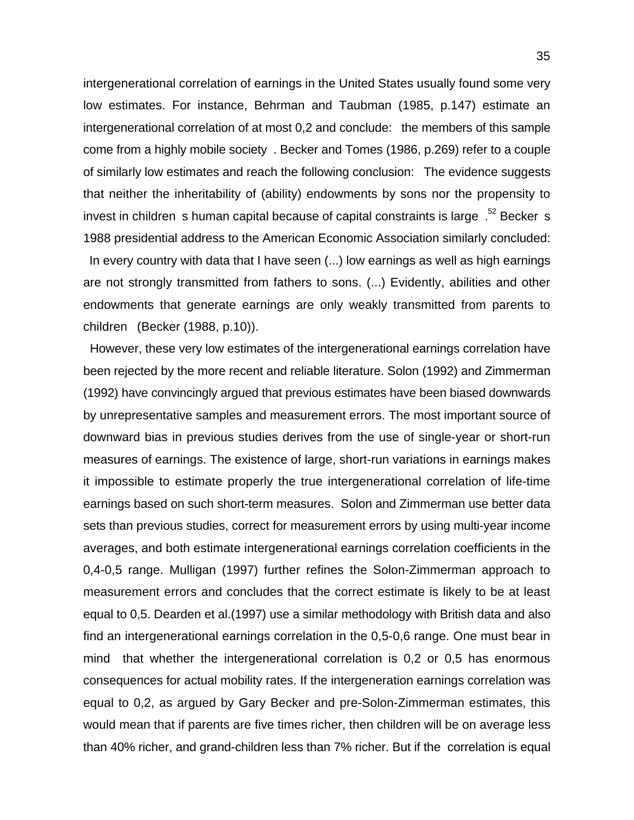intergenerational correlation of earnings in the United States usually found some very low estimates. For instance, Behrman and Taubman (1985, p.147) estimate an intergenerational correlation of at most 0,2 and conclude: the members of this sample come from a highly mobile society . Becker and Tomes (1986, p.269) refer to a couple of similarly low estimates and reach the following conclusion: The evidence suggests that neither the inheritability of (ability) endowments by sons nor the propensity to invest in children s human capital because of capital constraints is large  $.52$  Becker s 1988 presidential address to the American Economic Association similarly concluded: In every country with data that I have seen (...) low earnings as well as high earnings are not strongly transmitted from fathers to sons. (...) Evidently, abilities and other endowments that generate earnings are only weakly transmitted from parents to children (Becker (1988, p.10)).

 However, these very low estimates of the intergenerational earnings correlation have been rejected by the more recent and reliable literature. Solon (1992) and Zimmerman (1992) have convincingly argued that previous estimates have been biased downwards by unrepresentative samples and measurement errors. The most important source of downward bias in previous studies derives from the use of single-year or short-run measures of earnings. The existence of large, short-run variations in earnings makes it impossible to estimate properly the true intergenerational correlation of life-time earnings based on such short-term measures. Solon and Zimmerman use better data sets than previous studies, correct for measurement errors by using multi-year income averages, and both estimate intergenerational earnings correlation coefficients in the 0,4-0,5 range. Mulligan (1997) further refines the Solon-Zimmerman approach to measurement errors and concludes that the correct estimate is likely to be at least equal to 0,5. Dearden et al.(1997) use a similar methodology with British data and also find an intergenerational earnings correlation in the 0,5-0,6 range. One must bear in mind that whether the intergenerational correlation is 0,2 or 0,5 has enormous consequences for actual mobility rates. If the intergeneration earnings correlation was equal to 0,2, as argued by Gary Becker and pre-Solon-Zimmerman estimates, this would mean that if parents are five times richer, then children will be on average less than 40% richer, and grand-children less than 7% richer. But if the correlation is equal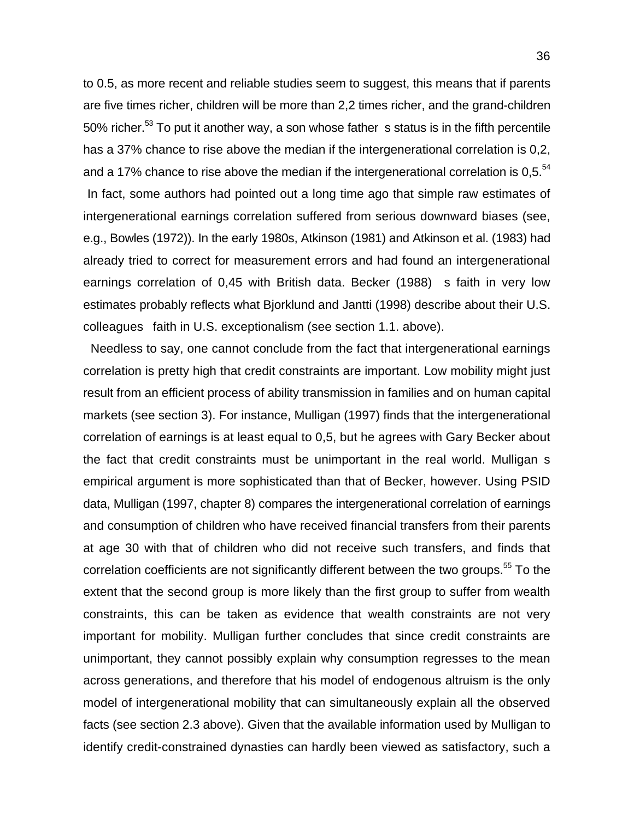to 0.5, as more recent and reliable studies seem to suggest, this means that if parents are five times richer, children will be more than 2,2 times richer, and the grand-children 50% richer.<sup>53</sup> To put it another way, a son whose father s status is in the fifth percentile has a 37% chance to rise above the median if the intergenerational correlation is 0,2, and a 17% chance to rise above the median if the intergenerational correlation is  $0.5.^{54}$  In fact, some authors had pointed out a long time ago that simple raw estimates of intergenerational earnings correlation suffered from serious downward biases (see, e.g., Bowles (1972)). In the early 1980s, Atkinson (1981) and Atkinson et al. (1983) had already tried to correct for measurement errors and had found an intergenerational earnings correlation of 0,45 with British data. Becker (1988) s faith in very low estimates probably reflects what Bjorklund and Jantti (1998) describe about their U.S. colleagues faith in U.S. exceptionalism (see section 1.1. above).

 Needless to say, one cannot conclude from the fact that intergenerational earnings correlation is pretty high that credit constraints are important. Low mobility might just result from an efficient process of ability transmission in families and on human capital markets (see section 3). For instance, Mulligan (1997) finds that the intergenerational correlation of earnings is at least equal to 0,5, but he agrees with Gary Becker about the fact that credit constraints must be unimportant in the real world. Mulligan s empirical argument is more sophisticated than that of Becker, however. Using PSID data, Mulligan (1997, chapter 8) compares the intergenerational correlation of earnings and consumption of children who have received financial transfers from their parents at age 30 with that of children who did not receive such transfers, and finds that correlation coefficients are not significantly different between the two groups.<sup>55</sup> To the extent that the second group is more likely than the first group to suffer from wealth constraints, this can be taken as evidence that wealth constraints are not very important for mobility. Mulligan further concludes that since credit constraints are unimportant, they cannot possibly explain why consumption regresses to the mean across generations, and therefore that his model of endogenous altruism is the only model of intergenerational mobility that can simultaneously explain all the observed facts (see section 2.3 above). Given that the available information used by Mulligan to identify credit-constrained dynasties can hardly been viewed as satisfactory, such a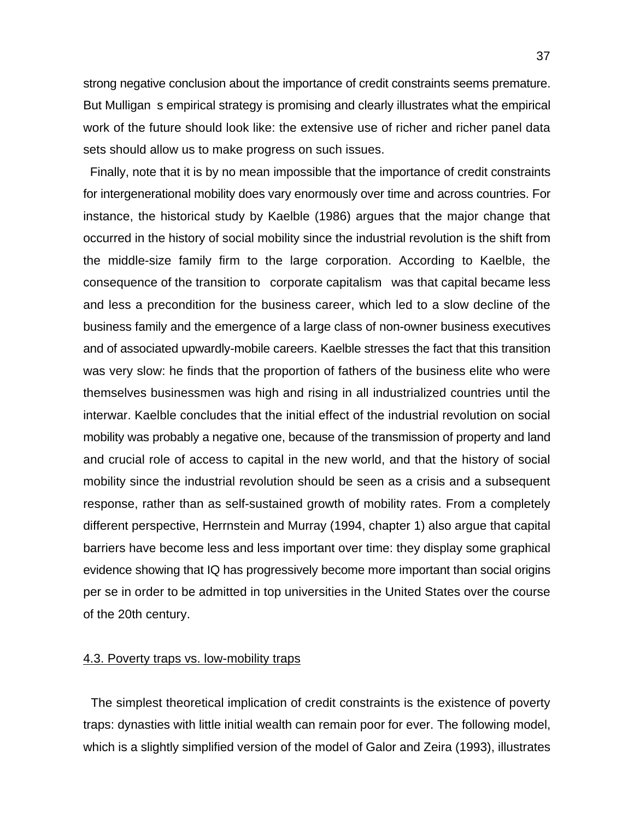strong negative conclusion about the importance of credit constraints seems premature. But Mulligan s empirical strategy is promising and clearly illustrates what the empirical work of the future should look like: the extensive use of richer and richer panel data sets should allow us to make progress on such issues.

 Finally, note that it is by no mean impossible that the importance of credit constraints for intergenerational mobility does vary enormously over time and across countries. For instance, the historical study by Kaelble (1986) argues that the major change that occurred in the history of social mobility since the industrial revolution is the shift from the middle-size family firm to the large corporation. According to Kaelble, the consequence of the transition to corporate capitalism was that capital became less and less a precondition for the business career, which led to a slow decline of the business family and the emergence of a large class of non-owner business executives and of associated upwardly-mobile careers. Kaelble stresses the fact that this transition was very slow: he finds that the proportion of fathers of the business elite who were themselves businessmen was high and rising in all industrialized countries until the interwar. Kaelble concludes that the initial effect of the industrial revolution on social mobility was probably a negative one, because of the transmission of property and land and crucial role of access to capital in the new world, and that the history of social mobility since the industrial revolution should be seen as a crisis and a subsequent response, rather than as self-sustained growth of mobility rates. From a completely different perspective, Herrnstein and Murray (1994, chapter 1) also argue that capital barriers have become less and less important over time: they display some graphical evidence showing that IQ has progressively become more important than social origins per se in order to be admitted in top universities in the United States over the course of the 20th century.

#### 4.3. Poverty traps vs. low-mobility traps

 The simplest theoretical implication of credit constraints is the existence of poverty traps: dynasties with little initial wealth can remain poor for ever. The following model, which is a slightly simplified version of the model of Galor and Zeira (1993), illustrates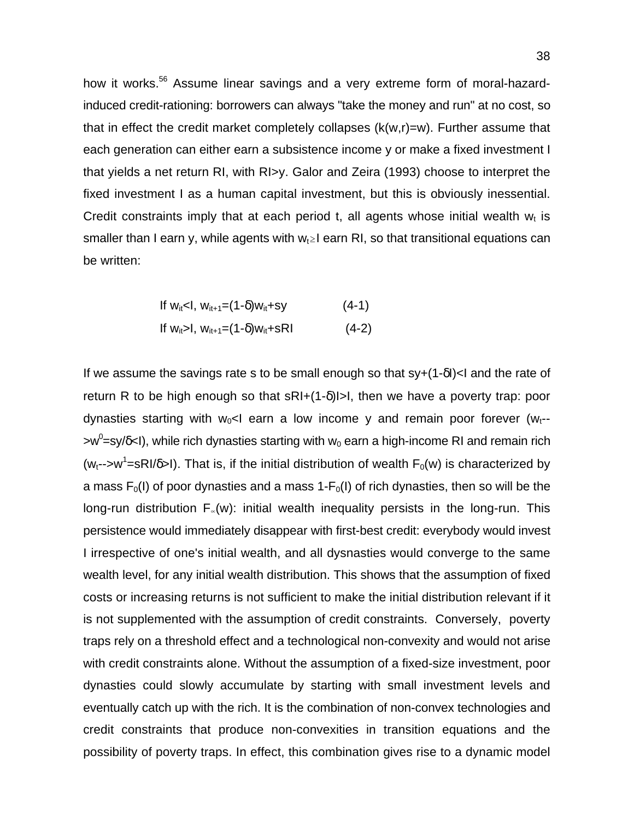how it works.<sup>56</sup> Assume linear savings and a very extreme form of moral-hazardinduced credit-rationing: borrowers can always "take the money and run" at no cost, so that in effect the credit market completely collapses  $(k(w,r)=w)$ . Further assume that each generation can either earn a subsistence income y or make a fixed investment I that yields a net return RI, with RI>y. Galor and Zeira (1993) choose to interpret the fixed investment I as a human capital investment, but this is obviously inessential. Credit constraints imply that at each period t, all agents whose initial wealth  $w_t$  is smaller than I earn y, while agents with  $w<sub>t</sub> \ge 1$  earn RI, so that transitional equations can be written:

If 
$$
w_{it} < 1
$$
,  $w_{it+1} = (1 - \delta)w_{it} + sy$  (4-1)  
If  $w_{it} > 1$ ,  $w_{it+1} = (1 - \delta)w_{it} + sRI$  (4-2)

If we assume the savings rate s to be small enough so that sy+(1-δI)<I and the rate of return R to be high enough so that sRI+(1-δ)I>I, then we have a poverty trap: poor dynasties starting with w<sub>0</sub><I earn a low income y and remain poor forever (w<sub>t</sub>-->w $^{\rm o}$ =sy/δ<I), while rich dynasties starting with w $_{\rm o}$  earn a high-income RI and remain rich (w<sub>t</sub>-->w<sup>1</sup>=sRI/ $\delta$ >I). That is, if the initial distribution of wealth F<sub>0</sub>(w) is characterized by a mass  $F_0(I)$  of poor dynasties and a mass 1- $F_0(I)$  of rich dynasties, then so will be the long-run distribution  $F_{\alpha}(w)$ : initial wealth inequality persists in the long-run. This persistence would immediately disappear with first-best credit: everybody would invest I irrespective of one's initial wealth, and all dysnasties would converge to the same wealth level, for any initial wealth distribution. This shows that the assumption of fixed costs or increasing returns is not sufficient to make the initial distribution relevant if it is not supplemented with the assumption of credit constraints. Conversely, poverty traps rely on a threshold effect and a technological non-convexity and would not arise with credit constraints alone. Without the assumption of a fixed-size investment, poor dynasties could slowly accumulate by starting with small investment levels and eventually catch up with the rich. It is the combination of non-convex technologies and credit constraints that produce non-convexities in transition equations and the possibility of poverty traps. In effect, this combination gives rise to a dynamic model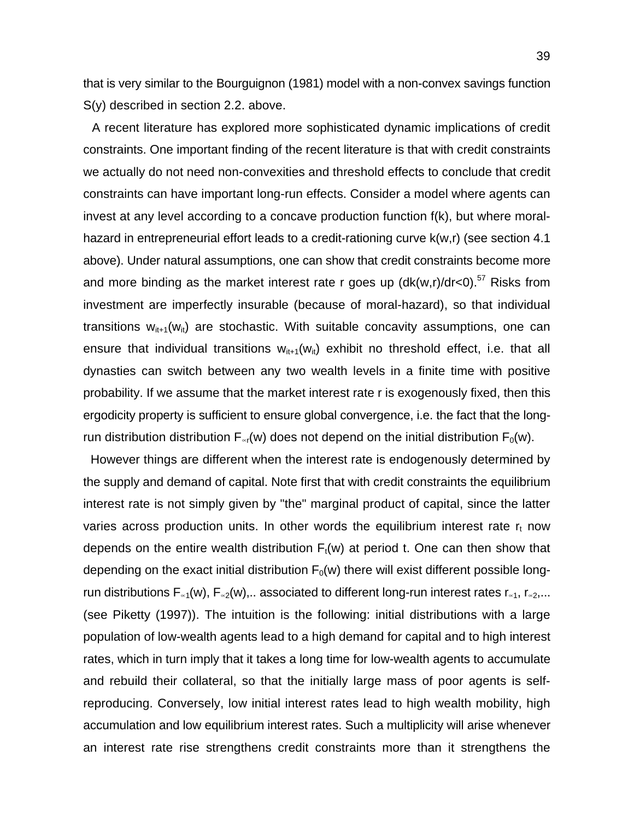that is very similar to the Bourguignon (1981) model with a non-convex savings function S(y) described in section 2.2. above.

 A recent literature has explored more sophisticated dynamic implications of credit constraints. One important finding of the recent literature is that with credit constraints we actually do not need non-convexities and threshold effects to conclude that credit constraints can have important long-run effects. Consider a model where agents can invest at any level according to a concave production function f(k), but where moralhazard in entrepreneurial effort leads to a credit-rationing curve k(w,r) (see section 4.1 above). Under natural assumptions, one can show that credit constraints become more and more binding as the market interest rate r goes up  $(dk(w,r)/dr<0).$ <sup>57</sup> Risks from investment are imperfectly insurable (because of moral-hazard), so that individual transitions  $w_{it+1}(w_{it})$  are stochastic. With suitable concavity assumptions, one can ensure that individual transitions  $w_{it+1}(w_{it})$  exhibit no threshold effect, i.e. that all dynasties can switch between any two wealth levels in a finite time with positive probability. If we assume that the market interest rate r is exogenously fixed, then this ergodicity property is sufficient to ensure global convergence, i.e. the fact that the longrun distribution distribution  $F_{\alpha r}(w)$  does not depend on the initial distribution  $F_0(w)$ .

 However things are different when the interest rate is endogenously determined by the supply and demand of capital. Note first that with credit constraints the equilibrium interest rate is not simply given by "the" marginal product of capital, since the latter varies across production units. In other words the equilibrium interest rate  $r_t$  now depends on the entire wealth distribution  $F_t(w)$  at period t. One can then show that depending on the exact initial distribution  $F_0(w)$  there will exist different possible longrun distributions  $F_{\infty1}(w)$ ,  $F_{\infty2}(w)$ ,.. associated to different long-run interest rates  $r_{\infty1}$ ,  $r_{\infty2}$ ,... (see Piketty (1997)). The intuition is the following: initial distributions with a large population of low-wealth agents lead to a high demand for capital and to high interest rates, which in turn imply that it takes a long time for low-wealth agents to accumulate and rebuild their collateral, so that the initially large mass of poor agents is selfreproducing. Conversely, low initial interest rates lead to high wealth mobility, high accumulation and low equilibrium interest rates. Such a multiplicity will arise whenever an interest rate rise strengthens credit constraints more than it strengthens the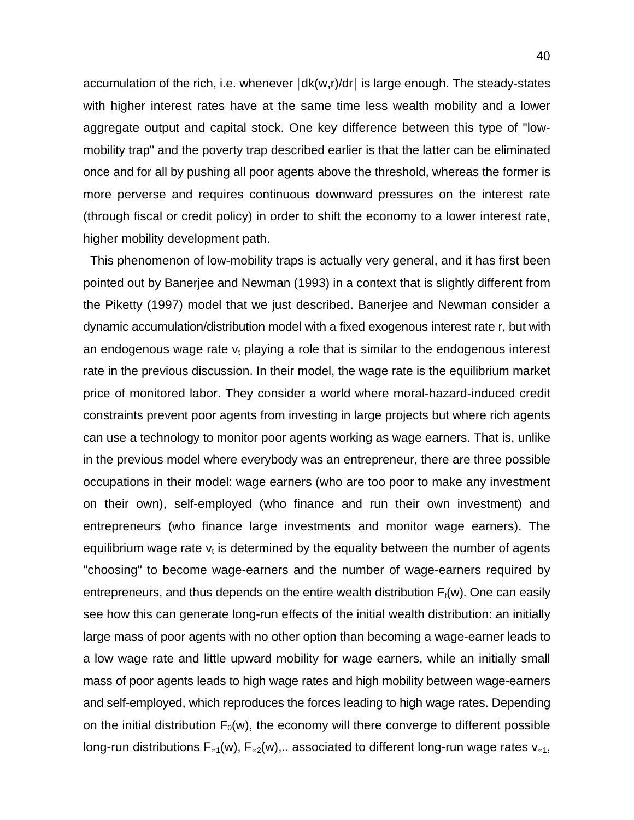accumulation of the rich, i.e. whenever  $|dk(w,r)/dr|$  is large enough. The steady-states with higher interest rates have at the same time less wealth mobility and a lower aggregate output and capital stock. One key difference between this type of "lowmobility trap" and the poverty trap described earlier is that the latter can be eliminated once and for all by pushing all poor agents above the threshold, whereas the former is more perverse and requires continuous downward pressures on the interest rate (through fiscal or credit policy) in order to shift the economy to a lower interest rate, higher mobility development path.

 This phenomenon of low-mobility traps is actually very general, and it has first been pointed out by Banerjee and Newman (1993) in a context that is slightly different from the Piketty (1997) model that we just described. Banerjee and Newman consider a dynamic accumulation/distribution model with a fixed exogenous interest rate r, but with an endogenous wage rate  $v_t$  playing a role that is similar to the endogenous interest rate in the previous discussion. In their model, the wage rate is the equilibrium market price of monitored labor. They consider a world where moral-hazard-induced credit constraints prevent poor agents from investing in large projects but where rich agents can use a technology to monitor poor agents working as wage earners. That is, unlike in the previous model where everybody was an entrepreneur, there are three possible occupations in their model: wage earners (who are too poor to make any investment on their own), self-employed (who finance and run their own investment) and entrepreneurs (who finance large investments and monitor wage earners). The equilibrium wage rate  $v_t$  is determined by the equality between the number of agents "choosing" to become wage-earners and the number of wage-earners required by entrepreneurs, and thus depends on the entire wealth distribution  $F_t(w)$ . One can easily see how this can generate long-run effects of the initial wealth distribution: an initially large mass of poor agents with no other option than becoming a wage-earner leads to a low wage rate and little upward mobility for wage earners, while an initially small mass of poor agents leads to high wage rates and high mobility between wage-earners and self-employed, which reproduces the forces leading to high wage rates. Depending on the initial distribution  $F_0(w)$ , the economy will there converge to different possible long-run distributions  $F_{\infty 1}(w)$ ,  $F_{\infty 2}(w)$ ,.. associated to different long-run wage rates  $v_{\infty 1}$ ,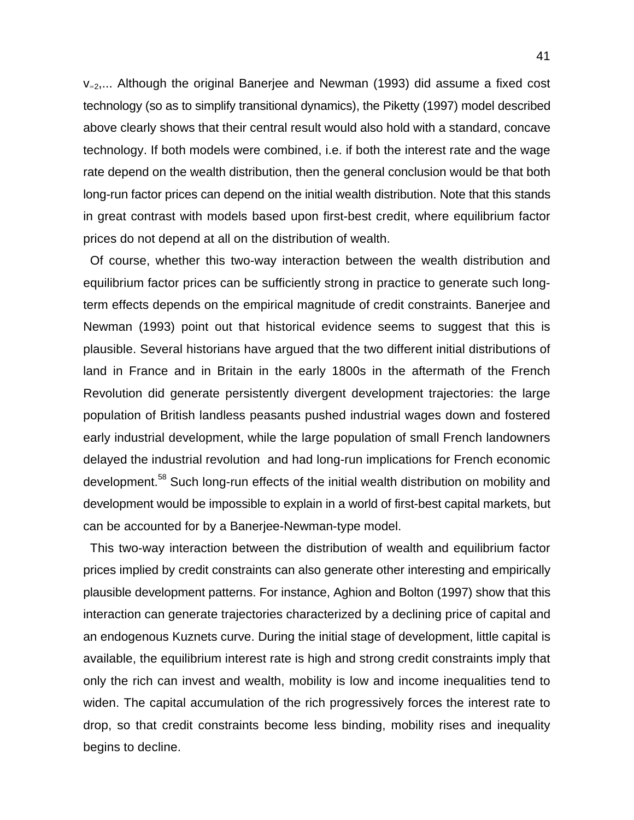$v_{\alpha2}$ .... Although the original Banerjee and Newman (1993) did assume a fixed cost technology (so as to simplify transitional dynamics), the Piketty (1997) model described above clearly shows that their central result would also hold with a standard, concave technology. If both models were combined, i.e. if both the interest rate and the wage rate depend on the wealth distribution, then the general conclusion would be that both long-run factor prices can depend on the initial wealth distribution. Note that this stands in great contrast with models based upon first-best credit, where equilibrium factor prices do not depend at all on the distribution of wealth.

 Of course, whether this two-way interaction between the wealth distribution and equilibrium factor prices can be sufficiently strong in practice to generate such longterm effects depends on the empirical magnitude of credit constraints. Banerjee and Newman (1993) point out that historical evidence seems to suggest that this is plausible. Several historians have argued that the two different initial distributions of land in France and in Britain in the early 1800s in the aftermath of the French Revolution did generate persistently divergent development trajectories: the large population of British landless peasants pushed industrial wages down and fostered early industrial development, while the large population of small French landowners delayed the industrial revolution and had long-run implications for French economic development.<sup>58</sup> Such long-run effects of the initial wealth distribution on mobility and development would be impossible to explain in a world of first-best capital markets, but can be accounted for by a Banerjee-Newman-type model.

 This two-way interaction between the distribution of wealth and equilibrium factor prices implied by credit constraints can also generate other interesting and empirically plausible development patterns. For instance, Aghion and Bolton (1997) show that this interaction can generate trajectories characterized by a declining price of capital and an endogenous Kuznets curve. During the initial stage of development, little capital is available, the equilibrium interest rate is high and strong credit constraints imply that only the rich can invest and wealth, mobility is low and income inequalities tend to widen. The capital accumulation of the rich progressively forces the interest rate to drop, so that credit constraints become less binding, mobility rises and inequality begins to decline.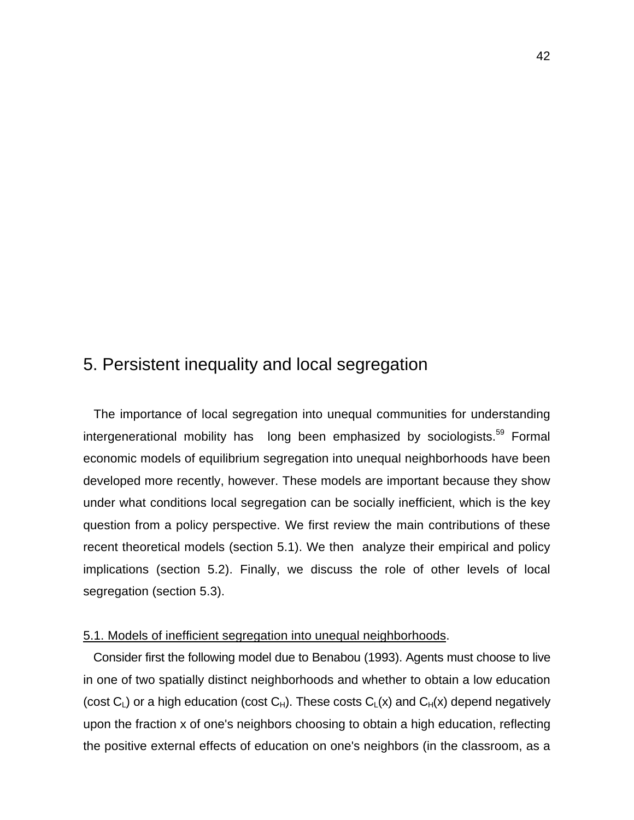# 5. Persistent inequality and local segregation

 The importance of local segregation into unequal communities for understanding intergenerational mobility has long been emphasized by sociologists.<sup>59</sup> Formal economic models of equilibrium segregation into unequal neighborhoods have been developed more recently, however. These models are important because they show under what conditions local segregation can be socially inefficient, which is the key question from a policy perspective. We first review the main contributions of these recent theoretical models (section 5.1). We then analyze their empirical and policy implications (section 5.2). Finally, we discuss the role of other levels of local segregation (section 5.3).

### 5.1. Models of inefficient segregation into unequal neighborhoods.

 Consider first the following model due to Benabou (1993). Agents must choose to live in one of two spatially distinct neighborhoods and whether to obtain a low education (cost C<sub>L</sub>) or a high education (cost C<sub>H</sub>). These costs  $C_L(x)$  and  $C_H(x)$  depend negatively upon the fraction x of one's neighbors choosing to obtain a high education, reflecting the positive external effects of education on one's neighbors (in the classroom, as a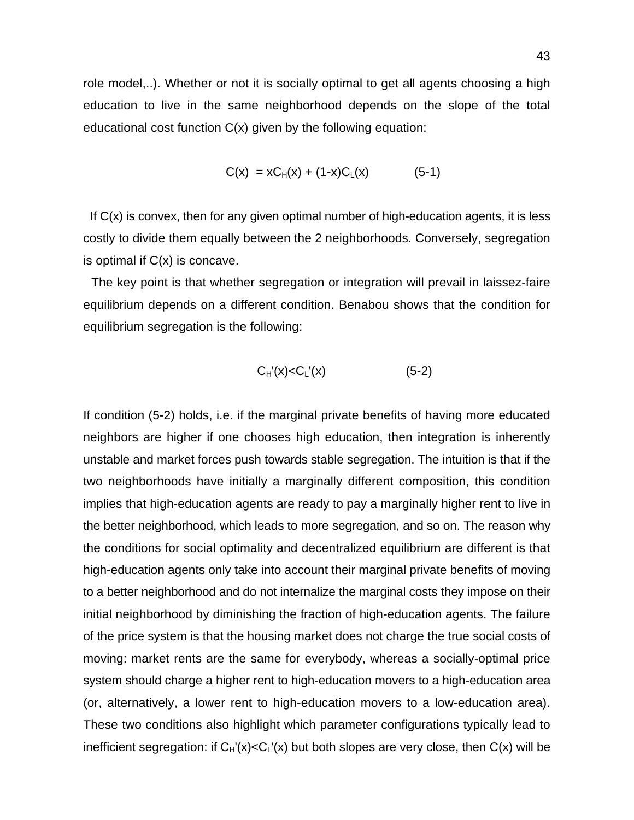role model,..). Whether or not it is socially optimal to get all agents choosing a high education to live in the same neighborhood depends on the slope of the total educational cost function C(x) given by the following equation:

$$
C(x) = xC_H(x) + (1-x)C_L(x) \qquad (5-1)
$$

If  $C(x)$  is convex, then for any given optimal number of high-education agents, it is less costly to divide them equally between the 2 neighborhoods. Conversely, segregation is optimal if  $C(x)$  is concave.

 The key point is that whether segregation or integration will prevail in laissez-faire equilibrium depends on a different condition. Benabou shows that the condition for equilibrium segregation is the following:

$$
C_{H}(x) < C_{L}(x) \tag{5-2}
$$

If condition (5-2) holds, i.e. if the marginal private benefits of having more educated neighbors are higher if one chooses high education, then integration is inherently unstable and market forces push towards stable segregation. The intuition is that if the two neighborhoods have initially a marginally different composition, this condition implies that high-education agents are ready to pay a marginally higher rent to live in the better neighborhood, which leads to more segregation, and so on. The reason why the conditions for social optimality and decentralized equilibrium are different is that high-education agents only take into account their marginal private benefits of moving to a better neighborhood and do not internalize the marginal costs they impose on their initial neighborhood by diminishing the fraction of high-education agents. The failure of the price system is that the housing market does not charge the true social costs of moving: market rents are the same for everybody, whereas a socially-optimal price system should charge a higher rent to high-education movers to a high-education area (or, alternatively, a lower rent to high-education movers to a low-education area). These two conditions also highlight which parameter configurations typically lead to inefficient segregation: if  $C_H'(x) < C_L'(x)$  but both slopes are very close, then  $C(x)$  will be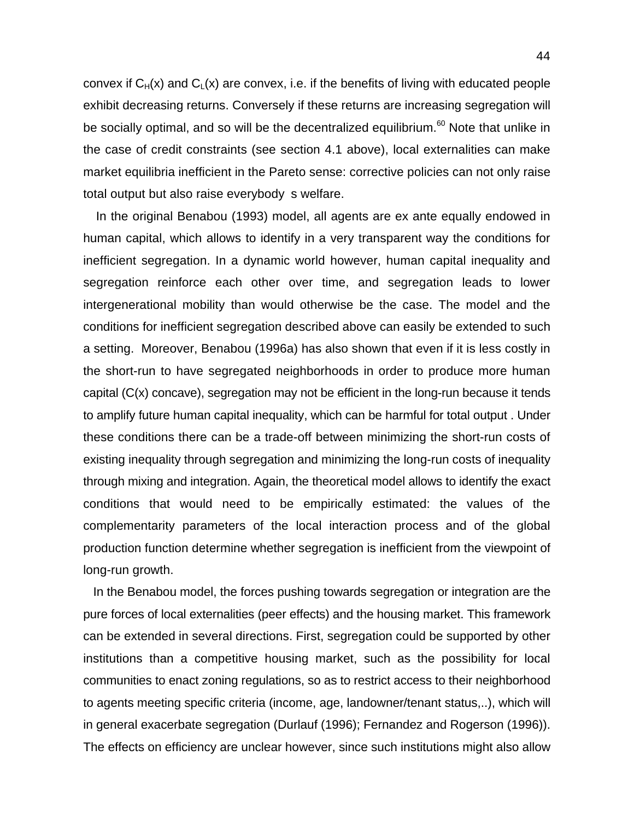convex if  $C_H(x)$  and  $C_L(x)$  are convex, i.e. if the benefits of living with educated people exhibit decreasing returns. Conversely if these returns are increasing segregation will be socially optimal, and so will be the decentralized equilibrium.<sup>60</sup> Note that unlike in the case of credit constraints (see section 4.1 above), local externalities can make market equilibria inefficient in the Pareto sense: corrective policies can not only raise total output but also raise everybody s welfare.

 In the original Benabou (1993) model, all agents are ex ante equally endowed in human capital, which allows to identify in a very transparent way the conditions for inefficient segregation. In a dynamic world however, human capital inequality and segregation reinforce each other over time, and segregation leads to lower intergenerational mobility than would otherwise be the case. The model and the conditions for inefficient segregation described above can easily be extended to such a setting. Moreover, Benabou (1996a) has also shown that even if it is less costly in the short-run to have segregated neighborhoods in order to produce more human capital (C(x) concave), segregation may not be efficient in the long-run because it tends to amplify future human capital inequality, which can be harmful for total output . Under these conditions there can be a trade-off between minimizing the short-run costs of existing inequality through segregation and minimizing the long-run costs of inequality through mixing and integration. Again, the theoretical model allows to identify the exact conditions that would need to be empirically estimated: the values of the complementarity parameters of the local interaction process and of the global production function determine whether segregation is inefficient from the viewpoint of long-run growth.

 In the Benabou model, the forces pushing towards segregation or integration are the pure forces of local externalities (peer effects) and the housing market. This framework can be extended in several directions. First, segregation could be supported by other institutions than a competitive housing market, such as the possibility for local communities to enact zoning regulations, so as to restrict access to their neighborhood to agents meeting specific criteria (income, age, landowner/tenant status,..), which will in general exacerbate segregation (Durlauf (1996); Fernandez and Rogerson (1996)). The effects on efficiency are unclear however, since such institutions might also allow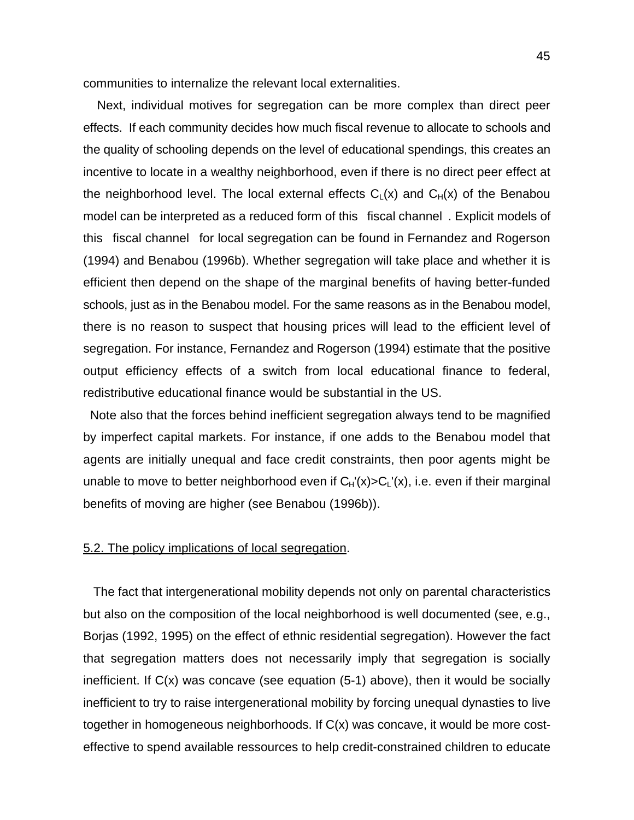communities to internalize the relevant local externalities.

 Next, individual motives for segregation can be more complex than direct peer effects. If each community decides how much fiscal revenue to allocate to schools and the quality of schooling depends on the level of educational spendings, this creates an incentive to locate in a wealthy neighborhood, even if there is no direct peer effect at the neighborhood level. The local external effects  $C_L(x)$  and  $C_H(x)$  of the Benabou model can be interpreted as a reduced form of this fiscal channel . Explicit models of this fiscal channel for local segregation can be found in Fernandez and Rogerson (1994) and Benabou (1996b). Whether segregation will take place and whether it is efficient then depend on the shape of the marginal benefits of having better-funded schools, just as in the Benabou model. For the same reasons as in the Benabou model, there is no reason to suspect that housing prices will lead to the efficient level of segregation. For instance, Fernandez and Rogerson (1994) estimate that the positive output efficiency effects of a switch from local educational finance to federal, redistributive educational finance would be substantial in the US.

 Note also that the forces behind inefficient segregation always tend to be magnified by imperfect capital markets. For instance, if one adds to the Benabou model that agents are initially unequal and face credit constraints, then poor agents might be unable to move to better neighborhood even if  $C_H'(x) > C_L'(x)$ , i.e. even if their marginal benefits of moving are higher (see Benabou (1996b)).

#### 5.2. The policy implications of local segregation.

 The fact that intergenerational mobility depends not only on parental characteristics but also on the composition of the local neighborhood is well documented (see, e.g., Borjas (1992, 1995) on the effect of ethnic residential segregation). However the fact that segregation matters does not necessarily imply that segregation is socially inefficient. If C(x) was concave (see equation (5-1) above), then it would be socially inefficient to try to raise intergenerational mobility by forcing unequal dynasties to live together in homogeneous neighborhoods. If C(x) was concave, it would be more costeffective to spend available ressources to help credit-constrained children to educate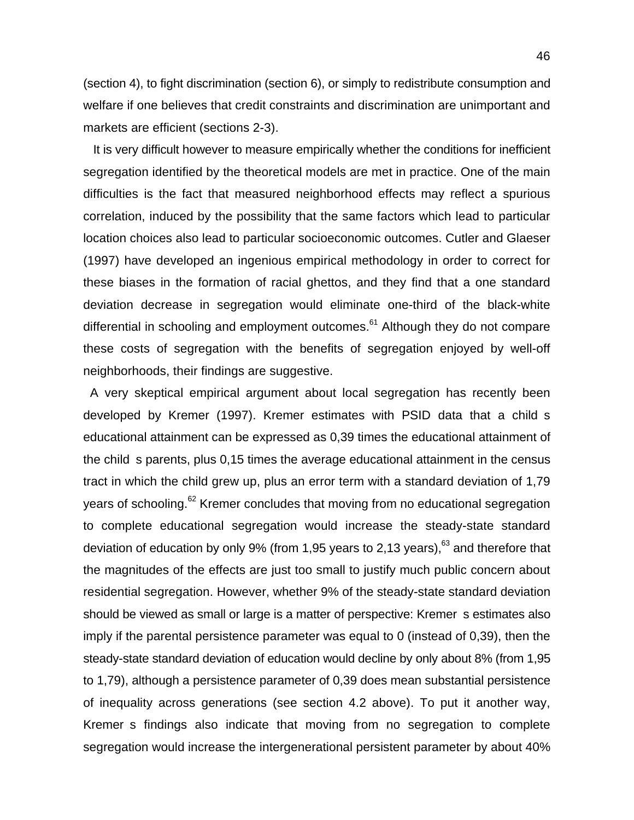(section 4), to fight discrimination (section 6), or simply to redistribute consumption and welfare if one believes that credit constraints and discrimination are unimportant and markets are efficient (sections 2-3).

 It is very difficult however to measure empirically whether the conditions for inefficient segregation identified by the theoretical models are met in practice. One of the main difficulties is the fact that measured neighborhood effects may reflect a spurious correlation, induced by the possibility that the same factors which lead to particular location choices also lead to particular socioeconomic outcomes. Cutler and Glaeser (1997) have developed an ingenious empirical methodology in order to correct for these biases in the formation of racial ghettos, and they find that a one standard deviation decrease in segregation would eliminate one-third of the black-white differential in schooling and employment outcomes.<sup>61</sup> Although they do not compare these costs of segregation with the benefits of segregation enjoyed by well-off neighborhoods, their findings are suggestive.

 A very skeptical empirical argument about local segregation has recently been developed by Kremer (1997). Kremer estimates with PSID data that a child s educational attainment can be expressed as 0,39 times the educational attainment of the child s parents, plus 0,15 times the average educational attainment in the census tract in which the child grew up, plus an error term with a standard deviation of 1,79 years of schooling.<sup>62</sup> Kremer concludes that moving from no educational segregation to complete educational segregation would increase the steady-state standard deviation of education by only 9% (from 1,95 years to 2,13 years), $^{63}$  and therefore that the magnitudes of the effects are just too small to justify much public concern about residential segregation. However, whether 9% of the steady-state standard deviation should be viewed as small or large is a matter of perspective: Kremer s estimates also imply if the parental persistence parameter was equal to 0 (instead of 0,39), then the steady-state standard deviation of education would decline by only about 8% (from 1,95 to 1,79), although a persistence parameter of 0,39 does mean substantial persistence of inequality across generations (see section 4.2 above). To put it another way, Kremer s findings also indicate that moving from no segregation to complete segregation would increase the intergenerational persistent parameter by about 40%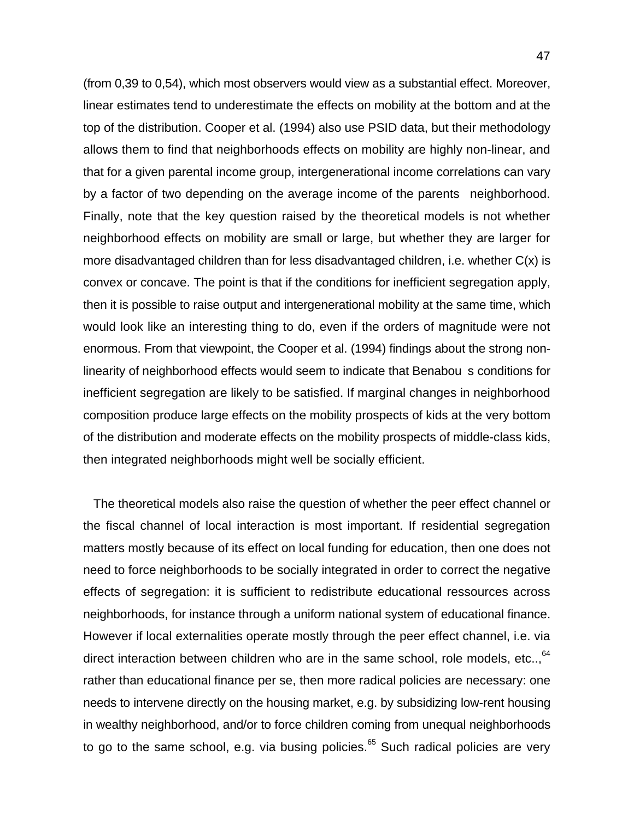(from 0,39 to 0,54), which most observers would view as a substantial effect. Moreover, linear estimates tend to underestimate the effects on mobility at the bottom and at the top of the distribution. Cooper et al. (1994) also use PSID data, but their methodology allows them to find that neighborhoods effects on mobility are highly non-linear, and that for a given parental income group, intergenerational income correlations can vary by a factor of two depending on the average income of the parents neighborhood. Finally, note that the key question raised by the theoretical models is not whether neighborhood effects on mobility are small or large, but whether they are larger for more disadvantaged children than for less disadvantaged children, i.e. whether C(x) is convex or concave. The point is that if the conditions for inefficient segregation apply, then it is possible to raise output and intergenerational mobility at the same time, which would look like an interesting thing to do, even if the orders of magnitude were not enormous. From that viewpoint, the Cooper et al. (1994) findings about the strong nonlinearity of neighborhood effects would seem to indicate that Benabou s conditions for inefficient segregation are likely to be satisfied. If marginal changes in neighborhood composition produce large effects on the mobility prospects of kids at the very bottom of the distribution and moderate effects on the mobility prospects of middle-class kids, then integrated neighborhoods might well be socially efficient.

 The theoretical models also raise the question of whether the peer effect channel or the fiscal channel of local interaction is most important. If residential segregation matters mostly because of its effect on local funding for education, then one does not need to force neighborhoods to be socially integrated in order to correct the negative effects of segregation: it is sufficient to redistribute educational ressources across neighborhoods, for instance through a uniform national system of educational finance. However if local externalities operate mostly through the peer effect channel, i.e. via direct interaction between children who are in the same school, role models, etc.., <sup>64</sup> rather than educational finance per se, then more radical policies are necessary: one needs to intervene directly on the housing market, e.g. by subsidizing low-rent housing in wealthy neighborhood, and/or to force children coming from unequal neighborhoods to go to the same school, e.g. via busing policies. $65$  Such radical policies are very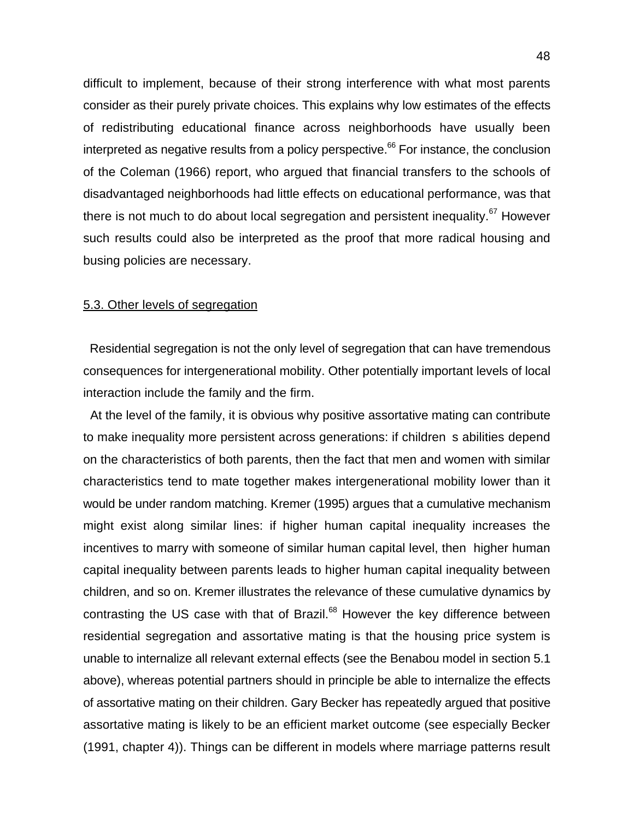difficult to implement, because of their strong interference with what most parents consider as their purely private choices. This explains why low estimates of the effects of redistributing educational finance across neighborhoods have usually been interpreted as negative results from a policy perspective.<sup>66</sup> For instance, the conclusion of the Coleman (1966) report, who argued that financial transfers to the schools of disadvantaged neighborhoods had little effects on educational performance, was that there is not much to do about local segregation and persistent inequality.<sup>67</sup> However such results could also be interpreted as the proof that more radical housing and busing policies are necessary.

#### 5.3. Other levels of segregation

 Residential segregation is not the only level of segregation that can have tremendous consequences for intergenerational mobility. Other potentially important levels of local interaction include the family and the firm.

 At the level of the family, it is obvious why positive assortative mating can contribute to make inequality more persistent across generations: if children s abilities depend on the characteristics of both parents, then the fact that men and women with similar characteristics tend to mate together makes intergenerational mobility lower than it would be under random matching. Kremer (1995) argues that a cumulative mechanism might exist along similar lines: if higher human capital inequality increases the incentives to marry with someone of similar human capital level, then higher human capital inequality between parents leads to higher human capital inequality between children, and so on. Kremer illustrates the relevance of these cumulative dynamics by contrasting the US case with that of Brazil.<sup>68</sup> However the key difference between residential segregation and assortative mating is that the housing price system is unable to internalize all relevant external effects (see the Benabou model in section 5.1 above), whereas potential partners should in principle be able to internalize the effects of assortative mating on their children. Gary Becker has repeatedly argued that positive assortative mating is likely to be an efficient market outcome (see especially Becker (1991, chapter 4)). Things can be different in models where marriage patterns result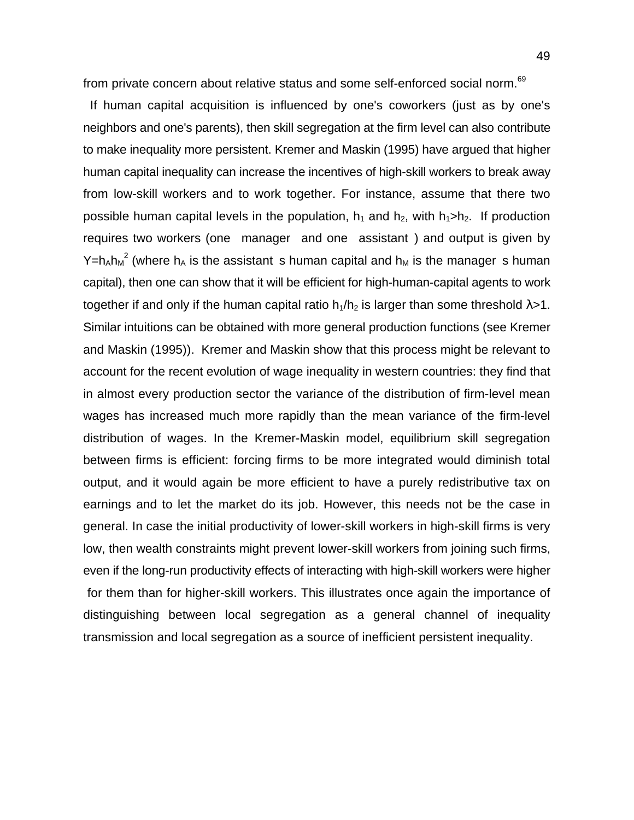from private concern about relative status and some self-enforced social norm.<sup>69</sup>

 If human capital acquisition is influenced by one's coworkers (just as by one's neighbors and one's parents), then skill segregation at the firm level can also contribute to make inequality more persistent. Kremer and Maskin (1995) have argued that higher human capital inequality can increase the incentives of high-skill workers to break away from low-skill workers and to work together. For instance, assume that there two possible human capital levels in the population,  $h_1$  and  $h_2$ , with  $h_1>h_2$ . If production requires two workers (one manager and one assistant ) and output is given by Y=h<sub>A</sub>h<sub>M</sub><sup>2</sup> (where h<sub>A</sub> is the assistant s human capital and h<sub>M</sub> is the manager s human capital), then one can show that it will be efficient for high-human-capital agents to work together if and only if the human capital ratio  $h_1/h_2$  is larger than some threshold  $\lambda > 1$ . Similar intuitions can be obtained with more general production functions (see Kremer and Maskin (1995)). Kremer and Maskin show that this process might be relevant to account for the recent evolution of wage inequality in western countries: they find that in almost every production sector the variance of the distribution of firm-level mean wages has increased much more rapidly than the mean variance of the firm-level distribution of wages. In the Kremer-Maskin model, equilibrium skill segregation between firms is efficient: forcing firms to be more integrated would diminish total output, and it would again be more efficient to have a purely redistributive tax on earnings and to let the market do its job. However, this needs not be the case in general. In case the initial productivity of lower-skill workers in high-skill firms is very low, then wealth constraints might prevent lower-skill workers from joining such firms, even if the long-run productivity effects of interacting with high-skill workers were higher for them than for higher-skill workers. This illustrates once again the importance of distinguishing between local segregation as a general channel of inequality transmission and local segregation as a source of inefficient persistent inequality.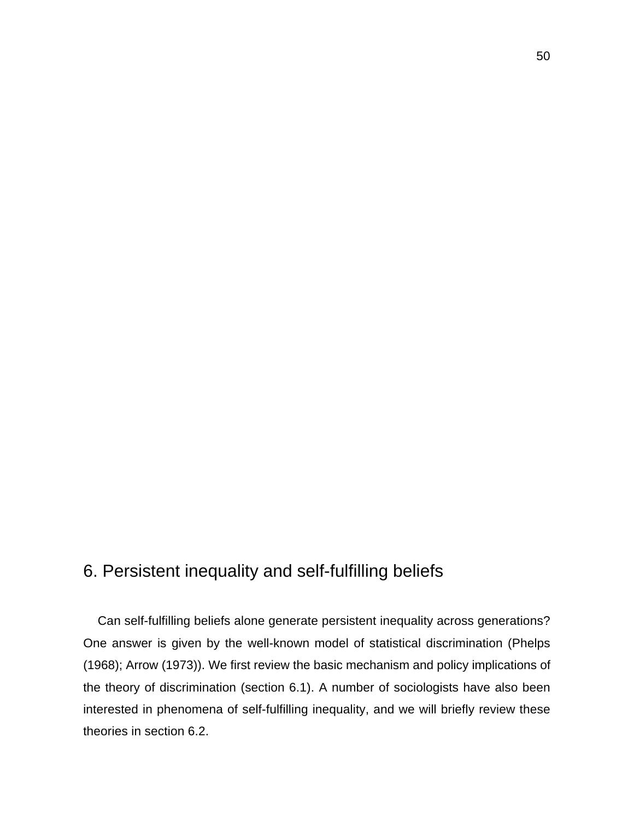# 6. Persistent inequality and self-fulfilling beliefs

 Can self-fulfilling beliefs alone generate persistent inequality across generations? One answer is given by the well-known model of statistical discrimination (Phelps (1968); Arrow (1973)). We first review the basic mechanism and policy implications of the theory of discrimination (section 6.1). A number of sociologists have also been interested in phenomena of self-fulfilling inequality, and we will briefly review these theories in section 6.2.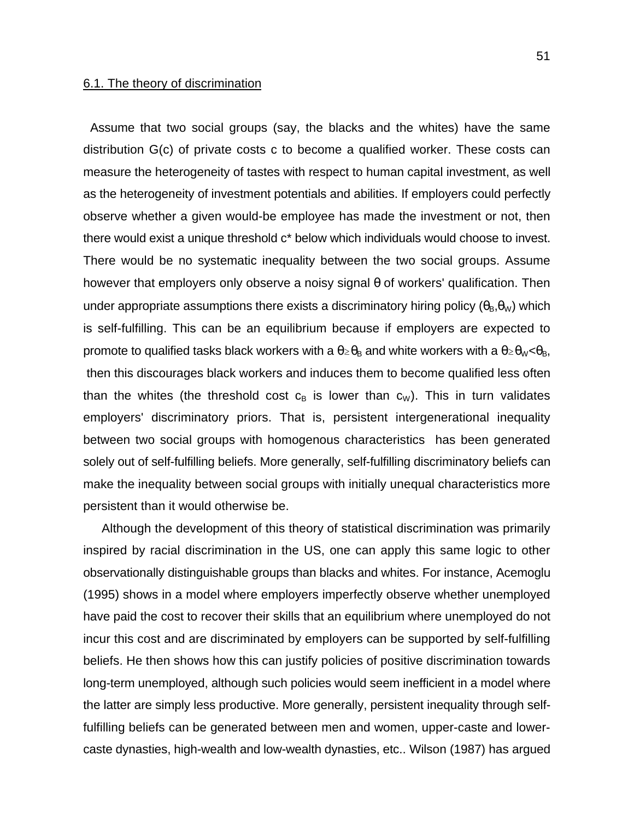Assume that two social groups (say, the blacks and the whites) have the same distribution G(c) of private costs c to become a qualified worker. These costs can measure the heterogeneity of tastes with respect to human capital investment, as well as the heterogeneity of investment potentials and abilities. If employers could perfectly observe whether a given would-be employee has made the investment or not, then there would exist a unique threshold c\* below which individuals would choose to invest. There would be no systematic inequality between the two social groups. Assume however that employers only observe a noisy signal  $\theta$  of workers' qualification. Then under appropriate assumptions there exists a discriminatory hiring policy ( $\theta_B,\theta_W$ ) which is self-fulfilling. This can be an equilibrium because if employers are expected to promote to qualified tasks black workers with a  $\theta \geq \theta_B$  and white workers with a  $\theta \geq \theta_W < \theta_B$ , then this discourages black workers and induces them to become qualified less often than the whites (the threshold cost  $c_B$  is lower than  $c_W$ ). This in turn validates employers' discriminatory priors. That is, persistent intergenerational inequality between two social groups with homogenous characteristics has been generated solely out of self-fulfilling beliefs. More generally, self-fulfilling discriminatory beliefs can make the inequality between social groups with initially unequal characteristics more persistent than it would otherwise be.

 Although the development of this theory of statistical discrimination was primarily inspired by racial discrimination in the US, one can apply this same logic to other observationally distinguishable groups than blacks and whites. For instance, Acemoglu (1995) shows in a model where employers imperfectly observe whether unemployed have paid the cost to recover their skills that an equilibrium where unemployed do not incur this cost and are discriminated by employers can be supported by self-fulfilling beliefs. He then shows how this can justify policies of positive discrimination towards long-term unemployed, although such policies would seem inefficient in a model where the latter are simply less productive. More generally, persistent inequality through selffulfilling beliefs can be generated between men and women, upper-caste and lowercaste dynasties, high-wealth and low-wealth dynasties, etc.. Wilson (1987) has argued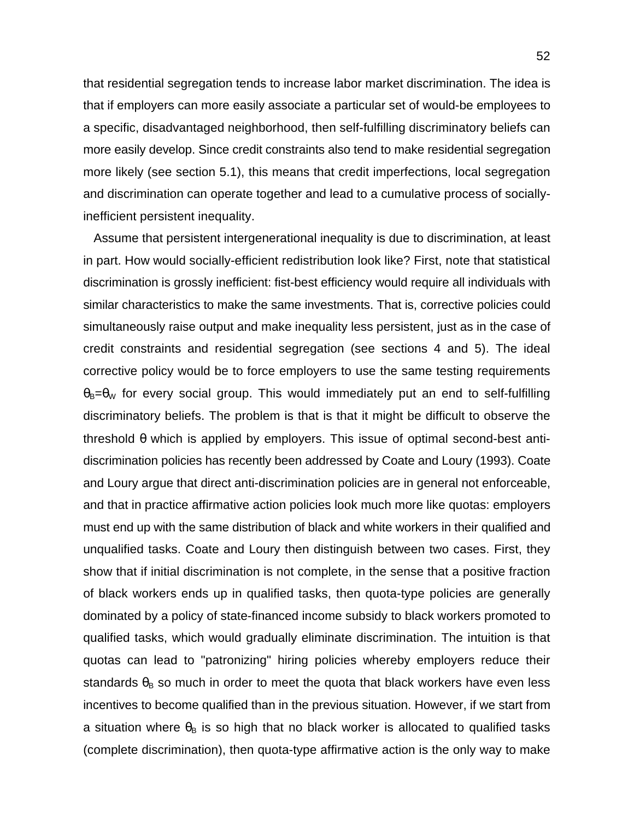that residential segregation tends to increase labor market discrimination. The idea is that if employers can more easily associate a particular set of would-be employees to a specific, disadvantaged neighborhood, then self-fulfilling discriminatory beliefs can more easily develop. Since credit constraints also tend to make residential segregation more likely (see section 5.1), this means that credit imperfections, local segregation and discrimination can operate together and lead to a cumulative process of sociallyinefficient persistent inequality.

 Assume that persistent intergenerational inequality is due to discrimination, at least in part. How would socially-efficient redistribution look like? First, note that statistical discrimination is grossly inefficient: fist-best efficiency would require all individuals with similar characteristics to make the same investments. That is, corrective policies could simultaneously raise output and make inequality less persistent, just as in the case of credit constraints and residential segregation (see sections 4 and 5). The ideal corrective policy would be to force employers to use the same testing requirements  $\theta_B=\theta_W$  for every social group. This would immediately put an end to self-fulfilling discriminatory beliefs. The problem is that is that it might be difficult to observe the threshold  $\theta$  which is applied by employers. This issue of optimal second-best antidiscrimination policies has recently been addressed by Coate and Loury (1993). Coate and Loury argue that direct anti-discrimination policies are in general not enforceable, and that in practice affirmative action policies look much more like quotas: employers must end up with the same distribution of black and white workers in their qualified and unqualified tasks. Coate and Loury then distinguish between two cases. First, they show that if initial discrimination is not complete, in the sense that a positive fraction of black workers ends up in qualified tasks, then quota-type policies are generally dominated by a policy of state-financed income subsidy to black workers promoted to qualified tasks, which would gradually eliminate discrimination. The intuition is that quotas can lead to "patronizing" hiring policies whereby employers reduce their standards  $\theta_B$  so much in order to meet the quota that black workers have even less incentives to become qualified than in the previous situation. However, if we start from a situation where  $\theta_B$  is so high that no black worker is allocated to qualified tasks (complete discrimination), then quota-type affirmative action is the only way to make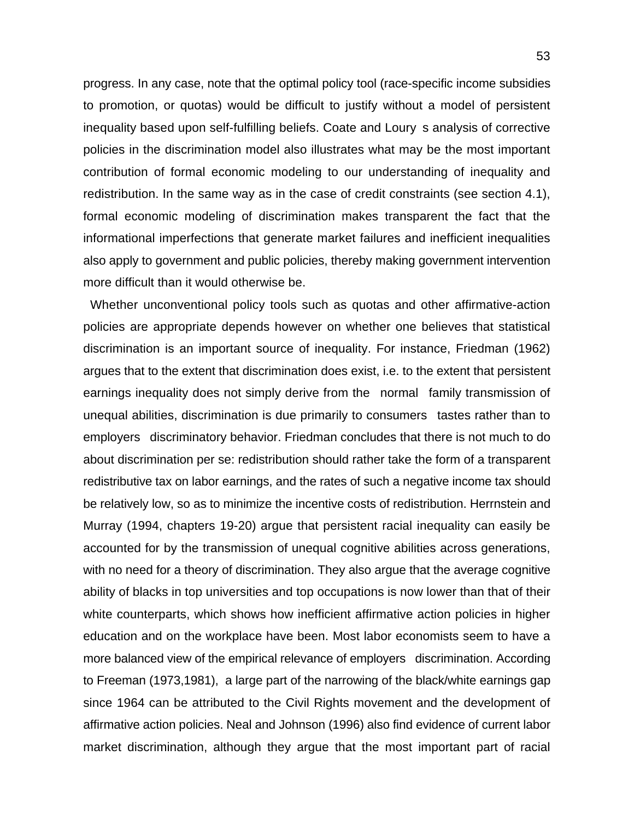progress. In any case, note that the optimal policy tool (race-specific income subsidies to promotion, or quotas) would be difficult to justify without a model of persistent inequality based upon self-fulfilling beliefs. Coate and Loury s analysis of corrective policies in the discrimination model also illustrates what may be the most important contribution of formal economic modeling to our understanding of inequality and redistribution. In the same way as in the case of credit constraints (see section 4.1), formal economic modeling of discrimination makes transparent the fact that the informational imperfections that generate market failures and inefficient inequalities also apply to government and public policies, thereby making government intervention more difficult than it would otherwise be.

 Whether unconventional policy tools such as quotas and other affirmative-action policies are appropriate depends however on whether one believes that statistical discrimination is an important source of inequality. For instance, Friedman (1962) argues that to the extent that discrimination does exist, i.e. to the extent that persistent earnings inequality does not simply derive from the normal family transmission of unequal abilities, discrimination is due primarily to consumers tastes rather than to employers discriminatory behavior. Friedman concludes that there is not much to do about discrimination per se: redistribution should rather take the form of a transparent redistributive tax on labor earnings, and the rates of such a negative income tax should be relatively low, so as to minimize the incentive costs of redistribution. Herrnstein and Murray (1994, chapters 19-20) argue that persistent racial inequality can easily be accounted for by the transmission of unequal cognitive abilities across generations, with no need for a theory of discrimination. They also argue that the average cognitive ability of blacks in top universities and top occupations is now lower than that of their white counterparts, which shows how inefficient affirmative action policies in higher education and on the workplace have been. Most labor economists seem to have a more balanced view of the empirical relevance of employers discrimination. According to Freeman (1973,1981), a large part of the narrowing of the black/white earnings gap since 1964 can be attributed to the Civil Rights movement and the development of affirmative action policies. Neal and Johnson (1996) also find evidence of current labor market discrimination, although they argue that the most important part of racial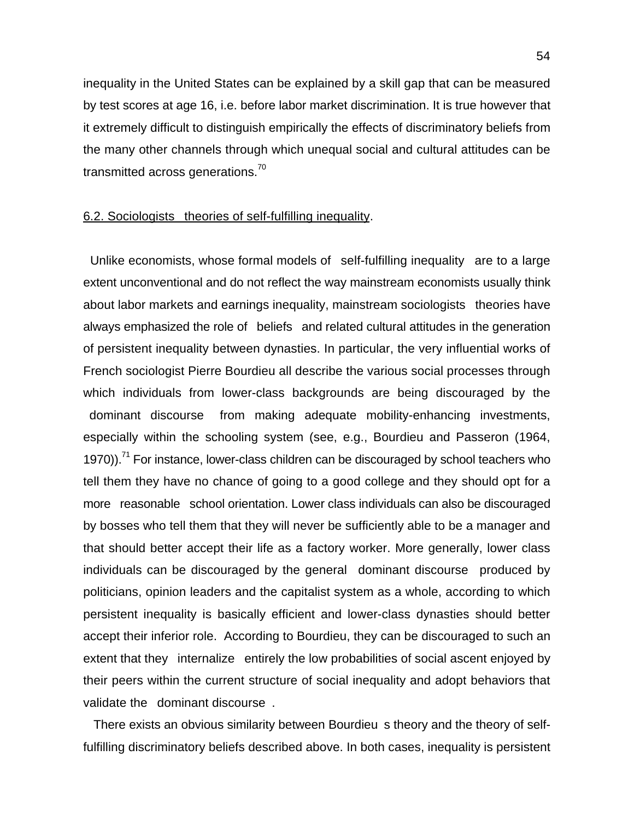inequality in the United States can be explained by a skill gap that can be measured by test scores at age 16, i.e. before labor market discrimination. It is true however that it extremely difficult to distinguish empirically the effects of discriminatory beliefs from the many other channels through which unequal social and cultural attitudes can be transmitted across generations.<sup>70</sup>

#### 6.2. Sociologists theories of self-fulfilling inequality.

 Unlike economists, whose formal models of self-fulfilling inequality are to a large extent unconventional and do not reflect the way mainstream economists usually think about labor markets and earnings inequality, mainstream sociologists theories have always emphasized the role of beliefs and related cultural attitudes in the generation of persistent inequality between dynasties. In particular, the very influential works of French sociologist Pierre Bourdieu all describe the various social processes through which individuals from lower-class backgrounds are being discouraged by the dominant discourse from making adequate mobility-enhancing investments, especially within the schooling system (see, e.g., Bourdieu and Passeron (1964, 1970)). $^{71}$  For instance, lower-class children can be discouraged by school teachers who tell them they have no chance of going to a good college and they should opt for a more reasonable school orientation. Lower class individuals can also be discouraged by bosses who tell them that they will never be sufficiently able to be a manager and that should better accept their life as a factory worker. More generally, lower class individuals can be discouraged by the general dominant discourse produced by politicians, opinion leaders and the capitalist system as a whole, according to which persistent inequality is basically efficient and lower-class dynasties should better accept their inferior role. According to Bourdieu, they can be discouraged to such an extent that they internalize entirely the low probabilities of social ascent enjoyed by their peers within the current structure of social inequality and adopt behaviors that validate the dominant discourse .

 There exists an obvious similarity between Bourdieu s theory and the theory of selffulfilling discriminatory beliefs described above. In both cases, inequality is persistent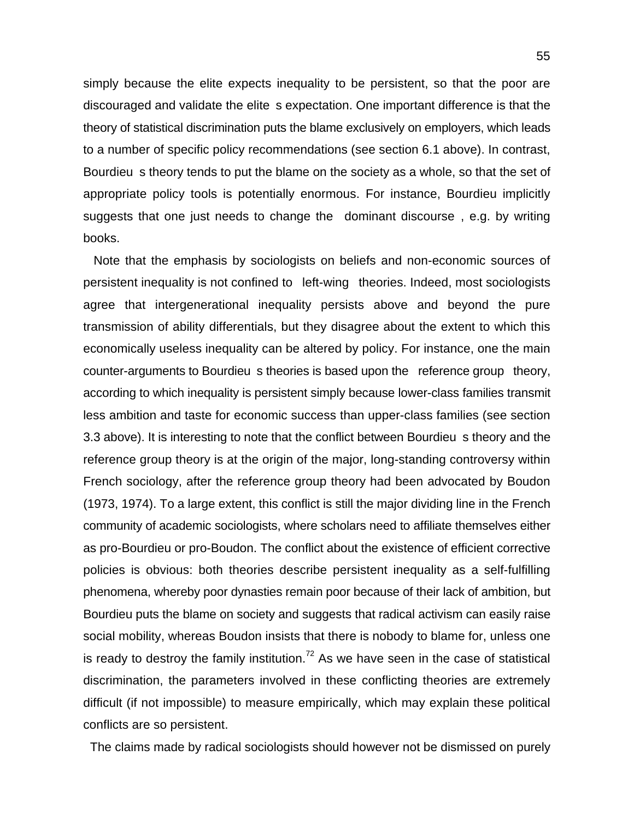simply because the elite expects inequality to be persistent, so that the poor are discouraged and validate the elite s expectation. One important difference is that the theory of statistical discrimination puts the blame exclusively on employers, which leads to a number of specific policy recommendations (see section 6.1 above). In contrast, Bourdieu s theory tends to put the blame on the society as a whole, so that the set of appropriate policy tools is potentially enormous. For instance, Bourdieu implicitly suggests that one just needs to change the dominant discourse , e.g. by writing books.

 Note that the emphasis by sociologists on beliefs and non-economic sources of persistent inequality is not confined to left-wing theories. Indeed, most sociologists agree that intergenerational inequality persists above and beyond the pure transmission of ability differentials, but they disagree about the extent to which this economically useless inequality can be altered by policy. For instance, one the main counter-arguments to Bourdieu s theories is based upon the reference group theory, according to which inequality is persistent simply because lower-class families transmit less ambition and taste for economic success than upper-class families (see section 3.3 above). It is interesting to note that the conflict between Bourdieu s theory and the reference group theory is at the origin of the major, long-standing controversy within French sociology, after the reference group theory had been advocated by Boudon (1973, 1974). To a large extent, this conflict is still the major dividing line in the French community of academic sociologists, where scholars need to affiliate themselves either as pro-Bourdieu or pro-Boudon. The conflict about the existence of efficient corrective policies is obvious: both theories describe persistent inequality as a self-fulfilling phenomena, whereby poor dynasties remain poor because of their lack of ambition, but Bourdieu puts the blame on society and suggests that radical activism can easily raise social mobility, whereas Boudon insists that there is nobody to blame for, unless one is ready to destroy the family institution.<sup>72</sup> As we have seen in the case of statistical discrimination, the parameters involved in these conflicting theories are extremely difficult (if not impossible) to measure empirically, which may explain these political conflicts are so persistent.

The claims made by radical sociologists should however not be dismissed on purely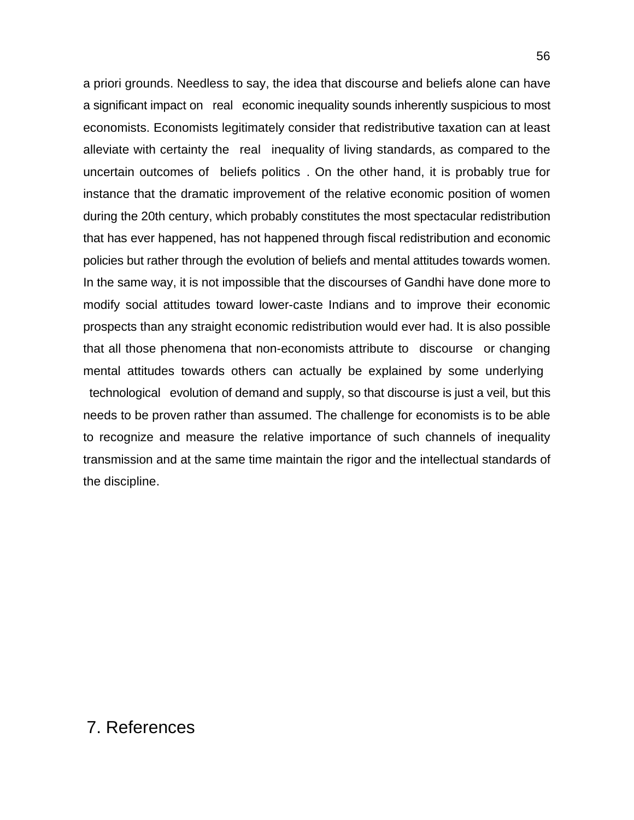a priori grounds. Needless to say, the idea that discourse and beliefs alone can have a significant impact on real economic inequality sounds inherently suspicious to most economists. Economists legitimately consider that redistributive taxation can at least alleviate with certainty the real inequality of living standards, as compared to the uncertain outcomes of beliefs politics . On the other hand, it is probably true for instance that the dramatic improvement of the relative economic position of women during the 20th century, which probably constitutes the most spectacular redistribution that has ever happened, has not happened through fiscal redistribution and economic policies but rather through the evolution of beliefs and mental attitudes towards women. In the same way, it is not impossible that the discourses of Gandhi have done more to modify social attitudes toward lower-caste Indians and to improve their economic prospects than any straight economic redistribution would ever had. It is also possible that all those phenomena that non-economists attribute to discourse or changing mental attitudes towards others can actually be explained by some underlying technological evolution of demand and supply, so that discourse is just a veil, but this needs to be proven rather than assumed. The challenge for economists is to be able to recognize and measure the relative importance of such channels of inequality transmission and at the same time maintain the rigor and the intellectual standards of the discipline.

# 7. References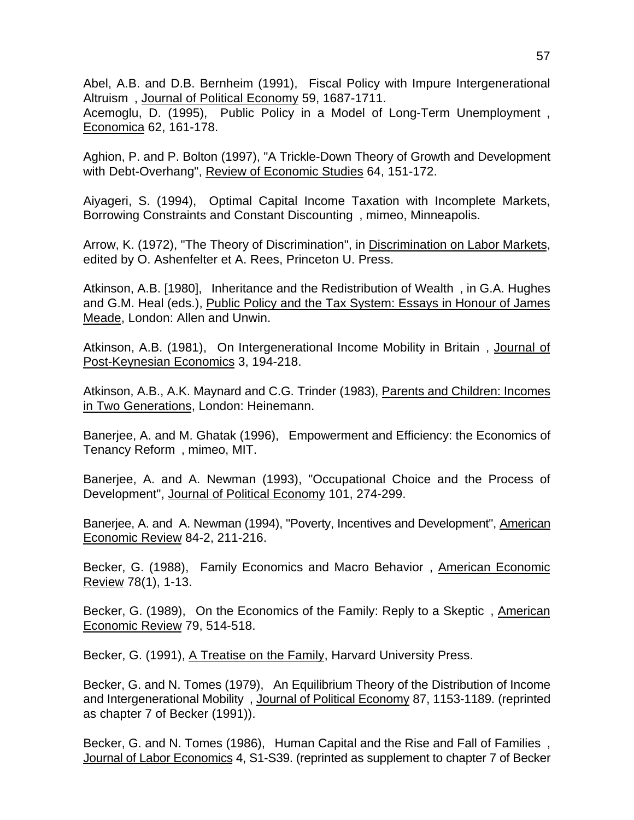Abel, A.B. and D.B. Bernheim (1991), Fiscal Policy with Impure Intergenerational Altruism , Journal of Political Economy 59, 1687-1711.

Acemoglu, D. (1995), Public Policy in a Model of Long-Term Unemployment , Economica 62, 161-178.

Aghion, P. and P. Bolton (1997), "A Trickle-Down Theory of Growth and Development with Debt-Overhang", Review of Economic Studies 64, 151-172.

Aiyageri, S. (1994), Optimal Capital Income Taxation with Incomplete Markets, Borrowing Constraints and Constant Discounting , mimeo, Minneapolis.

Arrow, K. (1972), "The Theory of Discrimination", in Discrimination on Labor Markets, edited by O. Ashenfelter et A. Rees, Princeton U. Press.

Atkinson, A.B. [1980], Inheritance and the Redistribution of Wealth , in G.A. Hughes and G.M. Heal (eds.), Public Policy and the Tax System: Essays in Honour of James Meade, London: Allen and Unwin.

Atkinson, A.B. (1981), On Intergenerational Income Mobility in Britain , Journal of Post-Keynesian Economics 3, 194-218.

Atkinson, A.B., A.K. Maynard and C.G. Trinder (1983), Parents and Children: Incomes in Two Generations, London: Heinemann.

Banerjee, A. and M. Ghatak (1996), Empowerment and Efficiency: the Economics of Tenancy Reform , mimeo, MIT.

Banerjee, A. and A. Newman (1993), "Occupational Choice and the Process of Development", Journal of Political Economy 101, 274-299.

Banerjee, A. and A. Newman (1994), "Poverty, Incentives and Development", American Economic Review 84-2, 211-216.

Becker, G. (1988), Family Economics and Macro Behavior , American Economic Review 78(1), 1-13.

Becker, G. (1989), On the Economics of the Family: Reply to a Skeptic , American Economic Review 79, 514-518.

Becker, G. (1991), A Treatise on the Family, Harvard University Press.

Becker, G. and N. Tomes (1979), An Equilibrium Theory of the Distribution of Income and Intergenerational Mobility , Journal of Political Economy 87, 1153-1189. (reprinted as chapter 7 of Becker (1991)).

Becker, G. and N. Tomes (1986), Human Capital and the Rise and Fall of Families , Journal of Labor Economics 4, S1-S39. (reprinted as supplement to chapter 7 of Becker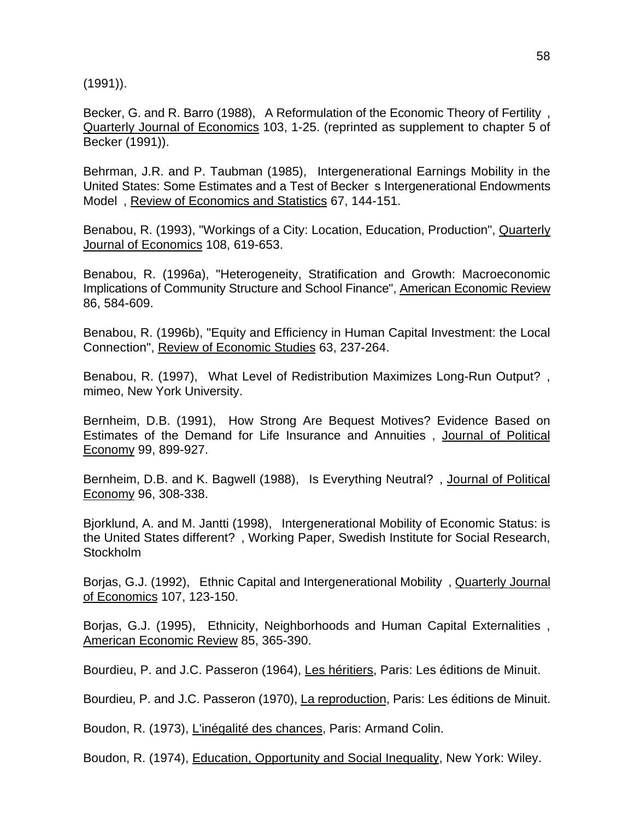(1991)).

Becker, G. and R. Barro (1988), A Reformulation of the Economic Theory of Fertility , Quarterly Journal of Economics 103, 1-25. (reprinted as supplement to chapter 5 of Becker (1991)).

Behrman, J.R. and P. Taubman (1985), Intergenerational Earnings Mobility in the United States: Some Estimates and a Test of Becker s Intergenerational Endowments Model , Review of Economics and Statistics 67, 144-151.

Benabou, R. (1993), "Workings of a City: Location, Education, Production", Quarterly Journal of Economics 108, 619-653.

Benabou, R. (1996a), "Heterogeneity, Stratification and Growth: Macroeconomic Implications of Community Structure and School Finance", American Economic Review 86, 584-609.

Benabou, R. (1996b), "Equity and Efficiency in Human Capital Investment: the Local Connection", Review of Economic Studies 63, 237-264.

Benabou, R. (1997), What Level of Redistribution Maximizes Long-Run Output? , mimeo, New York University.

Bernheim, D.B. (1991), How Strong Are Bequest Motives? Evidence Based on Estimates of the Demand for Life Insurance and Annuities , Journal of Political Economy 99, 899-927.

Bernheim, D.B. and K. Bagwell (1988), Is Everything Neutral? , Journal of Political Economy 96, 308-338.

Bjorklund, A. and M. Jantti (1998), Intergenerational Mobility of Economic Status: is the United States different? , Working Paper, Swedish Institute for Social Research, **Stockholm** 

Borjas, G.J. (1992), Ethnic Capital and Intergenerational Mobility , Quarterly Journal of Economics 107, 123-150.

Borjas, G.J. (1995), Ethnicity, Neighborhoods and Human Capital Externalities , American Economic Review 85, 365-390.

Bourdieu, P. and J.C. Passeron (1964), Les héritiers, Paris: Les éditions de Minuit.

Bourdieu, P. and J.C. Passeron (1970), La reproduction, Paris: Les éditions de Minuit.

Boudon, R. (1973), L'inégalité des chances, Paris: Armand Colin.

Boudon, R. (1974), Education, Opportunity and Social Inequality, New York: Wiley.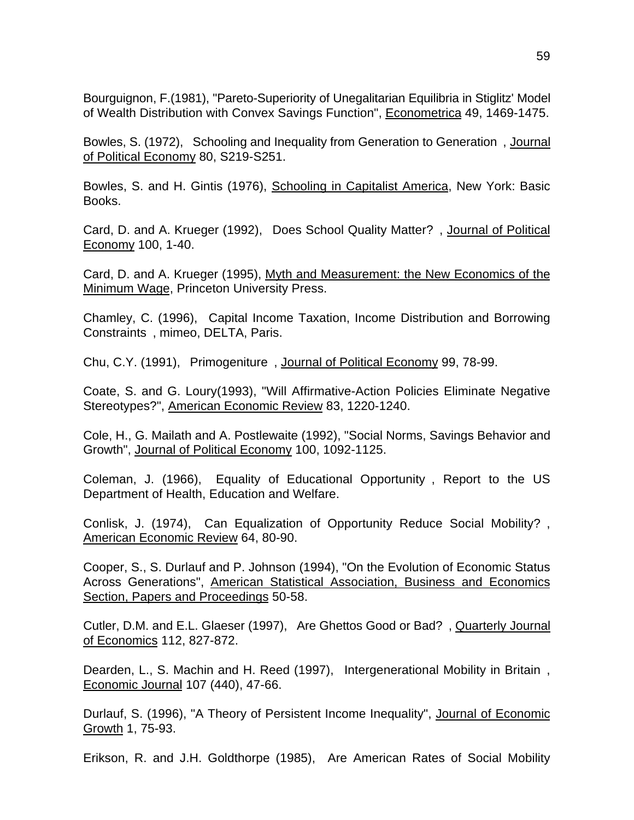Bourguignon, F.(1981), "Pareto-Superiority of Unegalitarian Equilibria in Stiglitz' Model of Wealth Distribution with Convex Savings Function", Econometrica 49, 1469-1475.

Bowles, S. (1972), Schooling and Inequality from Generation to Generation , Journal of Political Economy 80, S219-S251.

Bowles, S. and H. Gintis (1976), Schooling in Capitalist America, New York: Basic Books.

Card, D. and A. Krueger (1992), Does School Quality Matter? , Journal of Political Economy 100, 1-40.

Card, D. and A. Krueger (1995), Myth and Measurement: the New Economics of the Minimum Wage, Princeton University Press.

Chamley, C. (1996), Capital Income Taxation, Income Distribution and Borrowing Constraints , mimeo, DELTA, Paris.

Chu, C.Y. (1991), Primogeniture , Journal of Political Economy 99, 78-99.

Coate, S. and G. Loury(1993), "Will Affirmative-Action Policies Eliminate Negative Stereotypes?", American Economic Review 83, 1220-1240.

Cole, H., G. Mailath and A. Postlewaite (1992), "Social Norms, Savings Behavior and Growth", Journal of Political Economy 100, 1092-1125.

Coleman, J. (1966), Equality of Educational Opportunity , Report to the US Department of Health, Education and Welfare.

Conlisk, J. (1974), Can Equalization of Opportunity Reduce Social Mobility? , American Economic Review 64, 80-90.

Cooper, S., S. Durlauf and P. Johnson (1994), "On the Evolution of Economic Status Across Generations", American Statistical Association, Business and Economics Section, Papers and Proceedings 50-58.

Cutler, D.M. and E.L. Glaeser (1997), Are Ghettos Good or Bad?, Quarterly Journal of Economics 112, 827-872.

Dearden, L., S. Machin and H. Reed (1997), Intergenerational Mobility in Britain , Economic Journal 107 (440), 47-66.

Durlauf, S. (1996), "A Theory of Persistent Income Inequality", Journal of Economic Growth 1, 75-93.

Erikson, R. and J.H. Goldthorpe (1985), Are American Rates of Social Mobility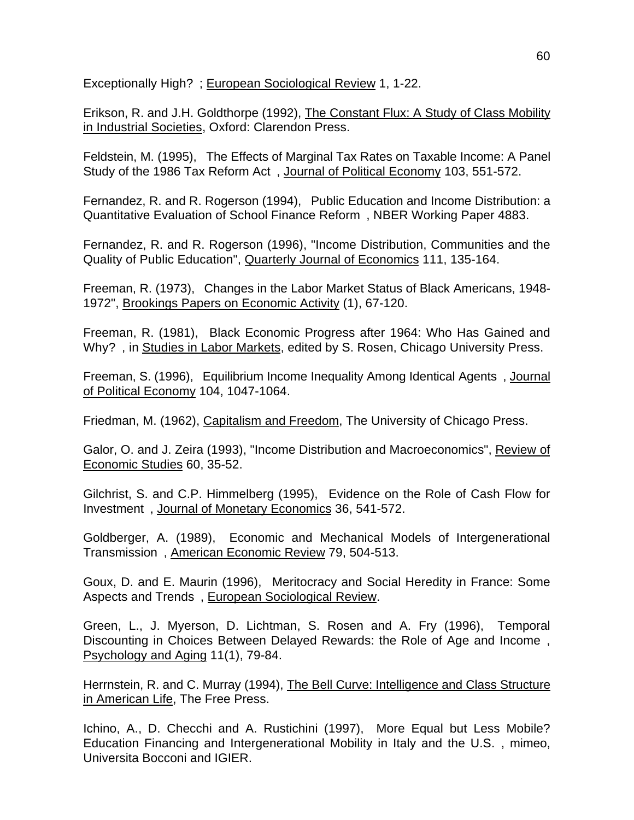Exceptionally High? ; European Sociological Review 1, 1-22.

Erikson, R. and J.H. Goldthorpe (1992), The Constant Flux: A Study of Class Mobility in Industrial Societies, Oxford: Clarendon Press.

Feldstein, M. (1995), The Effects of Marginal Tax Rates on Taxable Income: A Panel Study of the 1986 Tax Reform Act , Journal of Political Economy 103, 551-572.

Fernandez, R. and R. Rogerson (1994), Public Education and Income Distribution: a Quantitative Evaluation of School Finance Reform , NBER Working Paper 4883.

Fernandez, R. and R. Rogerson (1996), "Income Distribution, Communities and the Quality of Public Education", Quarterly Journal of Economics 111, 135-164.

Freeman, R. (1973), Changes in the Labor Market Status of Black Americans, 1948- 1972", Brookings Papers on Economic Activity (1), 67-120.

Freeman, R. (1981), Black Economic Progress after 1964: Who Has Gained and Why? , in Studies in Labor Markets, edited by S. Rosen, Chicago University Press.

Freeman, S. (1996), Equilibrium Income Inequality Among Identical Agents , Journal of Political Economy 104, 1047-1064.

Friedman, M. (1962), Capitalism and Freedom, The University of Chicago Press.

Galor, O. and J. Zeira (1993), "Income Distribution and Macroeconomics", Review of Economic Studies 60, 35-52.

Gilchrist, S. and C.P. Himmelberg (1995), Evidence on the Role of Cash Flow for Investment , Journal of Monetary Economics 36, 541-572.

Goldberger, A. (1989), Economic and Mechanical Models of Intergenerational Transmission , American Economic Review 79, 504-513.

Goux, D. and E. Maurin (1996), Meritocracy and Social Heredity in France: Some Aspects and Trends , European Sociological Review.

Green, L., J. Myerson, D. Lichtman, S. Rosen and A. Fry (1996), Temporal Discounting in Choices Between Delayed Rewards: the Role of Age and Income , Psychology and Aging 11(1), 79-84.

Herrnstein, R. and C. Murray (1994), The Bell Curve: Intelligence and Class Structure in American Life, The Free Press.

Ichino, A., D. Checchi and A. Rustichini (1997), More Equal but Less Mobile? Education Financing and Intergenerational Mobility in Italy and the U.S. , mimeo, Universita Bocconi and IGIER.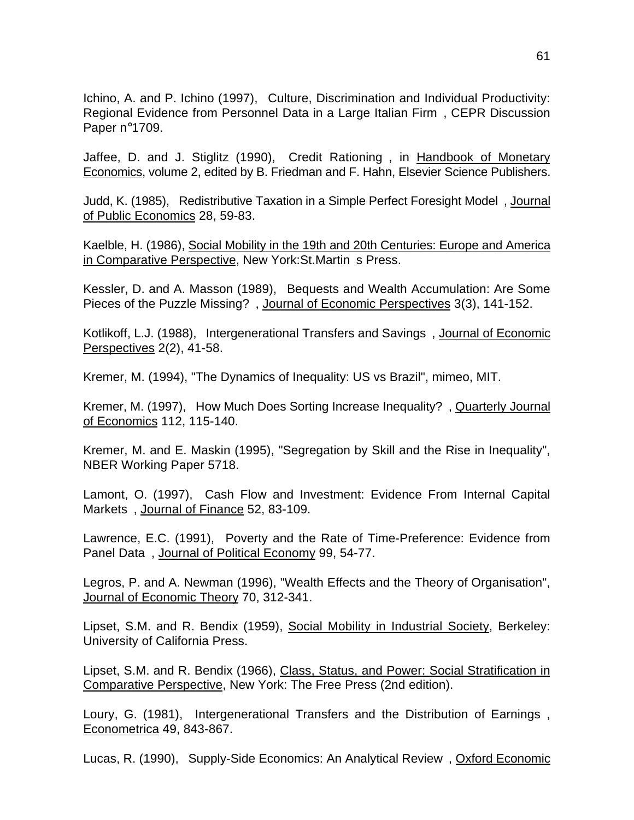Ichino, A. and P. Ichino (1997), Culture, Discrimination and Individual Productivity: Regional Evidence from Personnel Data in a Large Italian Firm , CEPR Discussion Paper n°1709.

Jaffee, D. and J. Stiglitz (1990), Credit Rationing , in Handbook of Monetary Economics, volume 2, edited by B. Friedman and F. Hahn, Elsevier Science Publishers.

Judd, K. (1985), Redistributive Taxation in a Simple Perfect Foresight Model , Journal of Public Economics 28, 59-83.

Kaelble, H. (1986), Social Mobility in the 19th and 20th Centuries: Europe and America in Comparative Perspective, New York:St.Martin s Press.

Kessler, D. and A. Masson (1989), Bequests and Wealth Accumulation: Are Some Pieces of the Puzzle Missing? , Journal of Economic Perspectives 3(3), 141-152.

Kotlikoff, L.J. (1988), Intergenerational Transfers and Savings , Journal of Economic Perspectives 2(2), 41-58.

Kremer, M. (1994), "The Dynamics of Inequality: US vs Brazil", mimeo, MIT.

Kremer, M. (1997), How Much Does Sorting Increase Inequality? , Quarterly Journal of Economics 112, 115-140.

Kremer, M. and E. Maskin (1995), "Segregation by Skill and the Rise in Inequality", NBER Working Paper 5718.

Lamont, O. (1997), Cash Flow and Investment: Evidence From Internal Capital Markets , Journal of Finance 52, 83-109.

Lawrence, E.C. (1991), Poverty and the Rate of Time-Preference: Evidence from Panel Data, Journal of Political Economy 99, 54-77.

Legros, P. and A. Newman (1996), "Wealth Effects and the Theory of Organisation", Journal of Economic Theory 70, 312-341.

Lipset, S.M. and R. Bendix (1959), Social Mobility in Industrial Society, Berkeley: University of California Press.

Lipset, S.M. and R. Bendix (1966), Class, Status, and Power: Social Stratification in Comparative Perspective, New York: The Free Press (2nd edition).

Loury, G. (1981), Intergenerational Transfers and the Distribution of Earnings , Econometrica 49, 843-867.

Lucas, R. (1990), Supply-Side Economics: An Analytical Review , Oxford Economic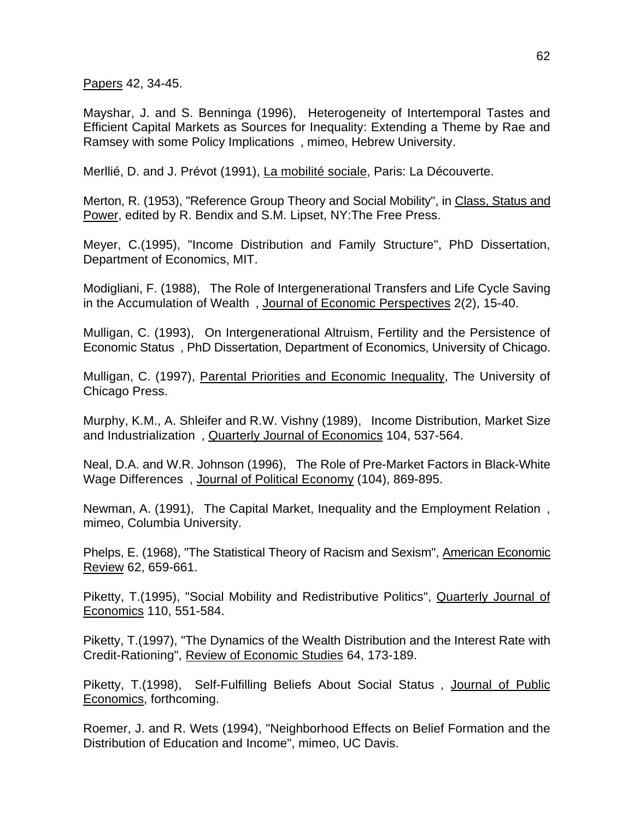Papers 42, 34-45.

Mayshar, J. and S. Benninga (1996), Heterogeneity of Intertemporal Tastes and Efficient Capital Markets as Sources for Inequality: Extending a Theme by Rae and Ramsey with some Policy Implications , mimeo, Hebrew University.

Merllié, D. and J. Prévot (1991), La mobilité sociale, Paris: La Découverte.

Merton, R. (1953), "Reference Group Theory and Social Mobility", in Class, Status and Power, edited by R. Bendix and S.M. Lipset, NY:The Free Press.

Meyer, C.(1995), "Income Distribution and Family Structure", PhD Dissertation, Department of Economics, MIT.

Modigliani, F. (1988), The Role of Intergenerational Transfers and Life Cycle Saving in the Accumulation of Wealth , Journal of Economic Perspectives 2(2), 15-40.

Mulligan, C. (1993), On Intergenerational Altruism, Fertility and the Persistence of Economic Status , PhD Dissertation, Department of Economics, University of Chicago.

Mulligan, C. (1997), Parental Priorities and Economic Inequality, The University of Chicago Press.

Murphy, K.M., A. Shleifer and R.W. Vishny (1989), Income Distribution, Market Size and Industrialization , Quarterly Journal of Economics 104, 537-564.

Neal, D.A. and W.R. Johnson (1996), The Role of Pre-Market Factors in Black-White Wage Differences , Journal of Political Economy (104), 869-895.

Newman, A. (1991), The Capital Market, Inequality and the Employment Relation , mimeo, Columbia University.

Phelps, E. (1968), "The Statistical Theory of Racism and Sexism", American Economic Review 62, 659-661.

Piketty, T.(1995), "Social Mobility and Redistributive Politics", Quarterly Journal of Economics 110, 551-584.

Piketty, T.(1997), "The Dynamics of the Wealth Distribution and the Interest Rate with Credit-Rationing", Review of Economic Studies 64, 173-189.

Piketty, T.(1998), Self-Fulfilling Beliefs About Social Status , Journal of Public Economics, forthcoming.

Roemer, J. and R. Wets (1994), "Neighborhood Effects on Belief Formation and the Distribution of Education and Income", mimeo, UC Davis.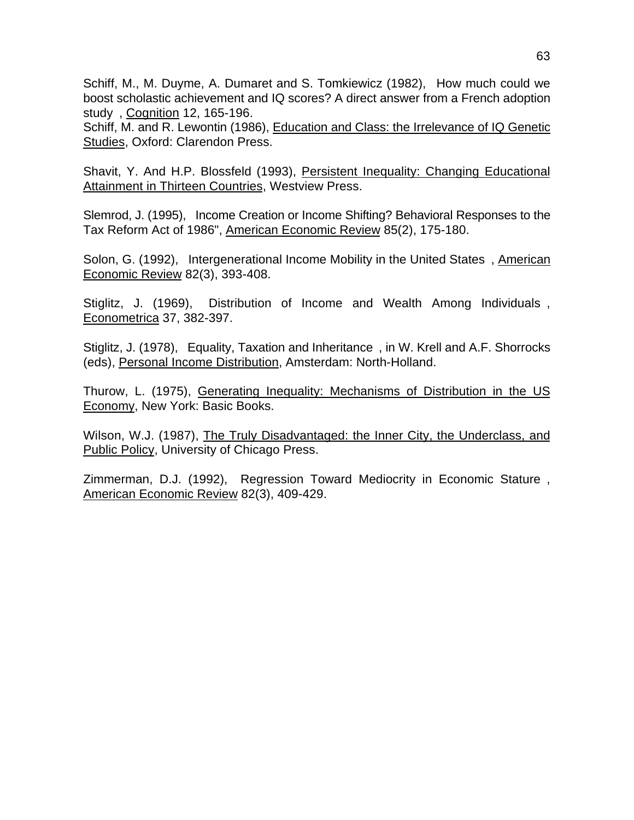Schiff, M., M. Duyme, A. Dumaret and S. Tomkiewicz (1982), How much could we boost scholastic achievement and IQ scores? A direct answer from a French adoption study , Cognition 12, 165-196.

Schiff, M. and R. Lewontin (1986), Education and Class: the Irrelevance of IQ Genetic Studies, Oxford: Clarendon Press.

Shavit, Y. And H.P. Blossfeld (1993), Persistent Inequality: Changing Educational Attainment in Thirteen Countries, Westview Press.

Slemrod, J. (1995), Income Creation or Income Shifting? Behavioral Responses to the Tax Reform Act of 1986", American Economic Review 85(2), 175-180.

Solon, G. (1992), Intergenerational Income Mobility in the United States , American Economic Review 82(3), 393-408.

Stiglitz, J. (1969), Distribution of Income and Wealth Among Individuals , Econometrica 37, 382-397.

Stiglitz, J. (1978), Equality, Taxation and Inheritance , in W. Krell and A.F. Shorrocks (eds), Personal Income Distribution, Amsterdam: North-Holland.

Thurow, L. (1975), Generating Inequality: Mechanisms of Distribution in the US Economy, New York: Basic Books.

Wilson, W.J. (1987), The Truly Disadvantaged: the Inner City, the Underclass, and Public Policy, University of Chicago Press.

Zimmerman, D.J. (1992), Regression Toward Mediocrity in Economic Stature , American Economic Review 82(3), 409-429.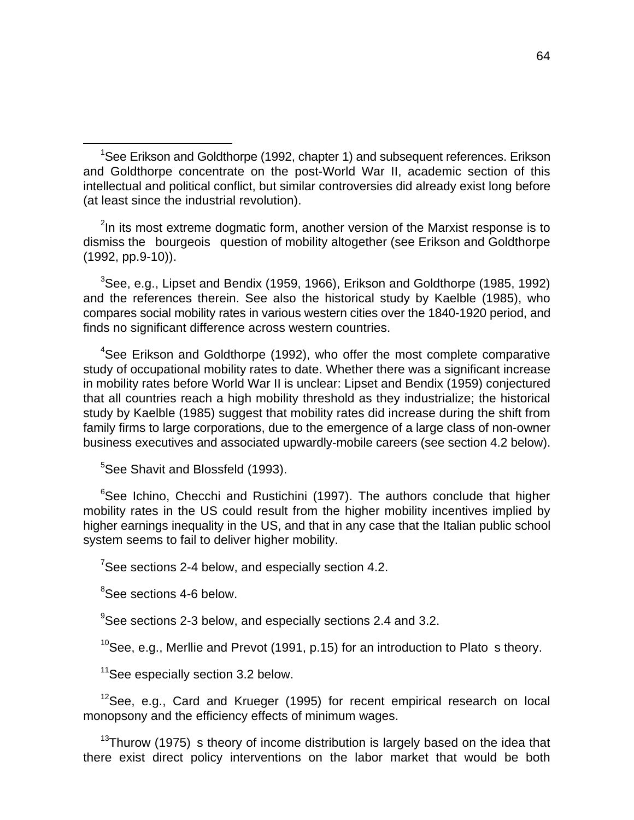$2$ In its most extreme dogmatic form, another version of the Marxist response is to dismiss the bourgeois question of mobility altogether (see Erikson and Goldthorpe (1992, pp.9-10)).

 $3$ See, e.g., Lipset and Bendix (1959, 1966), Erikson and Goldthorpe (1985, 1992) and the references therein. See also the historical study by Kaelble (1985), who compares social mobility rates in various western cities over the 1840-1920 period, and finds no significant difference across western countries.

<sup>4</sup>See Erikson and Goldthorpe (1992), who offer the most complete comparative study of occupational mobility rates to date. Whether there was a significant increase in mobility rates before World War II is unclear: Lipset and Bendix (1959) conjectured that all countries reach a high mobility threshold as they industrialize; the historical study by Kaelble (1985) suggest that mobility rates did increase during the shift from family firms to large corporations, due to the emergence of a large class of non-owner business executives and associated upwardly-mobile careers (see section 4.2 below).

<sup>5</sup>See Shavit and Blossfeld (1993).

 $6$ See Ichino, Checchi and Rustichini (1997). The authors conclude that higher mobility rates in the US could result from the higher mobility incentives implied by higher earnings inequality in the US, and that in any case that the Italian public school system seems to fail to deliver higher mobility.

 $7$ See sections 2-4 below, and especially section 4.2.

<sup>8</sup>See sections 4-6 below.

 $\overline{a}$ 

<sup>9</sup>See sections 2-3 below, and especially sections 2.4 and 3.2.

 $10$  See, e.g., Merllie and Prevot (1991, p.15) for an introduction to Plato s theory.

<sup>11</sup>See especially section 3.2 below.

 $12$ See, e.g., Card and Krueger (1995) for recent empirical research on local monopsony and the efficiency effects of minimum wages.

 $13$ Thurow (1975) s theory of income distribution is largely based on the idea that there exist direct policy interventions on the labor market that would be both

 $1$ See Erikson and Goldthorpe (1992, chapter 1) and subsequent references. Erikson and Goldthorpe concentrate on the post-World War II, academic section of this intellectual and political conflict, but similar controversies did already exist long before (at least since the industrial revolution).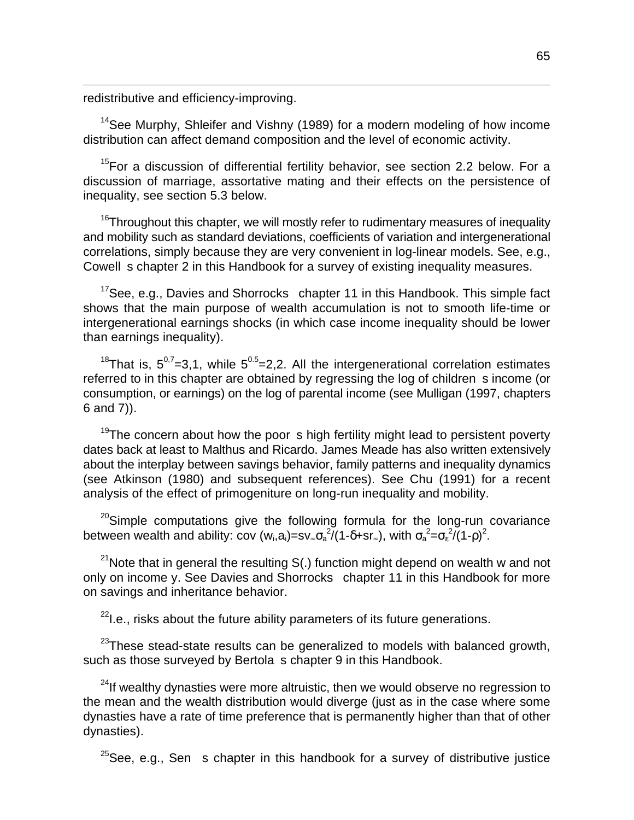redistributive and efficiency-improving.

 $\overline{a}$ 

<sup>14</sup>See Murphy, Shleifer and Vishny (1989) for a modern modeling of how income distribution can affect demand composition and the level of economic activity.

<sup>15</sup>For a discussion of differential fertility behavior, see section 2.2 below. For a discussion of marriage, assortative mating and their effects on the persistence of inequality, see section 5.3 below.

 $16$ Throughout this chapter, we will mostly refer to rudimentary measures of inequality and mobility such as standard deviations, coefficients of variation and intergenerational correlations, simply because they are very convenient in log-linear models. See, e.g., Cowell s chapter 2 in this Handbook for a survey of existing inequality measures.

 $17$ See, e.g., Davies and Shorrocks chapter 11 in this Handbook. This simple fact shows that the main purpose of wealth accumulation is not to smooth life-time or intergenerational earnings shocks (in which case income inequality should be lower than earnings inequality).

<sup>18</sup>That is,  $5^{0.7}$ =3,1, while  $5^{0.5}$ =2,2. All the intergenerational correlation estimates referred to in this chapter are obtained by regressing the log of children s income (or consumption, or earnings) on the log of parental income (see Mulligan (1997, chapters 6 and 7)).

 $19$ The concern about how the poor s high fertility might lead to persistent poverty dates back at least to Malthus and Ricardo. James Meade has also written extensively about the interplay between savings behavior, family patterns and inequality dynamics (see Atkinson (1980) and subsequent references). See Chu (1991) for a recent analysis of the effect of primogeniture on long-run inequality and mobility.

 $20$ Simple computations give the following formula for the long-run covariance between wealth and ability: cov (w<sub>i</sub>,a<sub>i</sub>)=sv<sub>∞</sub>o<sub>a</sub><sup>2</sup>/(1-δ+sr<sub>∞</sub>), with o<sub>a</sub><sup>2</sup>=o<sub>ε</sub><sup>2</sup>/(1-ρ)<sup>2</sup>.

 $21$ Note that in general the resulting S(.) function might depend on wealth w and not only on income y. See Davies and Shorrocks chapter 11 in this Handbook for more on savings and inheritance behavior.

 $22$ l.e., risks about the future ability parameters of its future generations.

 $23$ These stead-state results can be generalized to models with balanced growth, such as those surveyed by Bertola s chapter 9 in this Handbook.

 $24$ If wealthy dynasties were more altruistic, then we would observe no regression to the mean and the wealth distribution would diverge (just as in the case where some dynasties have a rate of time preference that is permanently higher than that of other dynasties).

 $25$ See, e.g., Sen s chapter in this handbook for a survey of distributive justice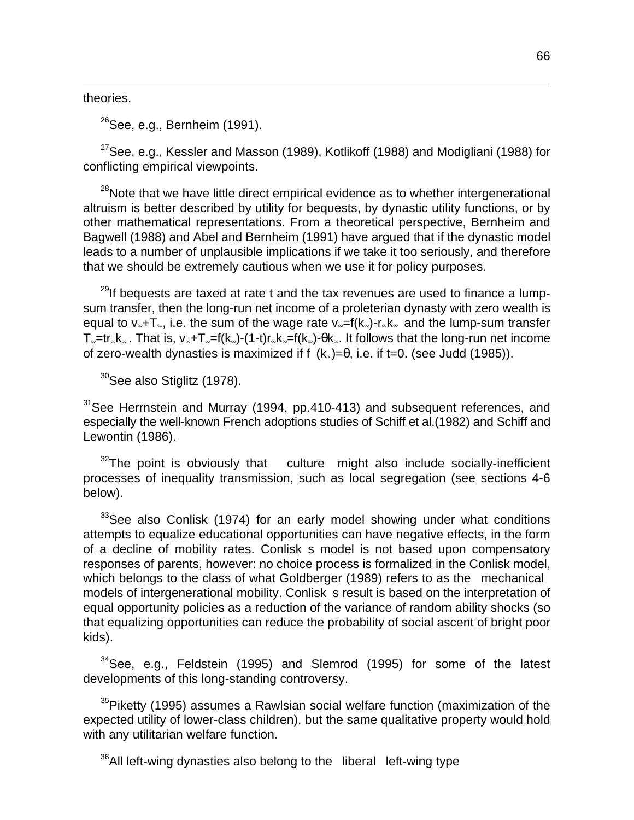theories.

 $\overline{a}$ 

 $26$ See, e.g., Bernheim (1991).

 $27$ See, e.g., Kessler and Masson (1989), Kotlikoff (1988) and Modigliani (1988) for conflicting empirical viewpoints.

<sup>28</sup>Note that we have little direct empirical evidence as to whether intergenerational altruism is better described by utility for bequests, by dynastic utility functions, or by other mathematical representations. From a theoretical perspective, Bernheim and Bagwell (1988) and Abel and Bernheim (1991) have argued that if the dynastic model leads to a number of unplausible implications if we take it too seriously, and therefore that we should be extremely cautious when we use it for policy purposes.

 $29$ If bequests are taxed at rate t and the tax revenues are used to finance a lumpsum transfer, then the long-run net income of a proleterian dynasty with zero wealth is equal to  $v_*+T_*$ , i.e. the sum of the wage rate  $v_*=f(k_*)-r_*k_*$  and the lump-sum transfer  $T_{\infty}$ =tr<sub> $\infty$ </sub>k<sub>α</sub>. That is, v<sub>α</sub>+T<sub>α</sub>=f(k<sub>α</sub>)-(1-t)r<sub>α</sub>k<sub>α</sub>=f(k<sub>α</sub>)-θk<sub>α</sub>. It follows that the long-run net income of zero-wealth dynasties is maximized if  $f(k) = \theta$ , i.e. if t=0. (see Judd (1985)).

<sup>30</sup>See also Stiglitz (1978).

<sup>31</sup>See Herrnstein and Murray (1994, pp.410-413) and subsequent references, and especially the well-known French adoptions studies of Schiff et al.(1982) and Schiff and Lewontin (1986).

 $32$ The point is obviously that culture might also include socially-inefficient processes of inequality transmission, such as local segregation (see sections 4-6 below).

 $33$ See also Conlisk (1974) for an early model showing under what conditions attempts to equalize educational opportunities can have negative effects, in the form of a decline of mobility rates. Conlisk s model is not based upon compensatory responses of parents, however: no choice process is formalized in the Conlisk model, which belongs to the class of what Goldberger (1989) refers to as the mechanical models of intergenerational mobility. Conlisk s result is based on the interpretation of equal opportunity policies as a reduction of the variance of random ability shocks (so that equalizing opportunities can reduce the probability of social ascent of bright poor kids).

<sup>34</sup>See, e.g., Feldstein (1995) and Slemrod (1995) for some of the latest developments of this long-standing controversy.

 $35$ Piketty (1995) assumes a Rawlsian social welfare function (maximization of the expected utility of lower-class children), but the same qualitative property would hold with any utilitarian welfare function.

<sup>36</sup>All left-wing dynasties also belong to the liberal left-wing type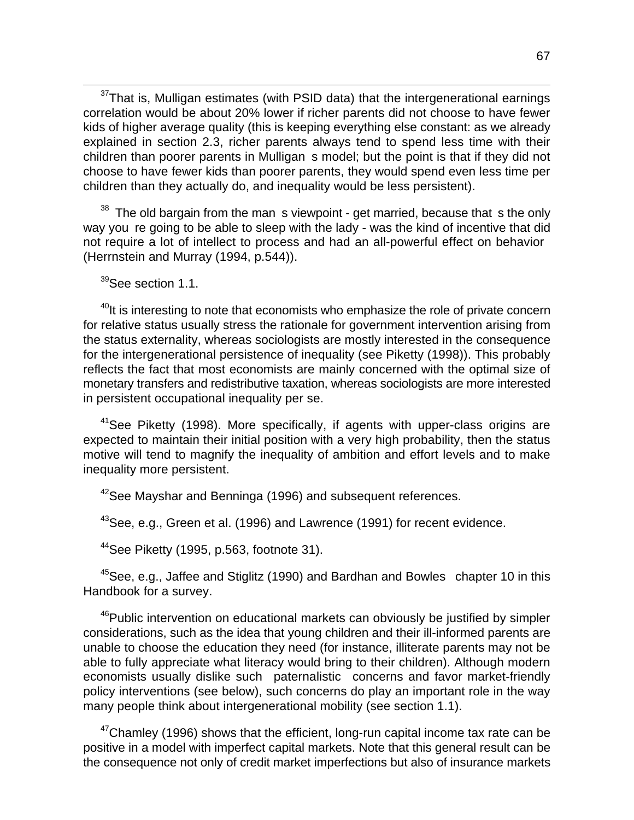$37$ That is, Mulligan estimates (with PSID data) that the intergenerational earnings correlation would be about 20% lower if richer parents did not choose to have fewer kids of higher average quality (this is keeping everything else constant: as we already explained in section 2.3, richer parents always tend to spend less time with their children than poorer parents in Mulligan s model; but the point is that if they did not choose to have fewer kids than poorer parents, they would spend even less time per children than they actually do, and inequality would be less persistent).

 $38$  The old bargain from the man s viewpoint - get married, because that s the only way you re going to be able to sleep with the lady - was the kind of incentive that did not require a lot of intellect to process and had an all-powerful effect on behavior (Herrnstein and Murray (1994, p.544)).

<sup>39</sup>See section 1.1.

 $\overline{a}$ 

<sup>40</sup>It is interesting to note that economists who emphasize the role of private concern for relative status usually stress the rationale for government intervention arising from the status externality, whereas sociologists are mostly interested in the consequence for the intergenerational persistence of inequality (see Piketty (1998)). This probably reflects the fact that most economists are mainly concerned with the optimal size of monetary transfers and redistributive taxation, whereas sociologists are more interested in persistent occupational inequality per se.

 $41$ See Piketty (1998). More specifically, if agents with upper-class origins are expected to maintain their initial position with a very high probability, then the status motive will tend to magnify the inequality of ambition and effort levels and to make inequality more persistent.

<sup>42</sup>See Mayshar and Benninga (1996) and subsequent references.

 $43$ See, e.g., Green et al. (1996) and Lawrence (1991) for recent evidence.

 $44$ See Piketty (1995, p.563, footnote 31).

 $45$ See, e.g., Jaffee and Stiglitz (1990) and Bardhan and Bowles chapter 10 in this Handbook for a survey.

<sup>46</sup>Public intervention on educational markets can obviously be justified by simpler considerations, such as the idea that young children and their ill-informed parents are unable to choose the education they need (for instance, illiterate parents may not be able to fully appreciate what literacy would bring to their children). Although modern economists usually dislike such paternalistic concerns and favor market-friendly policy interventions (see below), such concerns do play an important role in the way many people think about intergenerational mobility (see section 1.1).

 $47$ Chamley (1996) shows that the efficient, long-run capital income tax rate can be positive in a model with imperfect capital markets. Note that this general result can be the consequence not only of credit market imperfections but also of insurance markets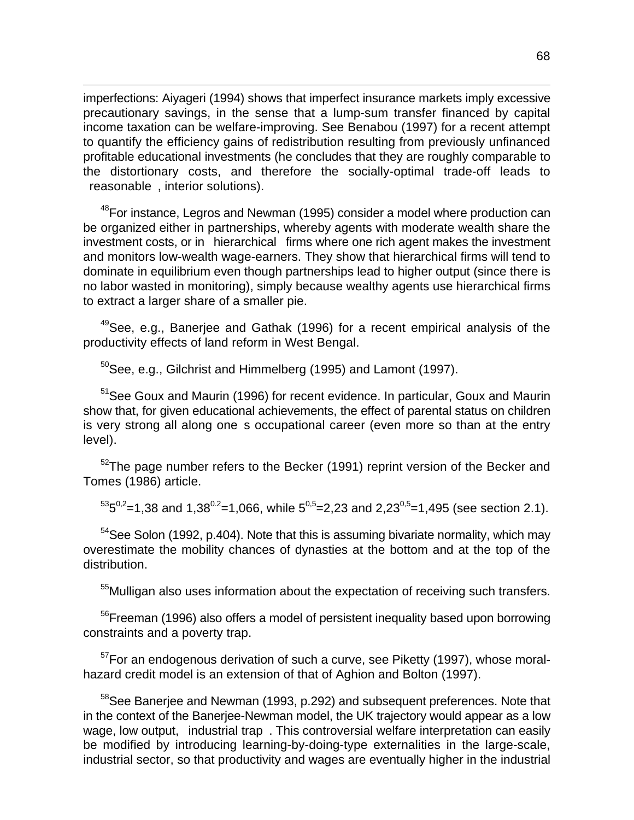imperfections: Aiyageri (1994) shows that imperfect insurance markets imply excessive precautionary savings, in the sense that a lump-sum transfer financed by capital income taxation can be welfare-improving. See Benabou (1997) for a recent attempt to quantify the efficiency gains of redistribution resulting from previously unfinanced profitable educational investments (he concludes that they are roughly comparable to the distortionary costs, and therefore the socially-optimal trade-off leads to reasonable , interior solutions).

 $\overline{a}$ 

<sup>48</sup>For instance, Legros and Newman (1995) consider a model where production can be organized either in partnerships, whereby agents with moderate wealth share the investment costs, or in hierarchical firms where one rich agent makes the investment and monitors low-wealth wage-earners. They show that hierarchical firms will tend to dominate in equilibrium even though partnerships lead to higher output (since there is no labor wasted in monitoring), simply because wealthy agents use hierarchical firms to extract a larger share of a smaller pie.

<sup>49</sup>See, e.g., Banerjee and Gathak (1996) for a recent empirical analysis of the productivity effects of land reform in West Bengal.

 $50$ See, e.g., Gilchrist and Himmelberg (1995) and Lamont (1997).

<sup>51</sup>See Goux and Maurin (1996) for recent evidence. In particular, Goux and Maurin show that, for given educational achievements, the effect of parental status on children is very strong all along one s occupational career (even more so than at the entry level).

 $52$ The page number refers to the Becker (1991) reprint version of the Becker and Tomes (1986) article.

 $^{53}5^{0,2}$ =1,38 and 1,38 $^{0.2}$ =1,066, while  $5^{0,5}$ =2,23 and 2,23 $^{0,5}$ =1,495 (see section 2.1).

<sup>54</sup>See Solon (1992, p.404). Note that this is assuming bivariate normality, which may overestimate the mobility chances of dynasties at the bottom and at the top of the distribution.

<sup>55</sup>Mulligan also uses information about the expectation of receiving such transfers.

<sup>56</sup>Freeman (1996) also offers a model of persistent inequality based upon borrowing constraints and a poverty trap.

 $57$ For an endogenous derivation of such a curve, see Piketty (1997), whose moralhazard credit model is an extension of that of Aghion and Bolton (1997).

<sup>58</sup>See Banerjee and Newman (1993, p.292) and subsequent preferences. Note that in the context of the Banerjee-Newman model, the UK trajectory would appear as a low wage, low output, industrial trap . This controversial welfare interpretation can easily be modified by introducing learning-by-doing-type externalities in the large-scale, industrial sector, so that productivity and wages are eventually higher in the industrial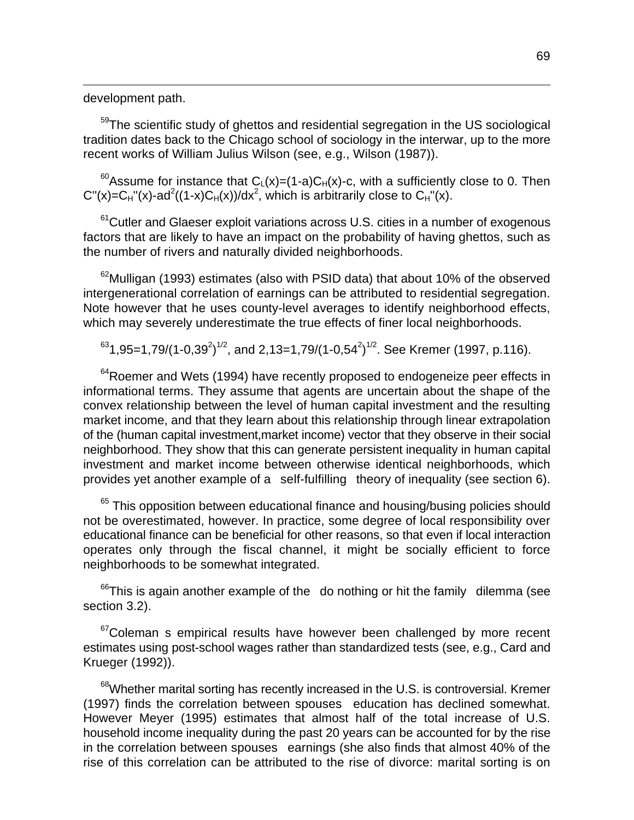development path.

 $\overline{a}$ 

<sup>59</sup>The scientific study of ghettos and residential segregation in the US sociological tradition dates back to the Chicago school of sociology in the interwar, up to the more recent works of William Julius Wilson (see, e.g., Wilson (1987)).

<sup>60</sup>Assume for instance that  $C_L(x)=(1-a)C_H(x)-c$ , with a sufficiently close to 0. Then  $C''(x)=C_H''(x)$ -ad<sup>2</sup>((1-x) $C_H(x)/dx^2$ , which is arbitrarily close to  $C_H''(x)$ .

 $61$ Cutler and Glaeser exploit variations across U.S. cities in a number of exogenous factors that are likely to have an impact on the probability of having ghettos, such as the number of rivers and naturally divided neighborhoods.

 $62$ Mulligan (1993) estimates (also with PSID data) that about 10% of the observed intergenerational correlation of earnings can be attributed to residential segregation. Note however that he uses county-level averages to identify neighborhood effects, which may severely underestimate the true effects of finer local neighborhoods.

 $^{63}$ 1,95=1,79/(1-0,39 $^{2})^{1/2}$ , and 2,13=1,79/(1-0,54 $^{2})^{1/2}$ . See Kremer (1997, p.116).

 $64}$ Roemer and Wets (1994) have recently proposed to endogeneize peer effects in informational terms. They assume that agents are uncertain about the shape of the convex relationship between the level of human capital investment and the resulting market income, and that they learn about this relationship through linear extrapolation of the (human capital investment,market income) vector that they observe in their social neighborhood. They show that this can generate persistent inequality in human capital investment and market income between otherwise identical neighborhoods, which provides yet another example of a self-fulfilling theory of inequality (see section 6).

 $65$  This opposition between educational finance and housing/busing policies should not be overestimated, however. In practice, some degree of local responsibility over educational finance can be beneficial for other reasons, so that even if local interaction operates only through the fiscal channel, it might be socially efficient to force neighborhoods to be somewhat integrated.

 $66$ This is again another example of the do nothing or hit the family dilemma (see section 3.2).

 $67$ Coleman s empirical results have however been challenged by more recent estimates using post-school wages rather than standardized tests (see, e.g., Card and Krueger (1992)).

<sup>68</sup>Whether marital sorting has recently increased in the U.S. is controversial. Kremer (1997) finds the correlation between spouses education has declined somewhat. However Meyer (1995) estimates that almost half of the total increase of U.S. household income inequality during the past 20 years can be accounted for by the rise in the correlation between spouses earnings (she also finds that almost 40% of the rise of this correlation can be attributed to the rise of divorce: marital sorting is on